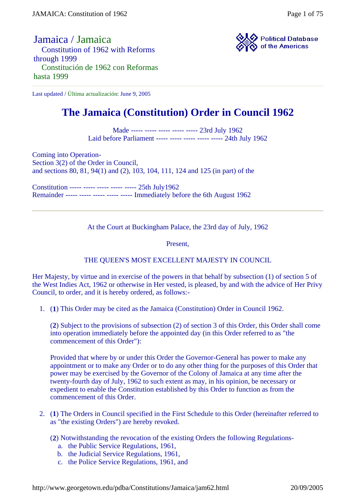Jamaica / Jamaica Constitution of 1962 with Reforms through 1999 Constitución de 1962 con Reformas hasta 1999



Last updated / Última actualización: June 9, 2005

# **The Jamaica (Constitution) Order in Council 1962**

Made ----- ----- ----- ----- ----- 23rd July 1962 Laid before Parliament ----- ----- ----- ----- ----- 24th July 1962

Coming into Operation-Section 3(2) of the Order in Council, and sections 80, 81, 94(1) and (2), 103, 104, 111, 124 and 125 (in part) of the

Constitution ----- ----- ----- ----- ----- 25th July1962 Remainder ----- ----- ----- ----- ----- Immediately before the 6th August 1962

At the Court at Buckingham Palace, the 23rd day of July, 1962

Present,

## THE QUEEN'S MOST EXCELLENT MAJESTY IN COUNCIL

Her Majesty, by virtue and in exercise of the powers in that behalf by subsection (1) of section 5 of the West Indies Act, 1962 or otherwise in Her vested, is pleased, by and with the advice of Her Privy Council, to order, and it is hereby ordered, as follows:-

1. (**1**) This Order may be cited as the Jamaica (Constitution) Order in Council 1962.

(**2**) Subject to the provisions of subsection (2) of section 3 of this Order, this Order shall come into operation immediately before the appointed day (in this Order referred to as "the commencement of this Order"):

Provided that where by or under this Order the Governor-General has power to make any appointment or to make any Order or to do any other thing for the purposes of this Order that power may be exercised by the Governor of the Colony of Jamaica at any time after the twenty-fourth day of July, 1962 to such extent as may, in his opinion, be necessary or expedient to enable the Constitution established by this Order to function as from the commencement of this Order.

- 2. (**1**) The Orders in Council specified in the First Schedule to this Order (hereinafter referred to as "the existing Orders") are hereby revoked.
	- (**2**) Notwithstanding the revocation of the existing Orders the following Regulations
		- a. the Public Service Regulations, 1961,
		- b. the Judicial Service Regulations, 1961,
		- c. the Police Service Regulations, 1961, and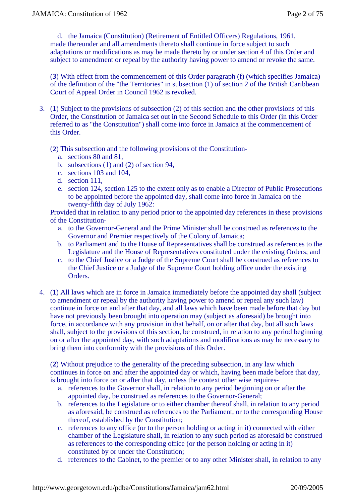d. the Jamaica (Constitution) (Retirement of Entitled Officers) Regulations, 1961, made thereunder and all amendments thereto shall continue in force subject to such adaptations or modifications as may be made thereto by or under section 4 of this Order and subject to amendment or repeal by the authority having power to amend or revoke the same.

(**3**) With effect from the commencement of this Order paragraph (f) (which specifies Jamaica) of the definition of the "the Territories" in subsection (1) of section 2 of the British Caribbean Court of Appeal Order in Council 1962 is revoked.

- 3. (**1**) Subject to the provisions of subsection (2) of this section and the other provisions of this Order, the Constitution of Jamaica set out in the Second Schedule to this Order (in this Order referred to as "the Constitution") shall come into force in Jamaica at the commencement of this Order.
	- (**2**) This subsection and the following provisions of the Constitution
		- a. sections 80 and 81,
		- b. subsections (1) and (2) of section 94,
		- c. sections 103 and 104,
		- d. section 111,
		- e. section 124, section 125 to the extent only as to enable a Director of Public Prosecutions to be appointed before the appointed day, shall come into force in Jamaica on the twenty-fifth day of July 1962:

Provided that in relation to any period prior to the appointed day references in these provisions of the Constitution-

- a. to the Governor-General and the Prime Minister shall be construed as references to the Governor and Premier respectively of the Colony of Jamaica;
- b. to Parliament and to the House of Representatives shall be construed as references to the Legislature and the House of Representatives constituted under the existing Orders; and
- c. to the Chief Justice or a Judge of the Supreme Court shall be construed as references to the Chief Justice or a Judge of the Supreme Court holding office under the existing Orders.
- 4. (**1**) All laws which are in force in Jamaica immediately before the appointed day shall (subject to amendment or repeal by the authority having power to amend or repeal any such law) continue in force on and after that day, and all laws which have been made before that day but have not previously been brought into operation may (subject as aforesaid) be brought into force, in accordance with any provision in that behalf, on or after that day, but all such laws shall, subject to the provisions of this section, be construed, in relation to any period beginning on or after the appointed day, with such adaptations and modifications as may be necessary to bring them into conformity with the provisions of this Order.

(**2**) Without prejudice to the generality of the preceding subsection, in any law which continues in force on and after the appointed day or which, having been made before that day, is brought into force on or after that day, unless the context other wise requires-

- a. references to the Governor shall, in relation to any period beginning on or after the appointed day, be construed as references to the Governor-General;
- b. references to the Legislature or to either chamber thereof shall, in relation to any period as aforesaid, be construed as references to the Parliament, or to the corresponding House thereof, established by the Constitution;
- c. references to any office (or to the person holding or acting in it) connected with either chamber of the Legislature shall, in relation to any such period as aforesaid be construed as references to the corresponding office (or the person holding or acting in it) constituted by or under the Constitution;
- d. references to the Cabinet, to the premier or to any other Minister shall, in relation to any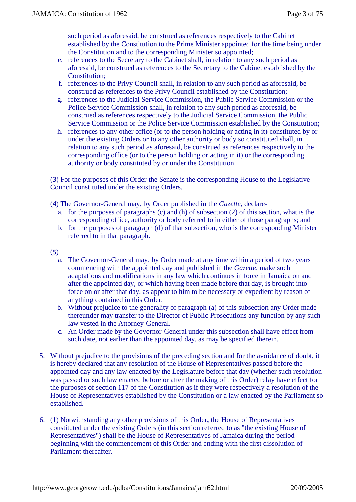such period as aforesaid, be construed as references respectively to the Cabinet established by the Constitution to the Prime Minister appointed for the time being under the Constitution and to the corresponding Minister so appointed;

- e. references to the Secretary to the Cabinet shall, in relation to any such period as aforesaid, be construed as references to the Secretary to the Cabinet established by the Constitution;
- f. references to the Privy Council shall, in relation to any such period as aforesaid, be construed as references to the Privy Council established by the Constitution;
- g. references to the Judicial Service Commission, the Public Service Commission or the Police Service Commission shall, in relation to any such period as aforesaid, be construed as references respectively to the Judicial Service Commission, the Public Service Commission or the Police Service Commission established by the Constitution;
- h. references to any other office (or to the person holding or acting in it) constituted by or under the existing Orders or to any other authority or body so constituted shall, in relation to any such period as aforesaid, be construed as references respectively to the corresponding office (or to the person holding or acting in it) or the corresponding authority or body constituted by or under the Constitution.

(**3**) For the purposes of this Order the Senate is the corresponding House to the Legislative Council constituted under the existing Orders.

(**4**) The Governor-General may, by Order published in the *Gazette*, declare-

- a. for the purposes of paragraphs (c) and (h) of subsection (2) of this section, what is the corresponding office, authority or body referred to in either of those paragraphs; and
- b. for the purposes of paragraph (d) of that subsection, who is the corresponding Minister referred to in that paragraph.
- (**5**)
	- a. The Governor-General may, by Order made at any time within a period of two years commencing with the appointed day and published in the *Gazette*, make such adaptations and modifications in any law which continues in force in Jamaica on and after the appointed day, or which having been made before that day, is brought into force on or after that day, as appear to him to be necessary or expedient by reason of anything contained in this Order.
	- b. Without prejudice to the generality of paragraph (a) of this subsection any Order made thereunder may transfer to the Director of Public Prosecutions any function by any such law vested in the Attorney-General.
	- c. An Order made by the Governor-General under this subsection shall have effect from such date, not earlier than the appointed day, as may be specified therein.
- 5. Without prejudice to the provisions of the preceding section and for the avoidance of doubt, it is hereby declared that any resolution of the House of Representatives passed before the appointed day and any law enacted by the Legislature before that day (whether such resolution was passed or such law enacted before or after the making of this Order) relay have effect for the purposes of section 117 of the Constitution as if they were respectively a resolution of the House of Representatives established by the Constitution or a law enacted by the Parliament so established.
- 6. (**1**) Notwithstanding any other provisions of this Order, the House of Representatives constituted under the existing Orders (in this section referred to as "the existing House of Representatives") shall be the House of Representatives of Jamaica during the period beginning with the commencement of this Order and ending with the first dissolution of Parliament thereafter.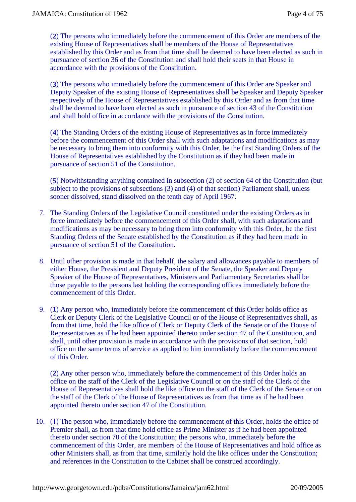(**2**) The persons who immediately before the commencement of this Order are members of the existing House of Representatives shall be members of the House of Representatives established by this Order and as from that time shall be deemed to have been elected as such in pursuance of section 36 of the Constitution and shall hold their seats in that House in accordance with the provisions of the Constitution.

(**3**) The persons who immediately before the commencement of this Order are Speaker and Deputy Speaker of the existing House of Representatives shall be Speaker and Deputy Speaker respectively of the House of Representatives established by this Order and as from that time shall be deemed to have been elected as such in pursuance of section 43 of the Constitution and shall hold office in accordance with the provisions of the Constitution.

(**4**) The Standing Orders of the existing House of Representatives as in force immediately before the commencement of this Order shall with such adaptations and modifications as may be necessary to bring them into conformity with this Order, be the first Standing Orders of the House of Representatives established by the Constitution as if they had been made in pursuance of section 51 of the Constitution.

(**5**) Notwithstanding anything contained in subsection (2) of section 64 of the Constitution (but subject to the provisions of subsections (3) and (4) of that section) Parliament shall, unless sooner dissolved, stand dissolved on the tenth day of April 1967.

- 7. The Standing Orders of the Legislative Council constituted under the existing Orders as in force immediately before the commencement of this Order shall, with such adaptations and modifications as may be necessary to bring them into conformity with this Order, be the first Standing Orders of the Senate established by the Constitution as if they had been made in pursuance of section 51 of the Constitution.
- 8. Until other provision is made in that behalf, the salary and allowances payable to members of either House, the President and Deputy President of the Senate, the Speaker and Deputy Speaker of the House of Representatives, Ministers and Parliamentary Secretaries shall be those payable to the persons last holding the corresponding offices immediately before the commencement of this Order.
- 9. (**1**) Any person who, immediately before the commencement of this Order holds office as Clerk or Deputy Clerk of the Legislative Council or of the House of Representatives shall, as from that time, hold the like office of Clerk or Deputy Clerk of the Senate or of the House of Representatives as if he had been appointed thereto under section 47 of the Constitution, and shall, until other provision is made in accordance with the provisions of that section, hold office on the same terms of service as applied to him immediately before the commencement of this Order.

(**2**) Any other person who, immediately before the commencement of this Order holds an office on the staff of the Clerk of the Legislative Council or on the staff of the Clerk of the House of Representatives shall hold the like office on the staff of the Clerk of the Senate or on the staff of the Clerk of the House of Representatives as from that time as if he had been appointed thereto under section 47 of the Constitution.

10. (**1**) The person who, immediately before the commencement of this Order, holds the office of Premier shall, as from that time hold office as Prime Minister as if he had been appointed thereto under section 70 of the Constitution; the persons who, immediately before the commencement of this Order, are members of the House of Representatives and hold office as other Ministers shall, as from that time, similarly hold the like offices under the Constitution; and references in the Constitution to the Cabinet shall be construed accordingly.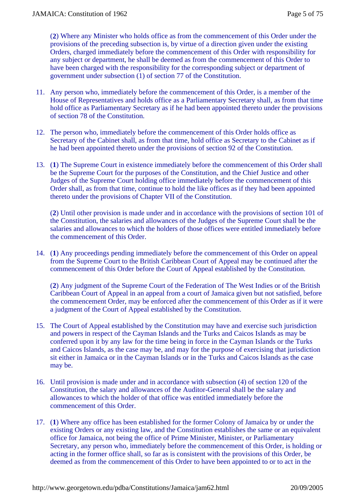(**2**) Where any Minister who holds office as from the commencement of this Order under the provisions of the preceding subsection is, by virtue of a direction given under the existing Orders, charged immediately before the commencement of this Order with responsibility for any subject or department, he shall be deemed as from the commencement of this Order to have been charged with the responsibility for the corresponding subject or department of government under subsection (1) of section 77 of the Constitution.

- 11. Any person who, immediately before the commencement of this Order, is a member of the House of Representatives and holds office as a Parliamentary Secretary shall, as from that time hold office as Parliamentary Secretary as if he had been appointed thereto under the provisions of section 78 of the Constitution.
- 12. The person who, immediately before the commencement of this Order holds office as Secretary of the Cabinet shall, as from that time, hold office as Secretary to the Cabinet as if he had been appointed thereto under the provisions of section 92 of the Constitution.
- 13. (**1**) The Supreme Court in existence immediately before the commencement of this Order shall be the Supreme Court for the purposes of the Constitution, and the Chief Justice and other Judges of the Supreme Court holding office immediately before the commencement of this Order shall, as from that time, continue to hold the like offices as if they had been appointed thereto under the provisions of Chapter VII of the Constitution.

(**2**) Until other provision is made under and in accordance with the provisions of section 101 of the Constitution, the salaries and allowances of the Judges of the Supreme Court shall be the salaries and allowances to which the holders of those offices were entitled immediately before the commencement of this Order.

14. (**1**) Any proceedings pending immediately before the commencement of this Order on appeal from the Supreme Court to the British Caribbean Court of Appeal may be continued after the commencement of this Order before the Court of Appeal established by the Constitution.

(**2**) Any judgment of the Supreme Court of the Federation of The West Indies or of the British Caribbean Court of Appeal in an appeal from a court of Jamaica given but not satisfied, before the commencement Order, may be enforced after the commencement of this Order as if it were a judgment of the Court of Appeal established by the Constitution.

- 15. The Court of Appeal established by the Constitution may have and exercise such jurisdiction and powers in respect of the Cayman Islands and the Turks and Caicos Islands as may be conferred upon it by any law for the time being in force in the Cayman Islands or the Turks and Caicos Islands, as the case may be, and may for the purpose of exercising that jurisdiction sit either in Jamaica or in the Cayman Islands or in the Turks and Caicos Islands as the case may be.
- 16. Until provision is made under and in accordance with subsection (4) of section 120 of the Constitution, the salary and allowances of the Auditor-General shall be the salary and allowances to which the holder of that office was entitled immediately before the commencement of this Order.
- 17. (**1**) Where any office has been established for the former Colony of Jamaica by or under the existing Orders or any existing law, and the Constitution establishes the same or an equivalent office for Jamaica, not being the office of Prime Minister, Minister, or Parliamentary Secretary, any person who, immediately before the commencement of this Order, is holding or acting in the former office shall, so far as is consistent with the provisions of this Order, be deemed as from the commencement of this Order to have been appointed to or to act in the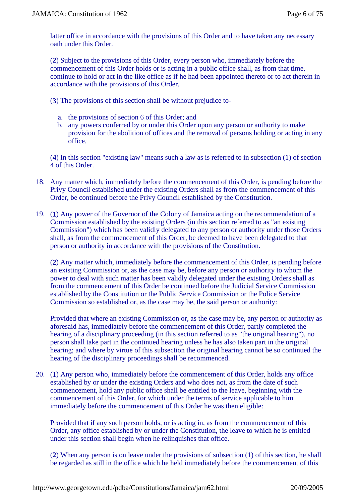latter office in accordance with the provisions of this Order and to have taken any necessary oath under this Order.

(**2**) Subject to the provisions of this Order, every person who, immediately before the commencement of this Order holds or is acting in a public office shall, as from that time, continue to hold or act in the like office as if he had been appointed thereto or to act therein in accordance with the provisions of this Order.

(**3**) The provisions of this section shall be without prejudice to-

- a. the provisions of section 6 of this Order; and
- b. any powers conferred by or under this Order upon any person or authority to make provision for the abolition of offices and the removal of persons holding or acting in any office.

(**4**) In this section "existing law" means such a law as is referred to in subsection (1) of section 4 of this Order.

- 18. Any matter which, immediately before the commencement of this Order, is pending before the Privy Council established under the existing Orders shall as from the commencement of this Order, be continued before the Privy Council established by the Constitution.
- 19. (**1**) Any power of the Governor of the Colony of Jamaica acting on the recommendation of a Commission established by the existing Orders (in this section referred to as "an existing Commission") which has been validly delegated to any person or authority under those Orders shall, as from the commencement of this Order, be deemed to have been delegated to that person or authority in accordance with the provisions of the Constitution.

(**2**) Any matter which, immediately before the commencement of this Order, is pending before an existing Commission or, as the case may be, before any person or authority to whom the power to deal with such matter has been validly delegated under the existing Orders shall as from the commencement of this Order be continued before the Judicial Service Commission established by the Constitution or the Public Service Commission or the Police Service Commission so established or, as the case may be, the said person or authority:

Provided that where an existing Commission or, as the case may be, any person or authority as aforesaid has, immediately before the commencement of this Order, partly completed the hearing of a disciplinary proceeding (in this section referred to as "the original hearing"), no person shall take part in the continued hearing unless he has also taken part in the original hearing; and where by virtue of this subsection the original hearing cannot be so continued the hearing of the disciplinary proceedings shall be recommenced.

20. (**1**) Any person who, immediately before the commencement of this Order, holds any office established by or under the existing Orders and who does not, as from the date of such commencement, hold any public office shall be entitled to the leave, beginning with the commencement of this Order, for which under the terms of service applicable to him immediately before the commencement of this Order he was then eligible:

Provided that if any such person holds, or is acting in, as from the commencement of this Order, any office established by or under the Constitution, the leave to which he is entitled under this section shall begin when he relinquishes that office.

(**2**) When any person is on leave under the provisions of subsection (1) of this section, he shall be regarded as still in the office which he held immediately before the commencement of this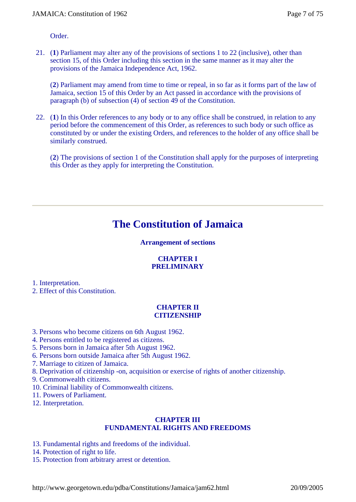Order.

21. (**1**) Parliament may alter any of the provisions of sections 1 to 22 (inclusive), other than section 15, of this Order including this section in the same manner as it may alter the provisions of the Jamaica Independence Act, 1962.

(**2**) Parliament may amend from time to time or repeal, in so far as it forms part of the law of Jamaica, section 15 of this Order by an Act passed in accordance with the provisions of paragraph (b) of subsection (4) of section 49 of the Constitution.

22. (**1**) In this Order references to any body or to any office shall be construed, in relation to any period before the commencement of this Order, as references to such body or such office as constituted by or under the existing Orders, and references to the holder of any office shall be similarly construed.

(**2**) The provisions of section 1 of the Constitution shall apply for the purposes of interpreting this Order as they apply for interpreting the Constitution.

# **The Constitution of Jamaica**

#### **Arrangement of sections**

## **CHAPTER I PRELIMINARY**

1. Interpretation.

2. Effect of this Constitution.

#### **CHAPTER II CITIZENSHIP**

- 3. Persons who become citizens on 6th August 1962.
- 4. Persons entitled to be registered as citizens.
- 5. Persons born in Jamaica after 5th August 1962.
- 6. Persons born outside Jamaica after 5th August 1962.
- 7. Marriage to citizen of Jamaica.
- 8. Deprivation of citizenship -on, acquisition or exercise of rights of another citizenship.
- 9. Commonwealth citizens.
- 10. Criminal liability of Commonwealth citizens.
- 11. Powers of Parliament.
- 12. Interpretation.

#### **CHAPTER III FUNDAMENTAL RIGHTS AND FREEDOMS**

- 13. Fundamental rights and freedoms of the individual.
- 14. Protection of right to life.
- 15. Protection from arbitrary arrest or detention.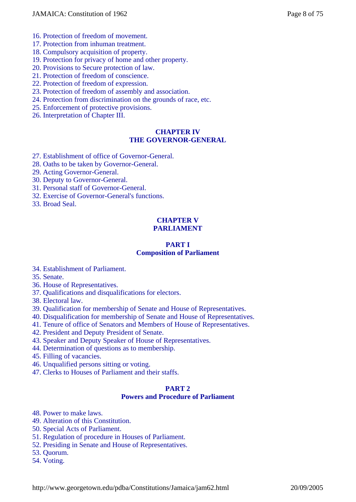- 16. Protection of freedom of movement.
- 17. Protection from inhuman treatment.
- 18. Compulsory acquisition of property.
- 19. Protection for privacy of home and other property.
- 20. Provisions to Secure protection of law.
- 21. Protection of freedom of conscience.
- 22. Protection of freedom of expression.
- 23. Protection of freedom of assembly and association.
- 24. Protection from discrimination on the grounds of race, etc.
- 25. Enforcement of protective provisions.
- 26. Interpretation of Chapter III.

## **CHAPTER IV THE GOVERNOR-GENERAL**

- 27. Establishment of office of Governor-General.
- 28. Oaths to be taken by Governor-General.
- 29. Acting Governor-General.
- 30. Deputy to Governor-General.
- 31. Personal staff of Governor-General.
- 32. Exercise of Governor-General's functions.

33. Broad Seal.

### **CHAPTER V PARLIAMENT**

#### **PART I Composition of Parliament**

- 34. Establishment of Parliament.
- 35. Senate.
- 36. House of Representatives.
- 37. Qualifications and disqualifications for electors.
- 38. Electoral law.
- 39. Qualification for membership of Senate and House of Representatives.
- 40. Disqualification for membership of Senate and House of Representatives.
- 41. Tenure of office of Senators and Members of House of Representatives.
- 42. President and Deputy President of Senate.
- 43. Speaker and Deputy Speaker of House of Representatives.
- 44. Determination of questions as to membership.
- 45. Filling of vacancies.
- 46. Unqualified persons sitting or voting.
- 47. Clerks to Houses of Parliament and their staffs.

## **PART 2**

## **Powers and Procedure of Parliament**

- 48. Power to make laws.
- 49. Alteration of this Constitution.
- 50. Special Acts of Parliament.
- 51. Regulation of procedure in Houses of Parliament.
- 52. Presiding in Senate and House of Representatives.
- 53. Quorum.
- 54. Voting.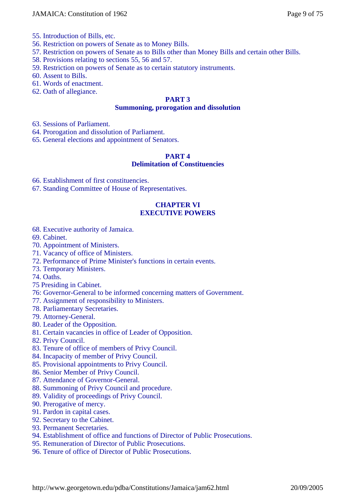- 55. Introduction of Bills, etc.
- 56. Restriction on powers of Senate as to Money Bills.
- 57. Restriction on powers of Senate as to Bills other than Money Bills and certain other Bills.
- 58. Provisions relating to sections 55, 56 and 57.
- 59. Restriction on powers of Senate as to certain statutory instruments.
- 60. Assent to Bills.
- 61. Words of enactment.
- 62. Oath of allegiance.

## **PART 3**

## **Summoning, prorogation and dissolution**

- 63. Sessions of Parliament.
- 64. Prorogation and dissolution of Parliament.
- 65. General elections and appointment of Senators.

### **PART 4 Delimitation of Constituencies**

66. Establishment of first constituencies.

67. Standing Committee of House of Representatives.

## **CHAPTER VI EXECUTIVE POWERS**

- 68. Executive authority of Jamaica.
- 69. Cabinet.
- 70. Appointment of Ministers.
- 71. Vacancy of office of Ministers.
- 72. Performance of Prime Minister's functions in certain events.
- 73. Temporary Ministers.
- 74. Oaths.
- 75 Presiding in Cabinet.
- 76: Governor-General to be informed concerning matters of Government.
- 77. Assignment of responsibility to Ministers.
- 78. Parliamentary Secretaries.
- 79. Attorney-General.
- 80. Leader of the Opposition.
- 81. Certain vacancies in office of Leader of Opposition.
- 82. Privy Council.
- 83. Tenure of office of members of Privy Council.
- 84. Incapacity of member of Privy Council.
- 85. Provisional appointments to Privy Council.
- 86. Senior Member of Privy Council.
- 87. Attendance of Governor-General.
- 88. Summoning of Privy Council and procedure.
- 89. Validity of proceedings of Privy Council.
- 90. Prerogative of mercy.
- 91. Pardon in capital cases.
- 92. Secretary to the Cabinet.
- 93. Permanent Secretaries.
- 94. Establishment of office and functions of Director of Public Prosecutions.
- 95. Remuneration of Director of Public Prosecutions.
- 96. Tenure of office of Director of Public Prosecutions.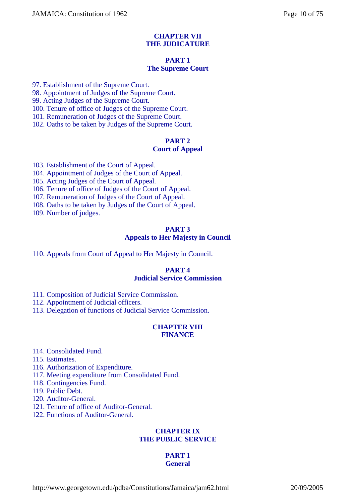#### **CHAPTER VII THE JUDICATURE**

#### **PART 1 The Supreme Court**

97. Establishment of the Supreme Court.

98. Appointment of Judges of the Supreme Court.

99. Acting Judges of the Supreme Court.

100. Tenure of office of Judges of the Supreme Court.

101. Remuneration of Judges of the Supreme Court.

102. Oaths to be taken by Judges of the Supreme Court.

### **PART 2 Court of Appeal**

103. Establishment of the Court of Appeal.

104. Appointment of Judges of the Court of Appeal.

105. Acting Judges of the Court of Appeal.

106. Tenure of office of Judges of the Court of Appeal.

107. Remuneration of Judges of the Court of Appeal.

108. Oaths to be taken by Judges of the Court of Appeal.

109. Number of judges.

#### **PART 3 Appeals to Her Majesty in Council**

110. Appeals from Court of Appeal to Her Majesty in Council.

### **PART 4 Judicial Service Commission**

111. Composition of Judicial Service Commission.

112. Appointment of Judicial officers.

113. Delegation of functions of Judicial Service Commission.

#### **CHAPTER VIII FINANCE**

114. Consolidated Fund.

115. Estimates.

116. Authorization of Expenditure.

117. Meeting expenditure from Consolidated Fund.

118. Contingencies Fund.

119. Public Debt.

120. Auditor-General.

121. Tenure of office of Auditor-General.

122. Functions of Auditor-General.

#### **CHAPTER IX THE PUBLIC SERVICE**

#### **PART 1 General**

http://www.georgetown.edu/pdba/Constitutions/Jamaica/jam62.html 20/09/2005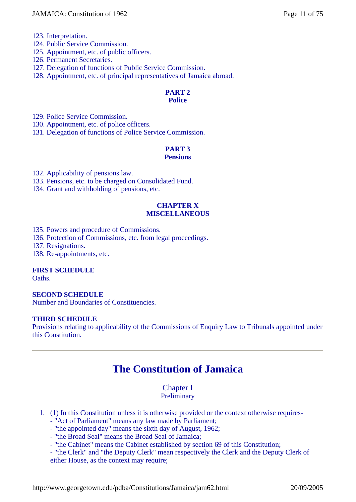- 123. Interpretation.
- 124. Public Service Commission.
- 125. Appointment, etc. of public officers.
- 126. Permanent Secretaries.
- 127. Delegation of functions of Public Service Commission.
- 128. Appointment, etc. of principal representatives of Jamaica abroad.

#### **PART 2 Police**

129. Police Service Commission.

130. Appointment, etc. of police officers.

131. Delegation of functions of Police Service Commission.

#### **PART 3 Pensions**

132. Applicability of pensions law.

133. Pensions, etc. to be charged on Consolidated Fund.

134. Grant and withholding of pensions, etc.

## **CHAPTER X MISCELLANEOUS**

- 135. Powers and procedure of Commissions.
- 136. Protection of Commissions, etc. from legal proceedings.
- 137. Resignations.
- 138. Re-appointments, etc.

#### **FIRST SCHEDULE**

Oaths.

#### **SECOND SCHEDULE**

Number and Boundaries of Constituencies.

#### **THIRD SCHEDULE**

Provisions relating to applicability of the Commissions of Enquiry Law to Tribunals appointed under this Constitution.

## **The Constitution of Jamaica**

#### Chapter I **Preliminary**

## 1. (**1**) In this Constitution unless it is otherwise provided or the context otherwise requires-

- "Act of Parliament" means any law made by Parliament;
- "the appointed day" means the sixth day of August, 1962;
- "the Broad Seal" means the Broad Seal of Jamaica;
- "the Cabinet" means the Cabinet established by section 69 of this Constitution;

- "the Clerk" and "the Deputy Clerk" mean respectively the Clerk and the Deputy Clerk of either House, as the context may require;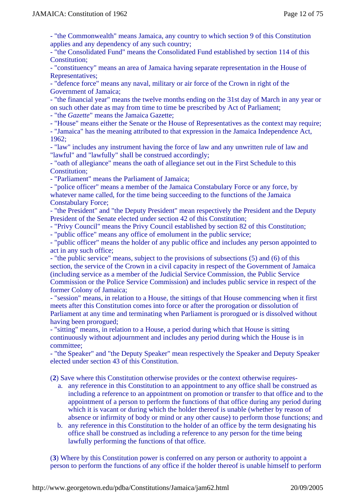- "the Commonwealth" means Jamaica, any country to which section 9 of this Constitution applies and any dependency of any such country;

- "the Consolidated Fund" means the Consolidated Fund established by section 114 of this Constitution;

- "constituency" means an area of Jamaica having separate representation in the House of Representatives;

- "defence force" means any naval, military or air force of the Crown in right of the Government of Jamaica;

- "the financial year" means the twelve months ending on the 31st day of March in any year or on such other date as may from time to time be prescribed by Act of Parliament;

- "the *Gazette*" means the Jamaica Gazette;

- "House" means either the Senate or the House of Representatives as the context may require;

- "Jamaica" has the meaning attributed to that expression in the Jamaica Independence Act, 1962;

- "law" includes any instrument having the force of law and any unwritten rule of law and "lawful" and "lawfully" shall be construed accordingly;

- "oath of allegiance" means the oath of allegiance set out in the First Schedule to this Constitution;

- "Parliament" means the Parliament of Jamaica;

- "police officer" means a member of the Jamaica Constabulary Force or any force, by whatever name called, for the time being succeeding to the functions of the Jamaica Constabulary Force;

- "the President" and "the Deputy President" mean respectively the President and the Deputy President of the Senate elected under section 42 of this Constitution;

- "Privy Council" means the Privy Council established by section 82 of this Constitution;

- "public office" means any office of emolument in the public service;

- "public officer" means the holder of any public office and includes any person appointed to act in any such office;

- "the public service" means, subject to the provisions of subsections (5) and (6) of this section, the service of the Crown in a civil capacity in respect of the Government of Jamaica (including service as a member of the Judicial Service Commission, the Public Service Commission or the Police Service Commission) and includes public service in respect of the former Colony of Jamaica;

- "session" means, in relation to a House, the sittings of that House commencing when it first meets after this Constitution comes into force or after the prorogation or dissolution of Parliament at any time and terminating when Parliament is prorogued or is dissolved without having been prorogued;

- "sitting" means, in relation to a House, a period during which that House is sitting continuously without adjournment and includes any period during which the House is in committee;

- "the Speaker" and "the Deputy Speaker" mean respectively the Speaker and Deputy Speaker elected under section 43 of this Constitution.

(**2**) Save where this Constitution otherwise provides or the context otherwise requires-

- a. any reference in this Constitution to an appointment to any office shall be construed as including a reference to an appointment on promotion or transfer to that office and to the appointment of a person to perform the functions of that office during any period during which it is vacant or during which the holder thereof is unable (whether by reason of absence or infirmity of body or mind or any other cause) to perform those functions; and
- b. any reference in this Constitution to the holder of an office by the term designating his office shall be construed as including a reference to any person for the time being lawfully performing the functions of that office.

(**3**) Where by this Constitution power is conferred on any person or authority to appoint a person to perform the functions of any office if the holder thereof is unable himself to perform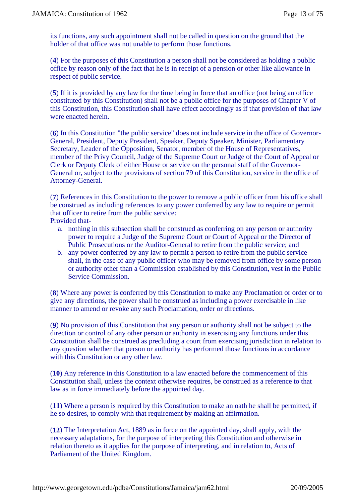its functions, any such appointment shall not be called in question on the ground that the holder of that office was not unable to perform those functions.

(**4**) For the purposes of this Constitution a person shall not be considered as holding a public office by reason only of the fact that he is in receipt of a pension or other like allowance in respect of public service.

(**5**) If it is provided by any law for the time being in force that an office (not being an office constituted by this Constitution) shall not be a public office for the purposes of Chapter V of this Constitution, this Constitution shall have effect accordingly as if that provision of that law were enacted herein.

(**6**) In this Constitution "the public service" does not include service in the office of Governor-General, President, Deputy President, Speaker, Deputy Speaker, Minister, Parliamentary Secretary, Leader of the Opposition, Senator, member of the House of Representatives, member of the Privy Council, Judge of the Supreme Court or Judge of the Court of Appeal or Clerk or Deputy Clerk of either House or service on the personal staff of the Governor-General or, subject to the provisions of section 79 of this Constitution, service in the office of Attorney-General.

(**7**) References in this Constitution to the power to remove a public officer from his office shall be construed as including references to any power conferred by any law to require or permit that officer to retire from the public service: Provided that-

- a. nothing in this subsection shall be construed as conferring on any person or authority power to require a Judge of the Supreme Court or Court of Appeal or the Director of Public Prosecutions or the Auditor-General to retire from the public service; and
- b. any power conferred by any law to permit a person to retire from the public service shall, in the case of any public officer who may be removed from office by some person or authority other than a Commission established by this Constitution, vest in the Public Service Commission.

(**8**) Where any power is conferred by this Constitution to make any Proclamation or order or to give any directions, the power shall be construed as including a power exercisable in like manner to amend or revoke any such Proclamation, order or directions.

(**9**) No provision of this Constitution that any person or authority shall not be subject to the direction or control of any other person or authority in exercising any functions under this Constitution shall be construed as precluding a court from exercising jurisdiction in relation to any question whether that person or authority has performed those functions in accordance with this Constitution or any other law.

(**10**) Any reference in this Constitution to a law enacted before the commencement of this Constitution shall, unless the context otherwise requires, be construed as a reference to that law as in force immediately before the appointed day.

(**11**) Where a person is required by this Constitution to make an oath he shall be permitted, if he so desires, to comply with that requirement by making an affirmation.

(**12**) The Interpretation Act, 1889 as in force on the appointed day, shall apply, with the necessary adaptations, for the purpose of interpreting this Constitution and otherwise in relation thereto as it applies for the purpose of interpreting, and in relation to, Acts of Parliament of the United Kingdom.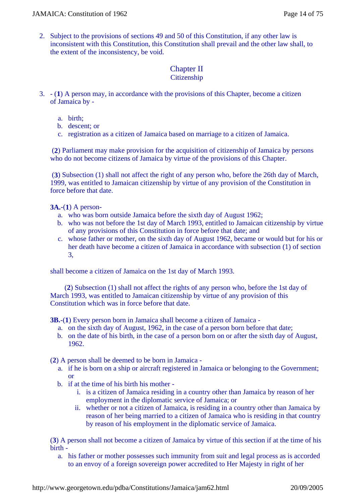2. Subject to the provisions of sections 49 and 50 of this Constitution, if any other law is inconsistent with this Constitution, this Constitution shall prevail and the other law shall, to the extent of the inconsistency, be void.

## Chapter II **Citizenship**

- 3. (**1**) A person may, in accordance with the provisions of this Chapter, become a citizen of Jamaica by
	- a. birth;
	- b. descent; or
	- c. registration as a citizen of Jamaica based on marriage to a citizen of Jamaica.

(**2**) Parliament may make provision for the acquisition of citizenship of Jamaica by persons who do not become citizens of Jamaica by virtue of the provisions of this Chapter.

(**3**) Subsection (1) shall not affect the right of any person who, before the 26th day of March, 1999, was entitled to Jamaican citizenship by virtue of any provision of the Constitution in force before that date.

**3A.**-(**1**) A person-

- a. who was born outside Jamaica before the sixth day of August 1962;
- b. who was not before the 1st day of March 1993, entitled to Jamaican citizenship by virtue of any provisions of this Constitution in force before that date; and
- c. whose father or mother, on the sixth day of August 1962, became or would but for his or her death have become a citizen of Jamaica in accordance with subsection (1) of section 3,

shall become a citizen of Jamaica on the 1st day of March 1993.

(**2**) Subsection (1) shall not affect the rights of any person who, before the 1st day of March 1993, was entitled to Jamaican citizenship by virtue of any provision of this Constitution which was in force before that date.

**3B.**-(**1**) Every person born in Jamaica shall become a citizen of Jamaica -

- a. on the sixth day of August, 1962, in the case of a person born before that date;
- b. on the date of his birth, in the case of a person born on or after the sixth day of August, 1962.
- (**2**) A person shall be deemed to be born in Jamaica
	- a. if he is born on a ship or aircraft registered in Jamaica or belonging to the Government; or
	- b. if at the time of his birth his mother
		- i. is a citizen of Jamaica residing in a country other than Jamaica by reason of her employment in the diplomatic service of Jamaica; or
		- ii. whether or not a citizen of Jamaica, is residing in a country other than Jamaica by reason of her being married to a citizen of Jamaica who is residing in that country by reason of his employment in the diplomatic service of Jamaica.

(**3**) A person shall not become a citizen of Jamaica by virtue of this section if at the time of his birth -

a. his father or mother possesses such immunity from suit and legal process as is accorded to an envoy of a foreign sovereign power accredited to Her Majesty in right of her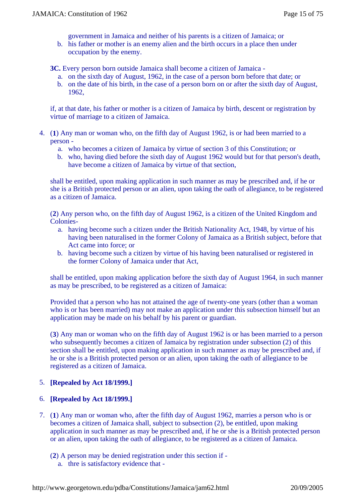government in Jamaica and neither of his parents is a citizen of Jamaica; or

b. his father or mother is an enemy alien and the birth occurs in a place then under occupation by the enemy.

**3C.** Every person born outside Jamaica shall become a citizen of Jamaica -

- a. on the sixth day of August, 1962, in the case of a person born before that date; or
- b. on the date of his birth, in the case of a person born on or after the sixth day of August, 1962,

if, at that date, his father or mother is a citizen of Jamaica by birth, descent or registration by virtue of marriage to a citizen of Jamaica.

- 4. (**1**) Any man or woman who, on the fifth day of August 1962, is or had been married to a person
	- a. who becomes a citizen of Jamaica by virtue of section 3 of this Constitution; or
	- b. who, having died before the sixth day of August 1962 would but for that person's death, have become a citizen of Jamaica by virtue of that section,

shall be entitled, upon making application in such manner as may be prescribed and, if he or she is a British protected person or an alien, upon taking the oath of allegiance, to be registered as a citizen of Jamaica.

(**2**) Any person who, on the fifth day of August 1962, is a citizen of the United Kingdom and Colonies-

- a. having become such a citizen under the British Nationality Act, 1948, by virtue of his having been naturalised in the former Colony of Jamaica as a British subject, before that Act came into force; or
- b. having become such a citizen by virtue of his having been naturalised or registered in the former Colony of Jamaica under that Act,

shall be entitled, upon making application before the sixth day of August 1964, in such manner as may be prescribed, to be registered as a citizen of Jamaica:

Provided that a person who has not attained the age of twenty-one years (other than a woman who is or has been married) may not make an application under this subsection himself but an application may be made on his behalf by his parent or guardian.

(**3**) Any man or woman who on the fifth day of August 1962 is or has been married to a person who subsequently becomes a citizen of Jamaica by registration under subsection (2) of this section shall be entitled, upon making application in such manner as may be prescribed and, if he or she is a British protected person or an alien, upon taking the oath of allegiance to be registered as a citizen of Jamaica.

## 5. **[Repealed by Act 18/1999.]**

#### 6. **[Repealed by Act 18/1999.]**

- 7. (**1**) Any man or woman who, after the fifth day of August 1962, marries a person who is or becomes a citizen of Jamaica shall, subject to subsection (2), be entitled, upon making application in such manner as may be prescribed and, if he or she is a British protected person or an alien, upon taking the oath of allegiance, to be registered as a citizen of Jamaica.
	- (**2**) A person may be denied registration under this section if
		- a. thre is satisfactory evidence that -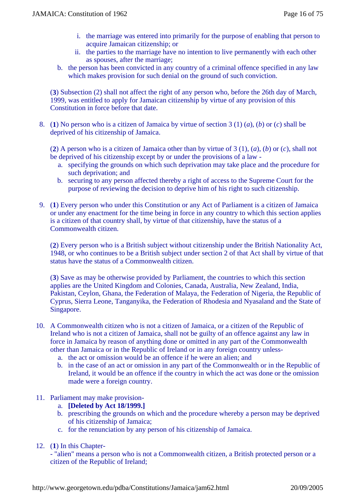- i. the marriage was entered into primarily for the purpose of enabling that person to acquire Jamaican citizenship; or
- ii. the parties to the marriage have no intention to live permanently with each other as spouses, after the marriage;
- b. the person has been convicted in any country of a criminal offence specified in any law which makes provision for such denial on the ground of such conviction.

(**3**) Subsection (2) shall not affect the right of any person who, before the 26th day of March, 1999, was entitled to apply for Jamaican citizenship by virtue of any provision of this Constitution in force before that date.

8. (**1**) No person who is a citizen of Jamaica by virtue of section 3 (1) (*a*), (*b*) or (*c*) shall be deprived of his citizenship of Jamaica.

(**2**) A person who is a citizen of Jamaica other than by virtue of 3 (1), (*a*), (*b*) or (*c*), shall not be deprived of his citizenship except by or under the provisions of a law -

- a. specifying the grounds on which such deprivation may take place and the procedure for such deprivation; and
- b. securing to any person affected thereby a right of access to the Supreme Court for the purpose of reviewing the decision to deprive him of his right to such citizenship.
- 9. (**1**) Every person who under this Constitution or any Act of Parliament is a citizen of Jamaica or under any enactment for the time being in force in any country to which this section applies is a citizen of that country shall, by virtue of that citizenship, have the status of a Commonwealth citizen.

(**2**) Every person who is a British subject without citizenship under the British Nationality Act, 1948, or who continues to be a British subject under section 2 of that Act shall by virtue of that status have the status of a Commonwealth citizen.

(**3**) Save as may be otherwise provided by Parliament, the countries to which this section applies are the United Kingdom and Colonies, Canada, Australia, New Zealand, India, Pakistan, Ceylon, Ghana, the Federation of Malaya, the Federation of Nigeria, the Republic of Cyprus, Sierra Leone, Tanganyika, the Federation of Rhodesia and Nyasaland and the State of Singapore.

- 10. A Commonwealth citizen who is not a citizen of Jamaica, or a citizen of the Republic of Ireland who is not a citizen of Jamaica, shall not be guilty of an offence against any law in force in Jamaica by reason of anything done or omitted in any part of the Commonwealth other than Jamaica or in the Republic of Ireland or in any foreign country unless
	- a. the act or omission would be an offence if he were an alien; and
	- b. in the case of an act or omission in any part of the Commonwealth or in the Republic of Ireland, it would be an offence if the country in which the act was done or the omission made were a foreign country.
- 11. Parliament may make provision
	- a. **[Deleted by Act 18/1999.]**
	- b. prescribing the grounds on which and the procedure whereby a person may be deprived of his citizenship of Jamaica;
	- c. for the renunciation by any person of his citizenship of Jamaica.
- 12. (**1**) In this Chapter-

- "alien" means a person who is not a Commonwealth citizen, a British protected person or a citizen of the Republic of Ireland;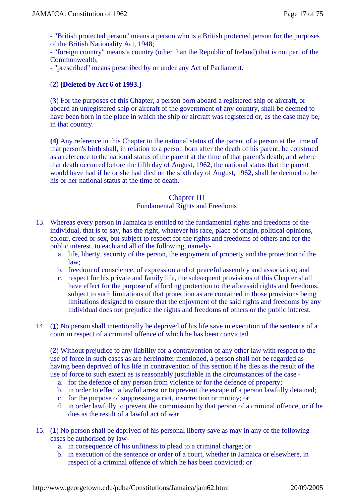- "British protected person" means a person who is a British protected person for the purposes of the British Nationality Act, 1948;

- "foreign country" means a country (other than the Republic of Ireland) that is not part of the Commonwealth;

- "prescribed" means prescribed by or under any Act of Parliament.

## (**2**) **[Deleted by Act 6 of 1993.]**

(**3**) For the purposes of this Chapter, a person born aboard a registered ship or aircraft, or aboard an unregistered ship or aircraft of the government of any country, shall be deemed to have been born in the place in which the ship or aircraft was registered or, as the case may be, in that country.

**(4)** Any reference in this Chapter to the national status of the parent of a person at the time of that person's birth shall, in relation to a person born after the death of his parent, be construed as a reference to the national status of the parent at the time of that parent's death; and where that death occurred before the fifth day of August, 1962, the national status that the parent would have had if he or she had died on the sixth day of August, 1962, shall be deemed to be his or her national status at the time of death.

## Chapter III

## Fundamental Rights and Freedoms

- 13. Whereas every person in Jamaica is entitled to the fundamental rights and freedoms of the individual, that is to say, has the right, whatever his race, place of origin, political opinions, colour, creed or sex, but subject to respect for the rights and freedoms of others and for the public interest, to each and all of the following, namely
	- a. life, liberty, security of the person, the enjoyment of property and the protection of the law;
	- b. freedom of conscience, of expression and of peaceful assembly and association; and
	- c. respect for his private and family life, the subsequent provisions of this Chapter shall have effect for the purpose of affording protection to the aforesaid rights and freedoms, subject to such limitations of that protection as are contained in those provisions being limitations designed to ensure that the enjoyment of the said rights and freedoms by any individual does not prejudice the rights and freedoms of others or the public interest.
- 14. (**1**) No person shall intentionally be deprived of his life save in execution of the sentence of a court in respect of a criminal offence of which he has been convicted.

(**2**) Without prejudice to any liability for a contravention of any other law with respect to the use of force in such cases as are hereinafter mentioned, a person shall not be regarded as having been deprived of his life in contravention of this section if he dies as the result of the use of force to such extent as is reasonably justifiable in the circumstances of the case -

- a. for the defence of any person from violence or for the defence of property;
- b. in order to effect a lawful arrest or to prevent the escape of a person lawfully detained;
- c. for the purpose of suppressing a riot, insurrection or mutiny; or
- d. in order lawfully to prevent the commission by that person of a criminal offence, or if he dies as the result of a lawful act of war.
- 15. (**1**) No person shall be deprived of his personal liberty save as may in any of the following cases be authorised by law
	- a. in consequence of his unfitness to plead to a criminal charge; or
	- b. in execution of the sentence or order of a court, whether in Jamaica or elsewhere, in respect of a criminal offence of which he has been convicted; or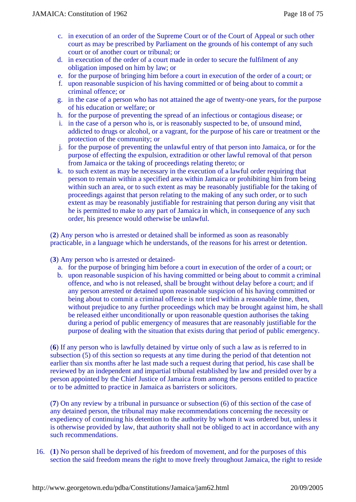- c. in execution of an order of the Supreme Court or of the Court of Appeal or such other court as may be prescribed by Parliament on the grounds of his contempt of any such court or of another court or tribunal; or
- d. in execution of the order of a court made in order to secure the fulfilment of any obligation imposed on him by law; or
- e. for the purpose of bringing him before a court in execution of the order of a court; or
- f. upon reasonable suspicion of his having committed or of being about to commit a criminal offence; or
- g. in the case of a person who has not attained the age of twenty-one years, for the purpose of his education or welfare; or
- h. for the purpose of preventing the spread of an infectious or contagious disease; or
- i. in the case of a person who is, or is reasonably suspected to be, of unsound mind, addicted to drugs or alcohol, or a vagrant, for the purpose of his care or treatment or the protection of the community; or
- j. for the purpose of preventing the unlawful entry of that person into Jamaica, or for the purpose of effecting the expulsion, extradition or other lawful removal of that person from Jamaica or the taking of proceedings relating thereto; or
- k. to such extent as may be necessary in the execution of a lawful order requiring that person to remain within a specified area within Jamaica or prohibiting him from being within such an area, or to such extent as may be reasonably justifiable for the taking of proceedings against that person relating to the making of any such order, or to such extent as may be reasonably justifiable for restraining that person during any visit that he is permitted to make to any part of Jamaica in which, in consequence of any such order, his presence would otherwise be unlawful.

(**2**) Any person who is arrested or detained shall be informed as soon as reasonably practicable, in a language which he understands, of the reasons for his arrest or detention.

(**3**) Any person who is arrested or detained-

- a. for the purpose of bringing him before a court in execution of the order of a court; or
- b. upon reasonable suspicion of his having committed or being about to commit a criminal offence, and who is not released, shall be brought without delay before a court; and if any person arrested or detained upon reasonable suspicion of his having committed or being about to commit a criminal offence is not tried within a reasonable time, then, without prejudice to any further proceedings which may be brought against him, he shall be released either unconditionally or upon reasonable question authorises the taking during a period of public emergency of measures that are reasonably justifiable for the purpose of dealing with the situation that exists during that period of public emergency.

(**6**) If any person who is lawfully detained by virtue only of such a law as is referred to in subsection (5) of this section so requests at any time during the period of that detention not earlier than six months after he last made such a request during that period, his case shall be reviewed by an independent and impartial tribunal established by law and presided over by a person appointed by the Chief Justice of Jamaica from among the persons entitled to practice or to be admitted to practice in Jamaica as barristers or solicitors.

(**7**) On any review by a tribunal in pursuance or subsection (6) of this section of the case of any detained person, the tribunal may make recommendations concerning the necessity or expediency of continuing his detention to the authority by whom it was ordered but, unless it is otherwise provided by law, that authority shall not be obliged to act in accordance with any such recommendations.

16. (**1**) No person shall be deprived of his freedom of movement, and for the purposes of this section the said freedom means the right to move freely throughout Jamaica, the right to reside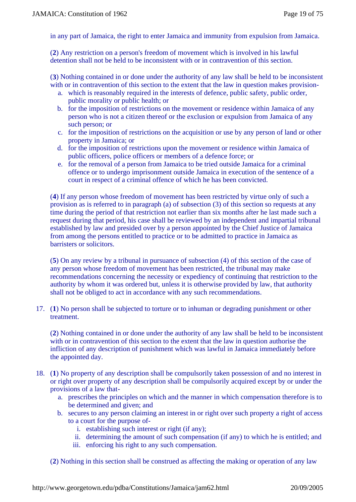in any part of Jamaica, the right to enter Jamaica and immunity from expulsion from Jamaica.

(**2**) Any restriction on a person's freedom of movement which is involved in his lawful detention shall not be held to be inconsistent with or in contravention of this section.

(**3**) Nothing contained in or done under the authority of any law shall be held to be inconsistent with or in contravention of this section to the extent that the law in question makes provision-

- a. which is reasonably required in the interests of defence, public safety, public order, public morality or public health; or
- b. for the imposition of restrictions on the movement or residence within Jamaica of any person who is not a citizen thereof or the exclusion or expulsion from Jamaica of any such person; or
- c. for the imposition of restrictions on the acquisition or use by any person of land or other property in Jamaica; or
- d. for the imposition of restrictions upon the movement or residence within Jamaica of public officers, police officers or members of a defence force; or
- e. for the removal of a person from Jamaica to be tried outside Jamaica for a criminal offence or to undergo imprisonment outside Jamaica in execution of the sentence of a court in respect of a criminal offence of which he has been convicted.

(**4**) If any person whose freedom of movement has been restricted by virtue only of such a provision as is referred to in paragraph (a) of subsection (3) of this section so requests at any time during the period of that restriction not earlier than six months after he last made such a request during that period, his case shall be reviewed by an independent and impartial tribunal established by law and presided over by a person appointed by the Chief Justice of Jamaica from among the persons entitled to practice or to be admitted to practice in Jamaica as barristers or solicitors.

(**5**) On any review by a tribunal in pursuance of subsection (4) of this section of the case of any person whose freedom of movement has been restricted, the tribunal may make recommendations concerning the necessity or expediency of continuing that restriction to the authority by whom it was ordered but, unless it is otherwise provided by law, that authority shall not be obliged to act in accordance with any such recommendations.

17. (**1**) No person shall be subjected to torture or to inhuman or degrading punishment or other treatment.

(**2**) Nothing contained in or done under the authority of any law shall be held to be inconsistent with or in contravention of this section to the extent that the law in question authorise the infliction of any description of punishment which was lawful in Jamaica immediately before the appointed day.

- 18. (**1**) No property of any description shall be compulsorily taken possession of and no interest in or right over property of any description shall be compulsorily acquired except by or under the provisions of a law that
	- a. prescribes the principles on which and the manner in which compensation therefore is to be determined and given; and
	- b. secures to any person claiming an interest in or right over such property a right of access to a court for the purpose of
		- i. establishing such interest or right (if any);
		- ii. determining the amount of such compensation (if any) to which he is entitled; and
		- iii. enforcing his right to any such compensation.

(**2**) Nothing in this section shall be construed as affecting the making or operation of any law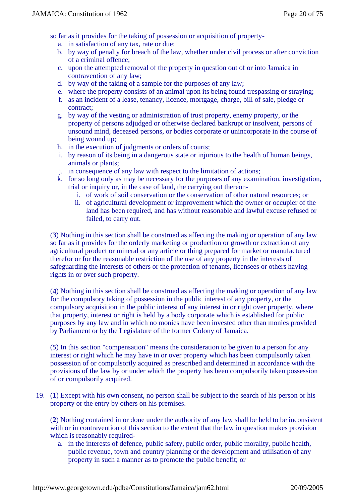so far as it provides for the taking of possession or acquisition of property-

- a. in satisfaction of any tax, rate or due:
- b. by way of penalty for breach of the law, whether under civil process or after conviction of a criminal offence;
- c. upon the attempted removal of the property in question out of or into Jamaica in contravention of any law;
- d. by way of the taking of a sample for the purposes of any law;
- e. where the property consists of an animal upon its being found trespassing or straying;
- f. as an incident of a lease, tenancy, licence, mortgage, charge, bill of sale, pledge or contract;
- g. by way of the vesting or administration of trust property, enemy property, or the property of persons adjudged or otherwise declared bankrupt or insolvent, persons of unsound mind, deceased persons, or bodies corporate or unincorporate in the course of being wound up;
- h. in the execution of judgments or orders of courts;
- i. by reason of its being in a dangerous state or injurious to the health of human beings, animals or plants;
- j. in consequence of any law with respect to the limitation of actions;
- k. for so long only as may be necessary for the purposes of any examination, investigation, trial or inquiry or, in the case of land, the carrying out thereon
	- i. of work of soil conservation or the conservation of other natural resources; or
	- ii. of agricultural development or improvement which the owner or occupier of the land has been required, and has without reasonable and lawful excuse refused or failed, to carry out.

(**3**) Nothing in this section shall be construed as affecting the making or operation of any law so far as it provides for the orderly marketing or production or growth or extraction of any agricultural product or mineral or any article or thing prepared for market or manufactured therefor or for the reasonable restriction of the use of any property in the interests of safeguarding the interests of others or the protection of tenants, licensees or others having rights in or over such property.

(**4**) Nothing in this section shall be construed as affecting the making or operation of any law for the compulsory taking of possession in the public interest of any property, or the compulsory acquisition in the public interest of any interest in or right over property, where that property, interest or right is held by a body corporate which is established for public purposes by any law and in which no monies have been invested other than monies provided by Parliament or by the Legislature of the former Colony of Jamaica.

(**5**) In this section "compensation" means the consideration to be given to a person for any interest or right which he may have in or over property which has been compulsorily taken possession of or compulsorily acquired as prescribed and determined in accordance with the provisions of the law by or under which the property has been compulsorily taken possession of or compulsorily acquired.

19. (**1**) Except with his own consent, no person shall be subject to the search of his person or his property or the entry by others on his premises.

(**2**) Nothing contained in or done under the authority of any law shall be held to be inconsistent with or in contravention of this section to the extent that the law in question makes provision which is reasonably required-

a. in the interests of defence, public safety, public order, public morality, public health, public revenue, town and country planning or the development and utilisation of any property in such a manner as to promote the public benefit; or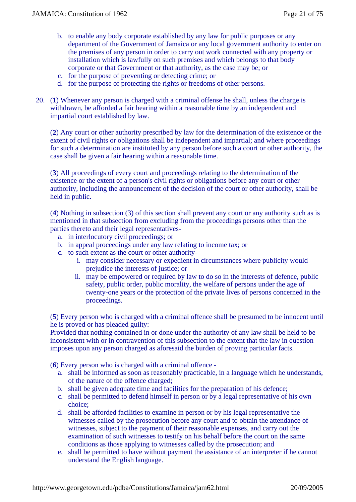- b. to enable any body corporate established by any law for public purposes or any department of the Government of Jamaica or any local government authority to enter on the premises of any person in order to carry out work connected with any property or installation which is lawfully on such premises and which belongs to that body corporate or that Government or that authority, as the case may be; or
- c. for the purpose of preventing or detecting crime; or
- d. for the purpose of protecting the rights or freedoms of other persons.
- 20. (**1**) Whenever any person is charged with a criminal offense he shall, unless the charge is withdrawn, be afforded a fair hearing within a reasonable time by an independent and impartial court established by law.

(**2**) Any court or other authority prescribed by law for the determination of the existence or the extent of civil rights or obligations shall be independent and impartial; and where proceedings for such a determination are instituted by any person before such a court or other authority, the case shall be given a fair hearing within a reasonable time.

(**3**) All proceedings of every court and proceedings relating to the determination of the existence or the extent of a person's civil rights or obligations before any court or other authority, including the announcement of the decision of the court or other authority, shall be held in public.

(**4**) Nothing in subsection (3) of this section shall prevent any court or any authority such as is mentioned in that subsection from excluding from the proceedings persons other than the parties thereto and their legal representatives-

- a. in interlocutory civil proceedings; or
- b. in appeal proceedings under any law relating to income tax; or
- c. to such extent as the court or other authority
	- i. may consider necessary or expedient in circumstances where publicity would prejudice the interests of justice; or
	- ii. may be empowered or required by law to do so in the interests of defence, public safety, public order, public morality, the welfare of persons under the age of twenty-one years or the protection of the private lives of persons concerned in the proceedings.

(**5**) Every person who is charged with a criminal offence shall be presumed to be innocent until he is proved or has pleaded guilty:

Provided that nothing contained in or done under the authority of any law shall be held to be inconsistent with or in contravention of this subsection to the extent that the law in question imposes upon any person charged as aforesaid the burden of proving particular facts.

(**6**) Every person who is charged with a criminal offence -

- a. shall be informed as soon as reasonably practicable, in a language which he understands, of the nature of the offence charged;
- b. shall be given adequate time and facilities for the preparation of his defence;
- c. shall be permitted to defend himself in person or by a legal representative of his own choice;
- d. shall be afforded facilities to examine in person or by his legal representative the witnesses called by the prosecution before any court and to obtain the attendance of witnesses, subject to the payment of their reasonable expenses, and carry out the examination of such witnesses to testify on his behalf before the court on the same conditions as those applying to witnesses called by the prosecution; and
- e. shall be permitted to have without payment the assistance of an interpreter if he cannot understand the English language.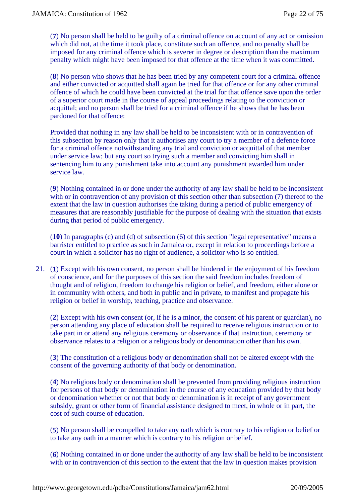(**7**) No person shall be held to be guilty of a criminal offence on account of any act or omission which did not, at the time it took place, constitute such an offence, and no penalty shall be imposed for any criminal offence which is severer in degree or description than the maximum penalty which might have been imposed for that offence at the time when it was committed.

(**8**) No person who shows that he has been tried by any competent court for a criminal offence and either convicted or acquitted shall again be tried for that offence or for any other criminal offence of which he could have been convicted at the trial for that offence save upon the order of a superior court made in the course of appeal proceedings relating to the conviction or acquittal; and no person shall be tried for a criminal offence if he shows that he has been pardoned for that offence:

Provided that nothing in any law shall be held to be inconsistent with or in contravention of this subsection by reason only that it authorises any court to try a member of a defence force for a criminal offence notwithstanding any trial and conviction or acquittal of that member under service law; but any court so trying such a member and convicting him shall in sentencing him to any punishment take into account any punishment awarded him under service law.

(**9**) Nothing contained in or done under the authority of any law shall be held to be inconsistent with or in contravention of any provision of this section other than subsection (7) thereof to the extent that the law in question authorises the taking during a period of public emergency of measures that are reasonably justifiable for the purpose of dealing with the situation that exists during that period of public emergency.

(**10**) In paragraphs (c) and (d) of subsection (6) of this section "legal representative" means a barrister entitled to practice as such in Jamaica or, except in relation to proceedings before a court in which a solicitor has no right of audience, a solicitor who is so entitled.

21. (**1**) Except with his own consent, no person shall be hindered in the enjoyment of his freedom of conscience, and for the purposes of this section the said freedom includes freedom of thought and of religion, freedom to change his religion or belief, and freedom, either alone or in community with others, and both in public and in private, to manifest and propagate his religion or belief in worship, teaching, practice and observance.

(**2**) Except with his own consent (or, if he is a minor, the consent of his parent or guardian), no person attending any place of education shall be required to receive religious instruction or to take part in or attend any religious ceremony or observance if that instruction, ceremony or observance relates to a religion or a religious body or denomination other than his own.

(**3**) The constitution of a religious body or denomination shall not be altered except with the consent of the governing authority of that body or denomination.

(**4**) No religious body or denomination shall be prevented from providing religious instruction for persons of that body or denomination in the course of any education provided by that body or denomination whether or not that body or denomination is in receipt of any government subsidy, grant or other form of financial assistance designed to meet, in whole or in part, the cost of such course of education.

(**5**) No person shall be compelled to take any oath which is contrary to his religion or belief or to take any oath in a manner which is contrary to his religion or belief.

(**6**) Nothing contained in or done under the authority of any law shall be held to be inconsistent with or in contravention of this section to the extent that the law in question makes provision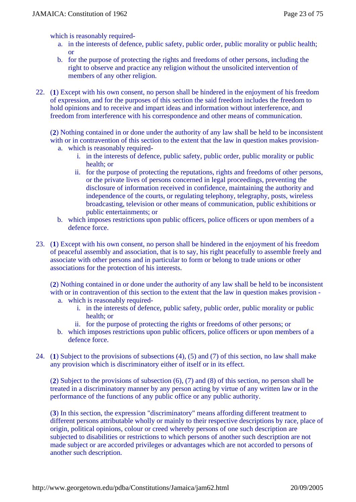which is reasonably required-

- a. in the interests of defence, public safety, public order, public morality or public health; or
- b. for the purpose of protecting the rights and freedoms of other persons, including the right to observe and practice any religion without the unsolicited intervention of members of any other religion.
- 22. (**1**) Except with his own consent, no person shall be hindered in the enjoyment of his freedom of expression, and for the purposes of this section the said freedom includes the freedom to hold opinions and to receive and impart ideas and information without interference, and freedom from interference with his correspondence and other means of communication.

(**2**) Nothing contained in or done under the authority of any law shall be held to be inconsistent with or in contravention of this section to the extent that the law in question makes provisiona. which is reasonably required-

- i. in the interests of defence, public safety, public order, public morality or public
	- health; or
	- ii. for the purpose of protecting the reputations, rights and freedoms of other persons, or the private lives of persons concerned in legal proceedings, preventing the disclosure of information received in confidence, maintaining the authority and independence of the courts, or regulating telephony, telegraphy, posts, wireless broadcasting, television or other means of communication, public exhibitions or public entertainments; or
- b. which imposes restrictions upon public officers, police officers or upon members of a defence force.
- 23. (**1**) Except with his own consent, no person shall be hindered in the enjoyment of his freedom of peaceful assembly and association, that is to say, his right peacefully to assemble freely and associate with other persons and in particular to form or belong to trade unions or other associations for the protection of his interests.

(**2**) Nothing contained in or done under the authority of any law shall be held to be inconsistent with or in contravention of this section to the extent that the law in question makes provision -

- a. which is reasonably required
	- i. in the interests of defence, public safety, public order, public morality or public health; or
	- ii. for the purpose of protecting the rights or freedoms of other persons; or
- b. which imposes restrictions upon public officers, police officers or upon members of a defence force.
- 24. (**1**) Subject to the provisions of subsections (4), (5) and (7) of this section, no law shall make any provision which is discriminatory either of itself or in its effect.

(**2**) Subject to the provisions of subsection (6), (7) and (8) of this section, no person shall be treated in a discriminatory manner by any person acting by virtue of any written law or in the performance of the functions of any public office or any public authority.

(**3**) In this section, the expression "discriminatory" means affording different treatment to different persons attributable wholly or mainly to their respective descriptions by race, place of origin, political opinions, colour or creed whereby persons of one such description are subjected to disabilities or restrictions to which persons of another such description are not made subject or are accorded privileges or advantages which are not accorded to persons of another such description.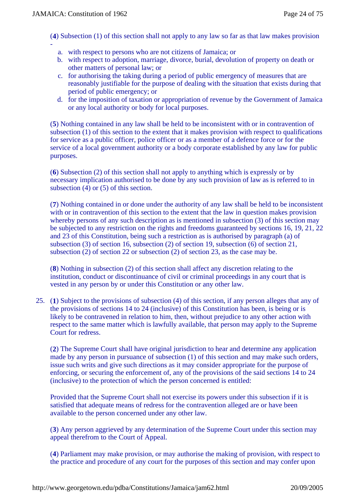-

(**4**) Subsection (1) of this section shall not apply to any law so far as that law makes provision

- a. with respect to persons who are not citizens of Jamaica; or
- b. with respect to adoption, marriage, divorce, burial, devolution of property on death or other matters of personal law; or
- c. for authorising the taking during a period of public emergency of measures that are reasonably justifiable for the purpose of dealing with the situation that exists during that period of public emergency; or
- d. for the imposition of taxation or appropriation of revenue by the Government of Jamaica or any local authority or body for local purposes.

(**5**) Nothing contained in any law shall be held to be inconsistent with or in contravention of subsection (1) of this section to the extent that it makes provision with respect to qualifications for service as a public officer, police officer or as a member of a defence force or for the service of a local government authority or a body corporate established by any law for public purposes.

(**6**) Subsection (2) of this section shall not apply to anything which is expressly or by necessary implication authorised to be done by any such provision of law as is referred to in subsection (4) or (5) of this section.

(**7**) Nothing contained in or done under the authority of any law shall be held to be inconsistent with or in contravention of this section to the extent that the law in question makes provision whereby persons of any such description as is mentioned in subsection (3) of this section may be subjected to any restriction on the rights and freedoms guaranteed by sections 16, 19, 21, 22 and 23 of this Constitution, being such a restriction as is authorised by paragraph (a) of subsection (3) of section 16, subsection (2) of section 19, subsection (6) of section 21, subsection (2) of section 22 or subsection (2) of section 23, as the case may be.

(**8**) Nothing in subsection (2) of this section shall affect any discretion relating to the institution, conduct or discontinuance of civil or criminal proceedings in any court that is vested in any person by or under this Constitution or any other law.

25. (**1**) Subject to the provisions of subsection (4) of this section, if any person alleges that any of the provisions of sections 14 to 24 (inclusive) of this Constitution has been, is being or is likely to be contravened in relation to him, then, without prejudice to any other action with respect to the same matter which is lawfully available, that person may apply to the Supreme Court for redress.

(**2**) The Supreme Court shall have original jurisdiction to hear and determine any application made by any person in pursuance of subsection (1) of this section and may make such orders, issue such writs and give such directions as it may consider appropriate for the purpose of enforcing, or securing the enforcement of, any of the provisions of the said sections 14 to 24 (inclusive) to the protection of which the person concerned is entitled:

Provided that the Supreme Court shall not exercise its powers under this subsection if it is satisfied that adequate means of redress for the contravention alleged are or have been available to the person concerned under any other law.

(**3**) Any person aggrieved by any determination of the Supreme Court under this section may appeal therefrom to the Court of Appeal.

(**4**) Parliament may make provision, or may authorise the making of provision, with respect to the practice and procedure of any court for the purposes of this section and may confer upon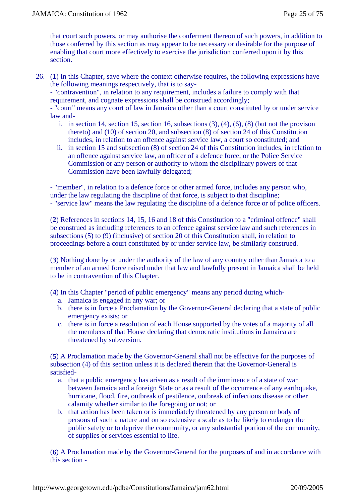that court such powers, or may authorise the conferment thereon of such powers, in addition to those conferred by this section as may appear to be necessary or desirable for the purpose of enabling that court more effectively to exercise the jurisdiction conferred upon it by this section.

26. (**1**) In this Chapter, save where the context otherwise requires, the following expressions have the following meanings respectively, that is to say-

- "contravention", in relation to any requirement, includes a failure to comply with that requirement, and cognate expressions shall be construed accordingly;

- "court" means any court of law in Jamaica other than a court constituted by or under service law and-

- i. in section 14, section 15, section 16, subsections  $(3)$ ,  $(4)$ ,  $(6)$ ,  $(8)$  (but not the provison thereto) and (10) of section 20, and subsection (8) of section 24 of this Constitution includes, in relation to an offence against service law, a court so constituted; and
- ii. in section 15 and subsection (8) of section 24 of this Constitution includes, in relation to an offence against service law, an officer of a defence force, or the Police Service Commission or any person or authority to whom the disciplinary powers of that Commission have been lawfully delegated;

- "member", in relation to a defence force or other armed force, includes any person who, under the law regulating the discipline of that force, is subject to that discipline; - "service law" means the law regulating the discipline of a defence force or of police officers.

(**2**) References in sections 14, 15, 16 and 18 of this Constitution to a "criminal offence" shall be construed as including references to an offence against service law and such references in subsections (5) to (9) (inclusive) of section 20 of this Constitution shall, in relation to proceedings before a court constituted by or under service law, be similarly construed.

(**3**) Nothing done by or under the authority of the law of any country other than Jamaica to a member of an armed force raised under that law and lawfully present in Jamaica shall be held to be in contravention of this Chapter.

(**4**) In this Chapter "period of public emergency" means any period during which-

- a. Jamaica is engaged in any war; or
- b. there is in force a Proclamation by the Governor-General declaring that a state of public emergency exists; or
- c. there is in force a resolution of each House supported by the votes of a majority of all the members of that House declaring that democratic institutions in Jamaica are threatened by subversion.

(**5**) A Proclamation made by the Governor-General shall not be effective for the purposes of subsection (4) of this section unless it is declared therein that the Governor-General is satisfied-

- a. that a public emergency has arisen as a result of the imminence of a state of war between Jamaica and a foreign State or as a result of the occurrence of any earthquake, hurricane, flood, fire, outbreak of pestilence, outbreak of infectious disease or other calamity whether similar to the foregoing or not; or
- b. that action has been taken or is immediately threatened by any person or body of persons of such a nature and on so extensive a scale as to be likely to endanger the public safety or to deprive the community, or any substantial portion of the community, of supplies or services essential to life.

(**6**) A Proclamation made by the Governor-General for the purposes of and in accordance with this section -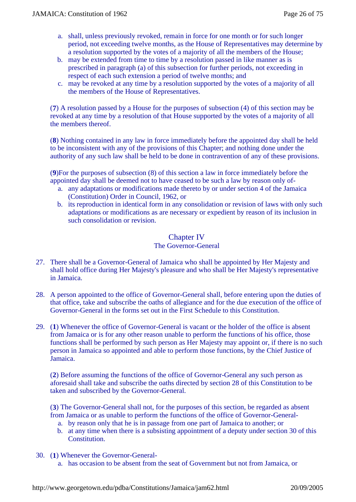- a. shall, unless previously revoked, remain in force for one month or for such longer period, not exceeding twelve months, as the House of Representatives may determine by a resolution supported by the votes of a majority of all the members of the House;
- b. may be extended from time to time by a resolution passed in like manner as is prescribed in paragraph (a) of this subsection for further periods, not exceeding in respect of each such extension a period of twelve months; and
- c. may be revoked at any time by a resolution supported by the votes of a majority of all the members of the House of Representatives.

(**7**) A resolution passed by a House for the purposes of subsection (4) of this section may be revoked at any time by a resolution of that House supported by the votes of a majority of all the members thereof.

(**8**) Nothing contained in any law in force immediately before the appointed day shall be held to be inconsistent with any of the provisions of this Chapter; and nothing done under the authority of any such law shall be held to be done in contravention of any of these provisions.

(**9**)For the purposes of subsection (8) of this section a law in force immediately before the appointed day shall be deemed not to have ceased to be such a law by reason only of-

- a. any adaptations or modifications made thereto by or under section 4 of the Jamaica (Constitution) Order in Council, 1962, or
- b. its reproduction in identical form in any consolidation or revision of laws with only such adaptations or modifications as are necessary or expedient by reason of its inclusion in such consolidation or revision.

## Chapter IV

## The Governor-General

- 27. There shall be a Governor-General of Jamaica who shall be appointed by Her Majesty and shall hold office during Her Majesty's pleasure and who shall be Her Majesty's representative in Jamaica.
- 28. A person appointed to the office of Governor-General shall, before entering upon the duties of that office, take and subscribe the oaths of allegiance and for the due execution of the office of Governor-General in the forms set out in the First Schedule to this Constitution.
- 29. (**1**) Whenever the office of Governor-General is vacant or the holder of the office is absent from Jamaica or is for any other reason unable to perform the functions of his office, those functions shall be performed by such person as Her Majesty may appoint or, if there is no such person in Jamaica so appointed and able to perform those functions, by the Chief Justice of Jamaica.

(**2**) Before assuming the functions of the office of Governor-General any such person as aforesaid shall take and subscribe the oaths directed by section 28 of this Constitution to be taken and subscribed by the Governor-General.

(**3**) The Governor-General shall not, for the purposes of this section, be regarded as absent from Jamaica or as unable to perform the functions of the office of Governor-General-

- a. by reason only that he is in passage from one part of Jamaica to another; or
- b. at any time when there is a subsisting appointment of a deputy under section 30 of this Constitution.
- 30. (**1**) Whenever the Governor-General
	- a. has occasion to be absent from the seat of Government but not from Jamaica, or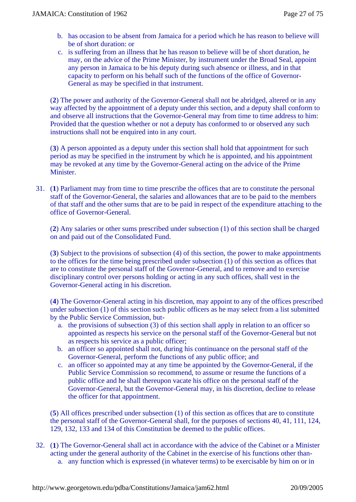- b. has occasion to be absent from Jamaica for a period which he has reason to believe will be of short duration: or
- c. is suffering from an illness that he has reason to believe will be of short duration, he may, on the advice of the Prime Minister, by instrument under the Broad Seal, appoint any person in Jamaica to be his deputy during such absence or illness, and in that capacity to perform on his behalf such of the functions of the office of Governor-General as may be specified in that instrument.

(**2**) The power and authority of the Governor-General shall not be abridged, altered or in any way affected by the appointment of a deputy under this section, and a deputy shall conform to and observe all instructions that the Governor-General may from time to time address to him: Provided that the question whether or not a deputy has conformed to or observed any such instructions shall not be enquired into in any court.

(**3**) A person appointed as a deputy under this section shall hold that appointment for such period as may be specified in the instrument by which he is appointed, and his appointment may be revoked at any time by the Governor-General acting on the advice of the Prime Minister.

31. (**1**) Parliament may from time to time prescribe the offices that are to constitute the personal staff of the Governor-General, the salaries and allowances that are to be paid to the members of that staff and the other sums that are to be paid in respect of the expenditure attaching to the office of Governor-General.

(**2**) Any salaries or other sums prescribed under subsection (1) of this section shall be charged on and paid out of the Consolidated Fund.

(**3**) Subject to the provisions of subsection (4) of this section, the power to make appointments to the offices for the time being prescribed under subsection (1) of this section as offices that are to constitute the personal staff of the Governor-General, and to remove and to exercise disciplinary control over persons holding or acting in any such offices, shall vest in the Governor-General acting in his discretion.

(**4**) The Governor-General acting in his discretion, may appoint to any of the offices prescribed under subsection (1) of this section such public officers as he may select from a list submitted by the Public Service Commission, but-

- a. the provisions of subsection (3) of this section shall apply in relation to an officer so appointed as respects his service on the personal staff of the Governor-General but not as respects his service as a public officer;
- b. an officer so appointed shall not, during his continuance on the personal staff of the Governor-General, perform the functions of any public office; and
- c. an officer so appointed may at any time be appointed by the Governor-General, if the Public Service Commission so recommend, to assume or resume the functions of a public office and he shall thereupon vacate his office on the personal staff of the Governor-General, but the Governor-General may, in his discretion, decline to release the officer for that appointment.

(**5**) All offices prescribed under subsection (1) of this section as offices that are to constitute the personal staff of the Governor-General shall, for the purposes of sections 40, 41, 111, 124, 129, 132, 133 and 134 of this Constitution be deemed to the public offices.

32. (**1**) The Governor-General shall act in accordance with the advice of the Cabinet or a Minister acting under the general authority of the Cabinet in the exercise of his functions other thana. any function which is expressed (in whatever terms) to be exercisable by him on or in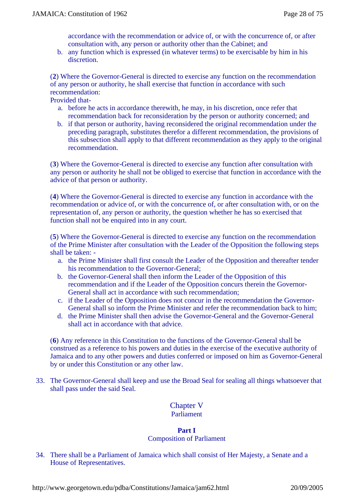accordance with the recommendation or advice of, or with the concurrence of, or after consultation with, any person or authority other than the Cabinet; and

b. any function which is expressed (in whatever terms) to be exercisable by him in his discretion.

(**2**) Where the Governor-General is directed to exercise any function on the recommendation of any person or authority, he shall exercise that function in accordance with such recommendation:

Provided that-

- a. before he acts in accordance therewith, he may, in his discretion, once refer that recommendation back for reconsideration by the person or authority concerned; and
- b. if that person or authority, having reconsidered the original recommendation under the preceding paragraph, substitutes therefor a different recommendation, the provisions of this subsection shall apply to that different recommendation as they apply to the original recommendation.

(**3**) Where the Governor-General is directed to exercise any function after consultation with any person or authority he shall not be obliged to exercise that function in accordance with the advice of that person or authority.

(**4**) Where the Governor-General is directed to exercise any function in accordance with the recommendation or advice of, or with the concurrence of, or after consultation with, or on the representation of, any person or authority, the question whether he has so exercised that function shall not be enquired into in any court.

(**5**) Where the Governor-General is directed to exercise any function on the recommendation of the Prime Minister after consultation with the Leader of the Opposition the following steps shall be taken: -

- a. the Prime Minister shall first consult the Leader of the Opposition and thereafter tender his recommendation to the Governor-General;
- b. the Governor-General shall then inform the Leader of the Opposition of this recommendation and if the Leader of the Opposition concurs therein the Governor-General shall act in accordance with such recommendation;
- c. if the Leader of the Opposition does not concur in the recommendation the Governor-General shall so inform the Prime Minister and refer the recommendation back to him;
- d. the Prime Minister shall then advise the Governor-General and the Governor-General shall act in accordance with that advice.

(**6**) Any reference in this Constitution to the functions of the Governor-General shall be construed as a reference to his powers and duties in the exercise of the executive authority of Jamaica and to any other powers and duties conferred or imposed on him as Governor-General by or under this Constitution or any other law.

33. The Governor-General shall keep and use the Broad Seal for sealing all things whatsoever that shall pass under the said Seal.

## Chapter V Parliament

#### **Part I** Composition of Parliament

34. There shall be a Parliament of Jamaica which shall consist of Her Majesty, a Senate and a House of Representatives.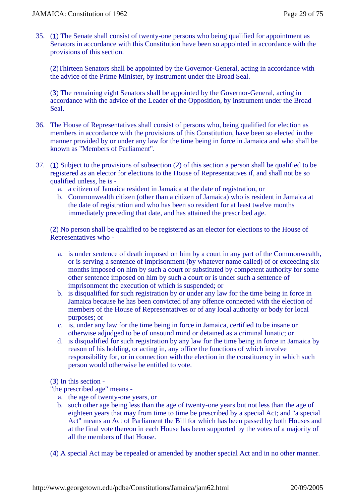35. (**1**) The Senate shall consist of twenty-one persons who being qualified for appointment as Senators in accordance with this Constitution have been so appointed in accordance with the provisions of this section.

(**2**)Thirteen Senators shall be appointed by the Governor-General, acting in accordance with the advice of the Prime Minister, by instrument under the Broad Seal.

(**3**) The remaining eight Senators shall be appointed by the Governor-General, acting in accordance with the advice of the Leader of the Opposition, by instrument under the Broad Seal.

- 36. The House of Representatives shall consist of persons who, being qualified for election as members in accordance with the provisions of this Constitution, have been so elected in the manner provided by or under any law for the time being in force in Jamaica and who shall be known as "Members of Parliament".
- 37. (**1**) Subject to the provisions of subsection (2) of this section a person shall be qualified to be registered as an elector for elections to the House of Representatives if, and shall not be so qualified unless, he is
	- a. a citizen of Jamaica resident in Jamaica at the date of registration, or
	- b. Commonwealth citizen (other than a citizen of Jamaica) who is resident in Jamaica at the date of registration and who has been so resident for at least twelve months immediately preceding that date, and has attained the prescribed age.

(**2**) No person shall be qualified to be registered as an elector for elections to the House of Representatives who -

- a. is under sentence of death imposed on him by a court in any part of the Commonwealth, or is serving a sentence of imprisonment (by whatever name called) of or exceeding six months imposed on him by such a court or substituted by competent authority for some other sentence imposed on him by such a court or is under such a sentence of imprisonment the execution of which is suspended; or
- b. is disqualified for such registration by or under any law for the time being in force in Jamaica because he has been convicted of any offence connected with the election of members of the House of Representatives or of any local authority or body for local purposes; or
- c. is, under any law for the time being in force in Jamaica, certified to be insane or otherwise adjudged to be of unsound mind or detained as a criminal lunatic; or
- d. is disqualified for such registration by any law for the time being in force in Jamaica by reason of his holding, or acting in, any office the functions of which involve responsibility for, or in connection with the election in the constituency in which such person would otherwise be entitled to vote.

(**3**) In this section -

"the prescribed age" means -

- a. the age of twenty-one years, or
- b. such other age being less than the age of twenty-one years but not less than the age of eighteen years that may from time to time be prescribed by a special Act; and "a special Act" means an Act of Parliament the Bill for which has been passed by both Houses and at the final vote thereon in each House has been supported by the votes of a majority of all the members of that House.

(**4**) A special Act may be repealed or amended by another special Act and in no other manner.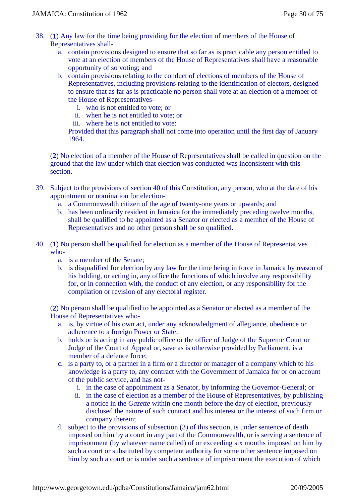- 38. (**1**) Any law for the time being providing for the election of members of the House of Representatives shall
	- a. contain provisions designed to ensure that so far as is practicable any person entitled to vote at an election of members of the House of Representatives shall have a reasonable opportunity of so voting; and
	- b. contain provisions relating to the conduct of elections of members of the House of Representatives, including provisions relating to the identification of electors, designed to ensure that as far as is practicable no person shall vote at an election of a member of the House of Representatives
		- i. who is not entitled to vote; or
		- ii. when he is not entitled to vote; or
		- iii. where he is not entitled to vote:

Provided that this paragraph shall not come into operation until the first day of January 1964.

(**2**) No election of a member of the House of Representatives shall be called in question on the ground that the law under which that election was conducted was inconsistent with this section.

- 39. Subject to the provisions of section 40 of this Constitution, any person, who at the date of his appointment or nomination for election
	- a. a Commonwealth citizen of the age of twenty-one years or upwards; and
	- b. has been ordinarily resident in Jamaica for the immediately preceding twelve months, shall be qualified to be appointed as a Senator or elected as a member of the House of Representatives and no other person shall be so qualified.
- 40. (**1**) No person shall be qualified for election as a member of the House of Representatives who
	- a. is a member of the Senate;
	- b. is disqualified for election by any law for the time being in force in Jamaica by reason of his holding, or acting in, any office the functions of which involve any responsibility for, or in connection with, the conduct of any election, or any responsibility for the compilation or revision of any electoral register.

(**2**) No person shall be qualified to be appointed as a Senator or elected as a member of the House of Representatives who-

- a. is, by virtue of his own act, under any acknowledgment of allegiance, obedience or adherence to a foreign Power or State;
- b. holds or is acting in any public office or the office of Judge of the Supreme Court or Judge of the Court of Appeal or, save as is otherwise provided by Parliament, is a member of a defence force;
- c. is a party to, or a partner in a firm or a director or manager of a company which to his knowledge is a party to, any contract with the Government of Jamaica for or on account of the public service, and has not
	- i. in the case of appointment as a Senator, by informing the Governor-General; or
	- ii. in the case of election as a member of the House of Representatives, by publishing a notice in the *Gazette* within one month before the day of election, previously disclosed the nature of such contract and his interest or the interest of such firm or company therein;
- d. subject to the provisions of subsection (3) of this section, is under sentence of death imposed on him by a court in any part of the Commonwealth, or is serving a sentence of imprisonment (by whatever name called) of or exceeding six months imposed on him by such a court or substituted by competent authority for some other sentence imposed on him by such a court or is under such a sentence of imprisonment the execution of which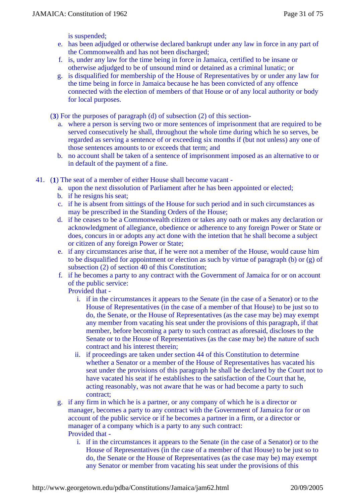is suspended;

- e. has been adjudged or otherwise declared bankrupt under any law in force in any part of the Commonwealth and has not been discharged;
- f. is, under any law for the time being in force in Jamaica, certified to be insane or otherwise adjudged to be of unsound mind or detained as a criminal lunatic; or
- g. is disqualified for membership of the House of Representatives by or under any law for the time being in force in Jamaica because he has been convicted of any offence connected with the election of members of that House or of any local authority or body for local purposes.
- (**3**) For the purposes of paragraph (d) of subsection (2) of this section
	- a. where a person is serving two or more sentences of imprisonment that are required to be served consecutively he shall, throughout the whole time during which he so serves, be regarded as serving a sentence of or exceeding six months if (but not unless) any one of those sentences amounts to or exceeds that term; and
	- b. no account shall be taken of a sentence of imprisonment imposed as an alternative to or in default of the payment of a fine.
- 41. (**1**) The seat of a member of either House shall become vacant
	- a. upon the next dissolution of Parliament after he has been appointed or elected;
	- b. if he resigns his seat;
	- c. if he is absent from sittings of the House for such period and in such circumstances as may be prescribed in the Standing Orders of the House;
	- d. if he ceases to be a Commonwealth citizen or takes any oath or makes any declaration or acknowledgment of allegiance, obedience or adherence to any foreign Power or State or does, concurs in or adopts any act done with the intetion that he shall become a subject or citizen of any foreign Power or State;
	- e. if any circumstances arise that, if he were not a member of the House, would cause him to be disqualified for appointment or election as such by virtue of paragraph (b) or (g) of subsection (2) of section 40 of this Constitution;
	- f. if he becomes a party to any contract with the Government of Jamaica for or on account of the public service:

Provided that -

- i. if in the circumstances it appears to the Senate (in the case of a Senator) or to the House of Representatives (in the case of a member of that House) to be just so to do, the Senate, or the House of Representatives (as the case may be) may exempt any member from vacating his seat under the provisions of this paragraph, if that member, before becoming a party to such contract as aforesaid, discloses to the Senate or to the House of Representatives (as the case may be) the nature of such contract and his interest therein;
- ii. if proceedings are taken under section 44 of this Constitution to determine whether a Senator or a member of the House of Representatives has vacated his seat under the provisions of this paragraph he shall be declared by the Court not to have vacated his seat if he establishes to the satisfaction of the Court that he, acting reasonably, was not aware that he was or had become a party to such contract;
- g. if any firm in which he is a partner, or any company of which he is a director or manager, becomes a party to any contract with the Government of Jamaica for or on account of the public service or if he becomes a partner in a firm, or a director or manager of a company which is a party to any such contract: Provided that
	- i. if in the circumstances it appears to the Senate (in the case of a Senator) or to the House of Representatives (in the case of a member of that House) to be just so to do, the Senate or the House of Representatives (as the case may be) may exempt any Senator or member from vacating his seat under the provisions of this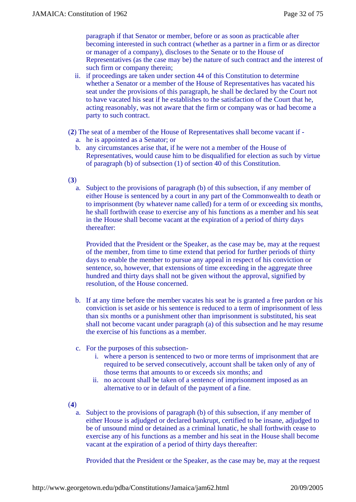paragraph if that Senator or member, before or as soon as practicable after becoming interested in such contract (whether as a partner in a firm or as director or manager of a company), discloses to the Senate or to the House of Representatives (as the case may be) the nature of such contract and the interest of such firm or company therein;

- ii. if proceedings are taken under section 44 of this Constitution to determine whether a Senator or a member of the House of Representatives has vacated his seat under the provisions of this paragraph, he shall be declared by the Court not to have vacated his seat if he establishes to the satisfaction of the Court that he, acting reasonably, was not aware that the firm or company was or had become a party to such contract.
- (**2**) The seat of a member of the House of Representatives shall become vacant if
	- a. he is appointed as a Senator; or
	- b. any circumstances arise that, if he were not a member of the House of Representatives, would cause him to be disqualified for election as such by virtue of paragraph (b) of subsection (1) of section 40 of this Constitution.
- (**3**)
	- a. Subject to the provisions of paragraph (b) of this subsection, if any member of either House is sentenced by a court in any part of the Commonwealth to death or to imprisonment (by whatever name called) for a term of or exceeding six months, he shall forthwith cease to exercise any of his functions as a member and his seat in the House shall become vacant at the expiration of a period of thirty days thereafter:

Provided that the President or the Speaker, as the case may be, may at the request of the member, from time to time extend that period for further periods of thirty days to enable the member to pursue any appeal in respect of his conviction or sentence, so, however, that extensions of time exceeding in the aggregate three hundred and thirty days shall not be given without the approval, signified by resolution, of the House concerned.

- b. If at any time before the member vacates his seat he is granted a free pardon or his conviction is set aside or his sentence is reduced to a term of imprisonment of less than six months or a punishment other than imprisonment is substituted, his seat shall not become vacant under paragraph (a) of this subsection and he may resume the exercise of his functions as a member.
- c. For the purposes of this subsection
	- i. where a person is sentenced to two or more terms of imprisonment that are required to be served consecutively, account shall be taken only of any of those terms that amounts to or exceeds six months; and
	- ii. no account shall be taken of a sentence of imprisonment imposed as an alternative to or in default of the payment of a fine.
- (**4**)
	- a. Subject to the provisions of paragraph (b) of this subsection, if any member of either House is adjudged or declared bankrupt, certified to be insane, adjudged to be of unsound mind or detained as a criminal lunatic, he shall forthwith cease to exercise any of his functions as a member and his seat in the House shall become vacant at the expiration of a period of thirty days thereafter:

Provided that the President or the Speaker, as the case may be, may at the request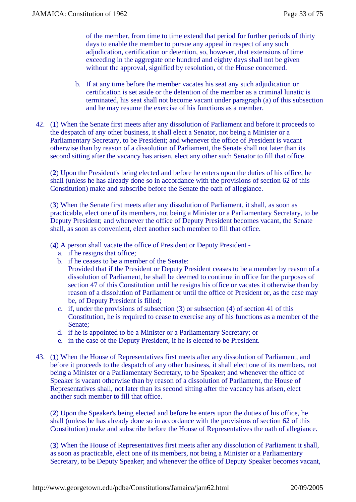of the member, from time to time extend that period for further periods of thirty days to enable the member to pursue any appeal in respect of any such adjudication, certification or detention, so, however, that extensions of time exceeding in the aggregate one hundred and eighty days shall not be given without the approval, signified by resolution, of the House concerned.

- b. If at any time before the member vacates his seat any such adjudication or certification is set aside or the detention of the member as a criminal lunatic is terminated, his seat shall not become vacant under paragraph (a) of this subsection and he may resume the exercise of his functions as a member.
- 42. (**1**) When the Senate first meets after any dissolution of Parliament and before it proceeds to the despatch of any other business, it shall elect a Senator, not being a Minister or a Parliamentary Secretary, to be President; and whenever the office of President is vacant otherwise than by reason of a dissolution of Parliament, the Senate shall not later than its second sitting after the vacancy has arisen, elect any other such Senator to fill that office.

(**2**) Upon the President's being elected and before he enters upon the duties of his office, he shall (unless he has already done so in accordance with the provisions of section 62 of this Constitution) make and subscribe before the Senate the oath of allegiance.

(**3**) When the Senate first meets after any dissolution of Parliament, it shall, as soon as practicable, elect one of its members, not being a Minister or a Parliamentary Secretary, to be Deputy President; and whenever the office of Deputy President becomes vacant, the Senate shall, as soon as convenient, elect another such member to fill that office.

- (**4**) A person shall vacate the office of President or Deputy President
	- a. if he resigns that office;
	- b. if he ceases to be a member of the Senate:
	- Provided that if the President or Deputy President ceases to be a member by reason of a dissolution of Parliament, he shall be deemed to continue in office for the purposes of section 47 of this Constitution until he resigns his office or vacates it otherwise than by reason of a dissolution of Parliament or until the office of President or, as the case may be, of Deputy President is filled;
	- c. if, under the provisions of subsection (3) or subsection (4) of section 41 of this Constitution, he is required to cease to exercise any of his functions as a member of the Senate;
	- d. if he is appointed to be a Minister or a Parliamentary Secretary; or
	- e. in the case of the Deputy President, if he is elected to be President.
- 43. (**1**) When the House of Representatives first meets after any dissolution of Parliament, and before it proceeds to the despatch of any other business, it shall elect one of its members, not being a Minister or a Parliamentary Secretary, to be Speaker; and whenever the office of Speaker is vacant otherwise than by reason of a dissolution of Parliament, the House of Representatives shall, not later than its second sitting after the vacancy has arisen, elect another such member to fill that office.

(**2**) Upon the Speaker's being elected and before he enters upon the duties of his office, he shall (unless he has already done so in accordance with the provisions of section 62 of this Constitution) make and subscribe before the House of Representatives the oath of allegiance.

(**3**) When the House of Representatives first meets after any dissolution of Parliament it shall, as soon as practicable, elect one of its members, not being a Minister or a Parliamentary Secretary, to be Deputy Speaker; and whenever the office of Deputy Speaker becomes vacant,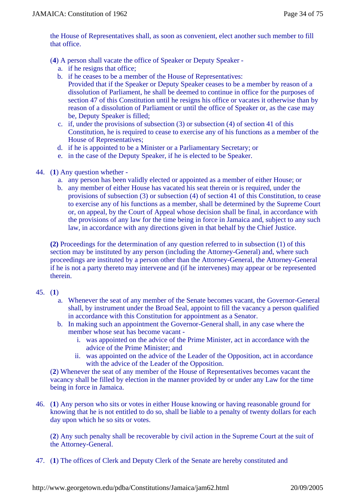the House of Representatives shall, as soon as convenient, elect another such member to fill that office.

(**4**) A person shall vacate the office of Speaker or Deputy Speaker -

- a. if he resigns that office;
- b. if he ceases to be a member of the House of Representatives: Provided that if the Speaker or Deputy Speaker ceases to be a member by reason of a dissolution of Parliament, he shall be deemed to continue in office for the purposes of section 47 of this Constitution until he resigns his office or vacates it otherwise than by reason of a dissolution of Parliament or until the office of Speaker or, as the case may
- be, Deputy Speaker is filled; c. if, under the provisions of subsection (3) or subsection (4) of section 41 of this Constitution, he is required to cease to exercise any of his functions as a member of the House of Representatives;
- d. if he is appointed to be a Minister or a Parliamentary Secretary; or
- e. in the case of the Deputy Speaker, if he is elected to be Speaker.

## 44. (**1**) Any question whether -

- a. any person has been validly elected or appointed as a member of either House; or
- b. any member of either House has vacated his seat therein or is required, under the provisions of subsection (3) or subsection (4) of section 41 of this Constitution, to cease to exercise any of his functions as a member, shall be determined by the Supreme Court or, on appeal, by the Court of Appeal whose decision shall be final, in accordance with the provisions of any law for the time being in force in Jamaica and, subject to any such law, in accordance with any directions given in that behalf by the Chief Justice.

**(2)** Proceedings for the determination of any question referred to in subsection (1) of this section may be instituted by any person (including the Attorney-General) and, where such proceedings are instituted by a person other than the Attorney-General, the Attorney-General if he is not a party thereto may intervene and (if he intervenes) may appear or be represented therein.

#### 45. (**1**)

- a. Whenever the seat of any member of the Senate becomes vacant, the Governor-General shall, by instrument under the Broad Seal, appoint to fill the vacancy a person qualified in accordance with this Constitution for appointment as a Senator.
- b. In making such an appointment the Governor-General shall, in any case where the member whose seat has become vacant
	- i. was appointed on the advice of the Prime Minister, act in accordance with the advice of the Prime Minister; and
	- ii. was appointed on the advice of the Leader of the Opposition, act in accordance with the advice of the Leader of the Opposition.

(**2**) Whenever the seat of any member of the House of Representatives becomes vacant the vacancy shall be filled by election in the manner provided by or under any Law for the time being in force in Jamaica.

46. (**1**) Any person who sits or votes in either House knowing or having reasonable ground for knowing that he is not entitled to do so, shall be liable to a penalty of twenty dollars for each day upon which he so sits or votes.

(**2**) Any such penalty shall be recoverable by civil action in the Supreme Court at the suit of the Attorney-General.

47. (**1**) The offices of Clerk and Deputy Clerk of the Senate are hereby constituted and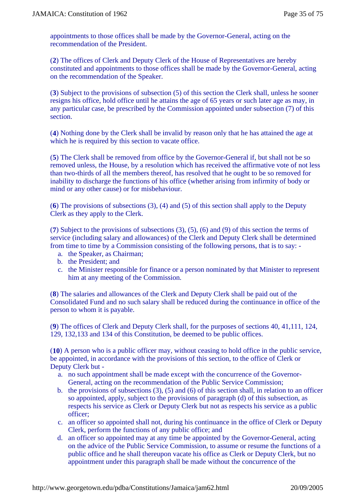appointments to those offices shall be made by the Governor-General, acting on the recommendation of the President.

(**2**) The offices of Clerk and Deputy Clerk of the House of Representatives are hereby constituted and appointments to those offices shall be made by the Governor-General, acting on the recommendation of the Speaker.

(**3**) Subject to the provisions of subsection (5) of this section the Clerk shall, unless he sooner resigns his office, hold office until he attains the age of 65 years or such later age as may, in any particular case, be prescribed by the Commission appointed under subsection (7) of this section.

(**4**) Nothing done by the Clerk shall be invalid by reason only that he has attained the age at which he is required by this section to vacate office.

(**5**) The Clerk shall be removed from office by the Governor-General if, but shall not be so removed unless, the House, by a resolution which has received the affirmative vote of not less than two-thirds of all the members thereof, has resolved that he ought to be so removed for inability to discharge the functions of his office (whether arising from infirmity of body or mind or any other cause) or for misbehaviour.

(**6**) The provisions of subsections (3), (4) and (5) of this section shall apply to the Deputy Clerk as they apply to the Clerk.

(**7**) Subject to the provisions of subsections (3), (5), (6) and (9) of this section the terms of service (including salary and allowances) of the Clerk and Deputy Clerk shall be determined from time to time by a Commission consisting of the following persons, that is to say: -

- a. the Speaker, as Chairman;
- b. the President; and
- c. the Minister responsible for finance or a person nominated by that Minister to represent him at any meeting of the Commission.

(**8**) The salaries and allowances of the Clerk and Deputy Clerk shall be paid out of the Consolidated Fund and no such salary shall be reduced during the continuance in office of the person to whom it is payable.

(**9**) The offices of Clerk and Deputy Clerk shall, for the purposes of sections 40, 41,111, 124, 129, 132,133 and 134 of this Constitution, be deemed to be public offices.

(**10**) A person who is a public officer may, without ceasing to hold office in the public service, be appointed, in accordance with the provisions of this section, to the office of Clerk or Deputy Clerk but -

- a. no such appointment shall be made except with the concurrence of the Governor-General, acting on the recommendation of the Public Service Commission;
- b. the provisions of subsections (3), (5) and (6) of this section shall, in relation to an officer so appointed, apply, subject to the provisions of paragraph (d) of this subsection, as respects his service as Clerk or Deputy Clerk but not as respects his service as a public officer;
- c. an officer so appointed shall not, during his continuance in the office of Clerk or Deputy Clerk, perform the functions of any public office; and
- d. an officer so appointed may at any time be appointed by the Governor-General, acting on the advice of the Public Service Commission, to assume or resume the functions of a public office and he shall thereupon vacate his office as Clerk or Deputy Clerk, but no appointment under this paragraph shall be made without the concurrence of the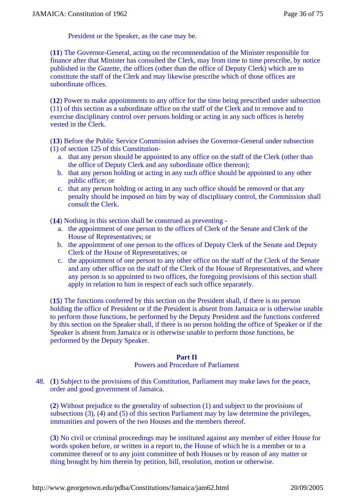President or the Speaker, as the case may be.

(**11**) The Governor-General, acting on the recommendation of the Minister responsible for finance after that Minister has consulted the Clerk, may from time to time prescribe, by notice published in the *Gazette*, the offices (other than the office of Deputy Clerk) which are to constitute the staff of the Clerk and may likewise prescribe which of those offices are subordinate offices.

(**12**) Power to make appointments to any office for the time being prescribed under subsection (11) of this section as a subordinate office on the staff of the Clerk and to remove and to exercise disciplinary control over persons holding or acting in any such offices is hereby vested in the Clerk.

(**13**) Before the Public Service Commission advises the Governor-General under subsection (1) of section 125 of this Constitution-

- a. that any person should be appointed to any office on the staff of the Clerk (other than the office of Deputy Clerk and any subordinate office thereon);
- b. that any person holding or acting in any such office should be appointed to any other public office; or
- c. that any person holding or acting in any such office should be removed or that any penalty should be imposed on him by way of disciplinary control, the Commission shall consult the Clerk.

(**14**) Nothing in this section shall be construed as preventing -

- a. the appointment of one person to the offices of Clerk of the Senate and Clerk of the House of Representatives; or
- b. the appointment of one person to the offices of Deputy Clerk of the Senate and Deputy Clerk of the House of Representatives; or
- c. the appointment of one person to any other office on the staff of the Clerk of the Senate and any other office on the staff of the Clerk of the House of Representatives, and where any person is so appointed to two offices, the foregoing provisions of this section shall apply in relation to him in respect of each such office separately.

(**15**) The functions conferred by this section on the President shall, if there is no person holding the office of President or if the President is absent from Jamaica or is otherwise unable to perform those functions, be performed by the Deputy President and the functions conferred by this section on the Speaker shall, if there is no person holding the office of Speaker or if the Speaker is absent from Jamaica or is otherwise unable to perform those functions, be performed by the Deputy Speaker.

#### **Part II**

## Powers and Procedure of Parliament

48. (**1**) Subject to the provisions of this Constitution, Parliament may make laws for the peace, order and good government of Jamaica.

(**2**) Without prejudice to the generality of subsection (1) and subject to the provisions of subsections (3), (4) and (5) of this section Parliament may by law determine the privileges, immunities and powers of the two Houses and the members thereof.

(**3**) No civil or criminal proceedings may be instituted against any member of either House for words spoken before, or written in a report to, the House of which he is a member or to a committee thereof or to any joint committee of both Houses or by reason of any matter or thing brought by him therein by petition, bill, resolution, motion or otherwise.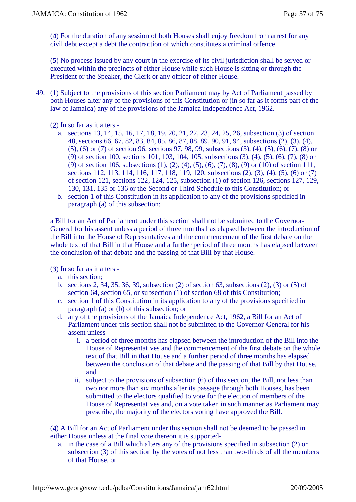(**4**) For the duration of any session of both Houses shall enjoy freedom from arrest for any civil debt except a debt the contraction of which constitutes a criminal offence.

(**5**) No process issued by any court in the exercise of its civil jurisdiction shall be served or executed within the precincts of either House while such House is sitting or through the President or the Speaker, the Clerk or any officer of either House.

- 49. (**1**) Subject to the provisions of this section Parliament may by Act of Parliament passed by both Houses alter any of the provisions of this Constitution or (in so far as it forms part of the law of Jamaica) any of the provisions of the Jamaica Independence Act, 1962.
	- (**2**) In so far as it alters
		- a. sections 13, 14, 15, 16, 17, 18, 19, 20, 21, 22, 23, 24, 25, 26, subsection (3) of section 48, sections 66, 67, 82, 83, 84, 85, 86, 87, 88, 89, 90, 91, 94, subsections (2), (3), (4), (5), (6) or (7) of section 96, sections 97, 98, 99, subsections (3), (4), (5), (6), (7), (8) or (9) of section 100, sections 101, 103, 104, 105, subsections (3), (4), (5), (6), (7), (8) or (9) of section 106, subsections (1), (2), (4), (5), (6), (7), (8), (9) or (10) of section 111, sections 112, 113, 114, 116, 117, 118, 119, 120, subsections (2), (3), (4), (5), (6) or (7) of section 121, sections 122, 124, 125, subsection (1) of section 126, sections 127, 129, 130, 131, 135 or 136 or the Second or Third Schedule to this Constitution; or
		- b. section 1 of this Constitution in its application to any of the provisions specified in paragraph (a) of this subsection;

a Bill for an Act of Parliament under this section shall not be submitted to the Governor-General for his assent unless a period of three months has elapsed between the introduction of the Bill into the House of Representatives and the commencement of the first debate on the whole text of that Bill in that House and a further period of three months has elapsed between the conclusion of that debate and the passing of that Bill by that House.

(**3**) In so far as it alters -

- a. this section;
- b. sections 2, 34, 35, 36, 39, subsection (2) of section 63, subsections (2), (3) or (5) of section 64, section 65, or subsection (1) of section 68 of this Constitution;
- c. section 1 of this Constitution in its application to any of the provisions specified in paragraph (a) or (b) of this subsection; or
- d. any of the provisions of the Jamaica Independence Act, 1962, a Bill for an Act of Parliament under this section shall not be submitted to the Governor-General for his assent unless
	- i. a period of three months has elapsed between the introduction of the Bill into the House of Representatives and the commencement of the first debate on the whole text of that Bill in that House and a further period of three months has elapsed between the conclusion of that debate and the passing of that Bill by that House, and
	- ii. subject to the provisions of subsection (6) of this section, the Bill, not less than two nor more than six months after its passage through both Houses, has been submitted to the electors qualified to vote for the election of members of the House of Representatives and, on a vote taken in such manner as Parliament may prescribe, the majority of the electors voting have approved the Bill.

(**4**) A Bill for an Act of Parliament under this section shall not be deemed to be passed in either House unless at the final vote thereon it is supported-

a. in the case of a Bill which alters any of the provisions specified in subsection (2) or subsection (3) of this section by the votes of not less than two-thirds of all the members of that House, or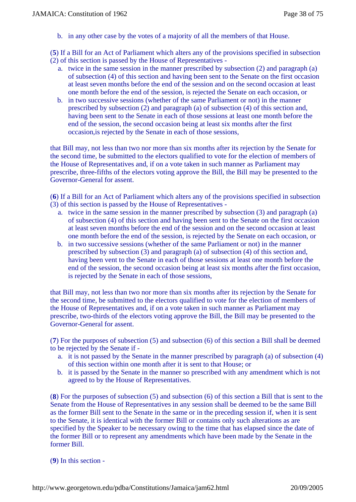b. in any other case by the votes of a majority of all the members of that House.

(**5**) If a Bill for an Act of Parliament which alters any of the provisions specified in subsection (2) of this section is passed by the House of Representatives -

- a. twice in the same session in the manner prescribed by subsection (2) and paragraph (a) of subsection (4) of this section and having been sent to the Senate on the first occasion at least seven months before the end of the session and on the second occasion at least one month before the end of the session, is rejected the Senate on each occasion, or
- b. in two successive sessions (whether of the same Parliament or not) in the manner prescribed by subsection (2) and paragraph (a) of subsection (4) of this section and, having been sent to the Senate in each of those sessions at least one month before the end of the session, the second occasion being at least six months after the first occasion,is rejected by the Senate in each of those sessions,

that Bill may, not less than two nor more than six months after its rejection by the Senate for the second time, be submitted to the electors qualified to vote for the election of members of the House of Representatives and, if on a vote taken in such manner as Parliament may prescribe, three-fifths of the electors voting approve the Bill, the Bill may be presented to the Governor-General for assent.

(**6**) If a Bill for an Act of Parliament which alters any of the provisions specified in subsection (3) of this section is passed by the House of Representatives -

- a. twice in the same session in the manner prescribed by subsection (3) and paragraph (a) of subsection (4) of this section and having been sent to the Senate on the first occasion at least seven months before the end of the session and on the second occasion at least one month before the end of the session, is rejected by the Senate on each occasion, or
- b. in two successive sessions (whether of the same Parliament or not) in the manner prescribed by subsection (3) and paragraph (a) of subsection (4) of this section and, having been vent to the Senate in each of those sessions at least one month before the end of the session, the second occasion being at least six months after the first occasion, is rejected by the Senate in each of those sessions,

that Bill may, not less than two nor more than six months after its rejection by the Senate for the second time, be submitted to the electors qualified to vote for the election of members of the House of Representatives and, if on a vote taken in such manner as Parliament may prescribe, two-thirds of the electors voting approve the Bill, the Bill may be presented to the Governor-General for assent.

(**7**) For the purposes of subsection (5) and subsection (6) of this section a Bill shall be deemed to be rejected by the Senate if -

- a. it is not passed by the Senate in the manner prescribed by paragraph (a) of subsection (4) of this section within one month after it is sent to that House; or
- b. it is passed by the Senate in the manner so prescribed with any amendment which is not agreed to by the House of Representatives.

(**8**) For the purposes of subsection (5) and subsection (6) of this section a Bill that is sent to the Senate from the House of Representatives in any session shall be deemed to be the same Bill as the former Bill sent to the Senate in the same or in the preceding session if, when it is sent to the Senate, it is identical with the former Bill or contains only such alterations as are specified by the Speaker to be necessary owing to the time that has elapsed since the date of the former Bill or to represent any amendments which have been made by the Senate in the former Bill.

(**9**) In this section -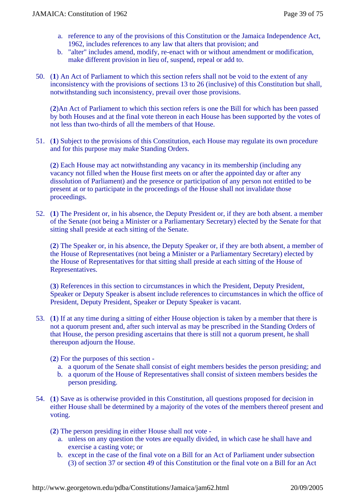- a. reference to any of the provisions of this Constitution or the Jamaica Independence Act, 1962, includes references to any law that alters that provision; and
- b. "alter" includes amend, modify, re-enact with or without amendment or modification, make different provision in lieu of, suspend, repeal or add to.
- 50. (**1**) An Act of Parliament to which this section refers shall not be void to the extent of any inconsistency with the provisions of sections 13 to 26 (inclusive) of this Constitution but shall, notwithstanding such inconsistency, prevail over those provisions.

(**2**)An Act of Parliament to which this section refers is one the Bill for which has been passed by both Houses and at the final vote thereon in each House has been supported by the votes of not less than two-thirds of all the members of that House.

51. (**1**) Subject to the provisions of this Constitution, each House may regulate its own procedure and for this purpose may make Standing Orders.

(**2**) Each House may act notwithstanding any vacancy in its membership (including any vacancy not filled when the House first meets on or after the appointed day or after any dissolution of Parliament) and the presence or participation of any person not entitled to be present at or to participate in the proceedings of the House shall not invalidate those proceedings.

52. (**1**) The President or, in his absence, the Deputy President or, if they are both absent. a member of the Senate (not being a Minister or a Parliamentary Secretary) elected by the Senate for that sitting shall preside at each sitting of the Senate.

(**2**) The Speaker or, in his absence, the Deputy Speaker or, if they are both absent, a member of the House of Representatives (not being a Minister or a Parliamentary Secretary) elected by the House of Representatives for that sitting shall preside at each sitting of the House of Representatives.

(**3**) References in this section to circumstances in which the President, Deputy President, Speaker or Deputy Speaker is absent include references to circumstances in which the office of President, Deputy President, Speaker or Deputy Speaker is vacant.

- 53. (**1**) If at any time during a sitting of either House objection is taken by a member that there is not a quorum present and, after such interval as may be prescribed in the Standing Orders of that House, the person presiding ascertains that there is still not a quorum present, he shall thereupon adjourn the House.
	- (**2**) For the purposes of this section
		- a. a quorum of the Senate shall consist of eight members besides the person presiding; and
		- b. a quorum of the House of Representatives shall consist of sixteen members besides the person presiding.
- 54. (**1**) Save as is otherwise provided in this Constitution, all questions proposed for decision in either House shall be determined by a majority of the votes of the members thereof present and voting.
	- (**2**) The person presiding in either House shall not vote
		- a. unless on any question the votes are equally divided, in which case he shall have and exercise a casting vote; or
		- b. except in the case of the final vote on a Bill for an Act of Parliament under subsection (3) of section 37 or section 49 of this Constitution or the final vote on a Bill for an Act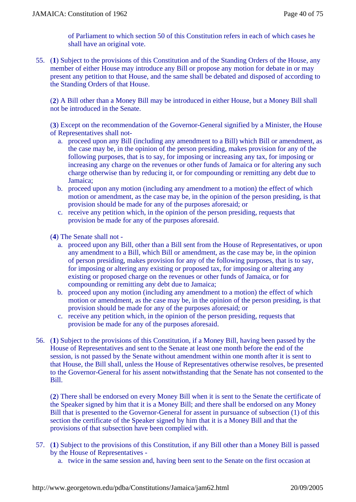of Parliament to which section 50 of this Constitution refers in each of which cases he shall have an original vote.

55. (**1**) Subject to the provisions of this Constitution and of the Standing Orders of the House, any member of either House may introduce any Bill or propose any motion for debate in or may present any petition to that House, and the same shall be debated and disposed of according to the Standing Orders of that House.

(**2**) A Bill other than a Money Bill may be introduced in either House, but a Money Bill shall not be introduced in the Senate.

(**3**) Except on the recommendation of the Governor-General signified by a Minister, the House of Representatives shall not-

- a. proceed upon any Bill (including any amendment to a Bill) which Bill or amendment, as the case may be, in the opinion of the person presiding, makes provision for any of the following purposes, that is to say, for imposing or increasing any tax, for imposing or increasing any charge on the revenues or other funds of Jamaica or for altering any such charge otherwise than by reducing it, or for compounding or remitting any debt due to Jamaica;
- b. proceed upon any motion (including any amendment to a motion) the effect of which motion or amendment, as the case may be, in the opinion of the person presiding, is that provision should be made for any of the purposes aforesaid; or
- c. receive any petition which, in the opinion of the person presiding, requests that provision be made for any of the purposes aforesaid.

(**4**) The Senate shall not -

- a. proceed upon any Bill, other than a Bill sent from the House of Representatives, or upon any amendment to a Bill, which Bill or amendment, as the case may be, in the opinion of person presiding, makes provision for any of the following purposes, that is to say, for imposing or altering any existing or proposed tax, for imposing or altering any existing or proposed charge on the revenues or other funds of Jamaica, or for compounding or remitting any debt due to Jamaica;
- b. proceed upon any motion (including any amendment to a motion) the effect of which motion or amendment, as the case may be, in the opinion of the person presiding, is that provision should be made for any of the purposes aforesaid; or
- c. receive any petition which, in the opinion of the person presiding, requests that provision be made for any of the purposes aforesaid.
- 56. (**1**) Subject to the provisions of this Constitution, if a Money Bill, having been passed by the House of Representatives and sent to the Senate at least one month before the end of the session, is not passed by the Senate without amendment within one month after it is sent to that House, the Bill shall, unless the House of Representatives otherwise resolves, be presented to the Governor-General for his assent notwithstanding that the Senate has not consented to the Bill.

(**2**) There shall be endorsed on every Money Bill when it is sent to the Senate the certificate of the Speaker signed by him that it is a Money Bill; and there shall be endorsed on any Money Bill that is presented to the Governor-General for assent in pursuance of subsection (1) of this section the certificate of the Speaker signed by him that it is a Money Bill and that the provisions of that subsection have been complied with.

- 57. (**1**) Subject to the provisions of this Constitution, if any Bill other than a Money Bill is passed by the House of Representatives
	- a. twice in the same session and, having been sent to the Senate on the first occasion at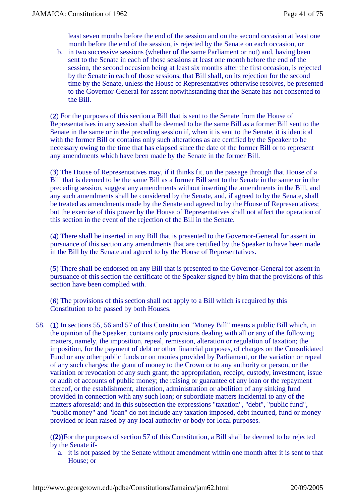least seven months before the end of the session and on the second occasion at least one month before the end of the session, is rejected by the Senate on each occasion, or

b. in two successive sessions (whether of the same Parliament or not) and, having been sent to the Senate in each of those sessions at least one month before the end of the session, the second occasion being at least six months after the first occasion, is rejected by the Senate in each of those sessions, that Bill shall, on its rejection for the second time by the Senate, unless the House of Representatives otherwise resolves, be presented to the Governor-General for assent notwithstanding that the Senate has not consented to the Bill.

(**2**) For the purposes of this section a Bill that is sent to the Senate from the House of Representatives in any session shall be deemed to be the same Bill as a former Bill sent to the Senate in the same or in the preceding session if, when it is sent to the Senate, it is identical with the former Bill or contains only such alterations as are certified by the Speaker to be necessary owing to the time that has elapsed since the date of the former Bill or to represent any amendments which have been made by the Senate in the former Bill.

(**3**) The House of Representatives may, if it thinks fit, on the passage through that House of a Bill that is deemed to be the same Bill as a former Bill sent to the Senate in the same or in the preceding session, suggest any amendments without inserting the amendments in the Bill, and any such amendments shall be considered by the Senate, and, if agreed to by the Senate, shall be treated as amendments made by the Senate and agreed to by the House of Representatives; but the exercise of this power by the House of Representatives shall not affect the operation of this section in the event of the rejection of the Bill in the Senate.

(**4**) There shall be inserted in any Bill that is presented to the Governor-General for assent in pursuance of this section any amendments that are certified by the Speaker to have been made in the Bill by the Senate and agreed to by the House of Representatives.

(**5**) There shall be endorsed on any Bill that is presented to the Governor-General for assent in pursuance of this section the certificate of the Speaker signed by him that the provisions of this section have been complied with.

(**6**) The provisions of this section shall not apply to a Bill which is required by this Constitution to be passed by both Houses.

58. (**1**) In sections 55, 56 and 57 of this Constitution "Money Bill" means a public Bill which, in the opinion of the Speaker, contains only provisions dealing with all or any of the following matters, namely, the imposition, repeal, remission, alteration or regulation of taxation; the imposition, for the payment of debt or other financial purposes, of charges on the Consolidated Fund or any other public funds or on monies provided by Parliament, or the variation or repeal of any such charges; the grant of money to the Crown or to any authority or person, or the variation or revocation of any such grant; the appropriation, receipt, custody, investment, issue or audit of accounts of public money; the raising or guarantee of any loan or the repayment thereof, or the establishment, alteration, administration or abolition of any sinking fund provided in connection with any such loan; or subordiate matters incidental to any of the matters aforesaid; and in this subsection the expressions "taxation", "debt", "public fund", "public money" and "loan" do not include any taxation imposed, debt incurred, fund or money provided or loan raised by any local authority or body for local purposes.

(**(2)**)For the purposes of section 57 of this Constitution, a Bill shall be deemed to be rejected by the Senate if-

a. it is not passed by the Senate without amendment within one month after it is sent to that House; or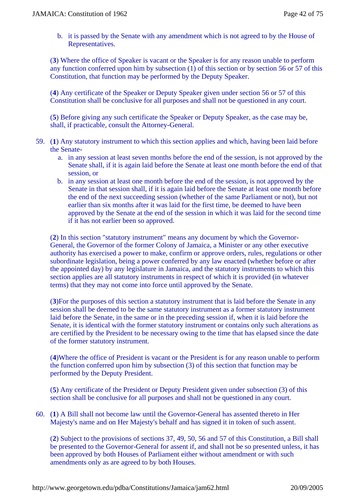b. it is passed by the Senate with any amendment which is not agreed to by the House of Representatives.

(**3**) Where the office of Speaker is vacant or the Speaker is for any reason unable to perform any function conferred upon him by subsection  $(1)$  of this section or by section 56 or 57 of this Constitution, that function may be performed by the Deputy Speaker.

(**4**) Any certificate of the Speaker or Deputy Speaker given under section 56 or 57 of this Constitution shall be conclusive for all purposes and shall not be questioned in any court.

(**5**) Before giving any such certificate the Speaker or Deputy Speaker, as the case may be, shall, if practicable, consult the Attorney-General.

- 59. (**1**) Any statutory instrument to which this section applies and which, having been laid before the Senate
	- a. in any session at least seven months before the end of the session, is not approved by the Senate shall, if it is again laid before the Senate at least one month before the end of that session, or
	- b. in any session at least one month before the end of the session, is not approved by the Senate in that session shall, if it is again laid before the Senate at least one month before the end of the next succeeding session (whether of the same Parliament or not), but not earlier than six months after it was laid for the first time, be deemed to have been approved by the Senate at the end of the session in which it was laid for the second time if it has not earlier been so approved.

(**2**) In this section "statutory instrument" means any document by which the Governor-General, the Governor of the former Colony of Jamaica, a Minister or any other executive authority has exercised a power to make, confirm or approve orders, rules, regulations or other subordinate legislation, being a power conferred by any law enacted (whether before or after the appointed day) by any legislature in Jamaica, and the statutory instruments to which this section applies are all statutory instruments in respect of which it is provided (in whatever terms) that they may not come into force until approved by the Senate.

(**3**)For the purposes of this section a statutory instrument that is laid before the Senate in any session shall be deemed to be the same statutory instrument as a former statutory instrument laid before the Senate, in the same or in the preceding session if, when it is laid before the Senate, it is identical with the former statutory instrument or contains only such alterations as are certified by the President to be necessary owing to the time that has elapsed since the date of the former statutory instrument.

(**4**)Where the office of President is vacant or the President is for any reason unable to perform the function conferred upon him by subsection (3) of this section that function may be performed by the Deputy President.

(**5**) Any certificate of the President or Deputy President given under subsection (3) of this section shall be conclusive for all purposes and shall not be questioned in any court.

60. (**1**) A Bill shall not become law until the Governor-General has assented thereto in Her Majesty's name and on Her Majesty's behalf and has signed it in token of such assent.

(**2**) Subject to the provisions of sections 37, 49, 50, 56 and 57 of this Constitution, a Bill shall be presented to the Governor-General for assent if, and shall not be so presented unless, it has been approved by both Houses of Parliament either without amendment or with such amendments only as are agreed to by both Houses.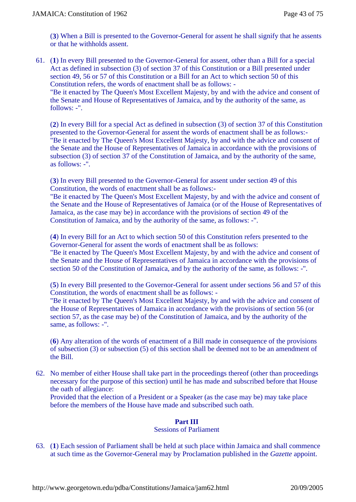(**3**) When a Bill is presented to the Governor-General for assent he shall signify that he assents or that he withholds assent.

61. (**1**) In every Bill presented to the Governor-General for assent, other than a Bill for a special Act as defined in subsection (3) of section 37 of this Constitution or a Bill presented under section 49, 56 or 57 of this Constitution or a Bill for an Act to which section 50 of this Constitution refers, the words of enactment shall be as follows: -

"Be it enacted by The Queen's Most Excellent Majesty, by and with the advice and consent of the Senate and House of Representatives of Jamaica, and by the authority of the same, as follows: -".

(**2**) In every Bill for a special Act as defined in subsection (3) of section 37 of this Constitution presented to the Governor-General for assent the words of enactment shall be as follows:- "Be it enacted by The Queen's Most Excellent Majesty, by and with the advice and consent of the Senate and the House of Representatives of Jamaica in accordance with the provisions of subsection (3) of section 37 of the Constitution of Jamaica, and by the authority of the same, as follows: -".

(**3**) In every Bill presented to the Governor-General for assent under section 49 of this Constitution, the words of enactment shall be as follows:-

"Be it enacted by The Queen's Most Excellent Majesty, by and with the advice and consent of the Senate and the House of Representatives of Jamaica (or of the House of Representatives of Jamaica, as the case may be) in accordance with the provisions of section 49 of the Constitution of Jamaica, and by the authority of the same, as follows: -".

(**4**) In every Bill for an Act to which section 50 of this Constitution refers presented to the Governor-General for assent the words of enactment shall be as follows:

"Be it enacted by The Queen's Most Excellent Majesty, by and with the advice and consent of the Senate and the House of Representatives of Jamaica in accordance with the provisions of section 50 of the Constitution of Jamaica, and by the authority of the same, as follows: -".

(**5**) In every Bill presented to the Governor-General for assent under sections 56 and 57 of this Constitution, the words of enactment shall be as follows: -

"Be it enacted by The Queen's Most Excellent Majesty, by and with the advice and consent of the House of Representatives of Jamaica in accordance with the provisions of section 56 (or section 57, as the case may be) of the Constitution of Jamaica, and by the authority of the same, as follows: -".

(**6**) Any alteration of the words of enactment of a Bill made in consequence of the provisions of subsection (3) or subsection (5) of this section shall be deemed not to be an amendment of the Bill.

62. No member of either House shall take part in the proceedings thereof (other than proceedings necessary for the purpose of this section) until he has made and subscribed before that House the oath of allegiance:

Provided that the election of a President or a Speaker (as the case may be) may take place before the members of the House have made and subscribed such oath.

### **Part III**

Sessions of Parliament

63. (**1**) Each session of Parliament shall be held at such place within Jamaica and shall commence at such time as the Governor-General may by Proclamation published in the *Gazette* appoint.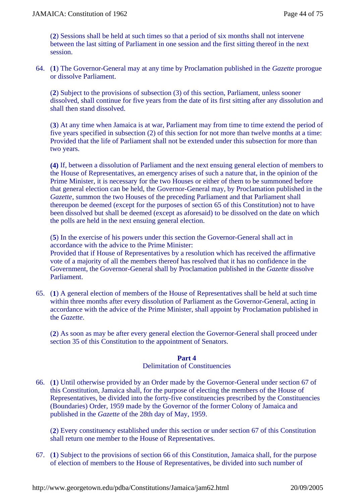(**2**) Sessions shall be held at such times so that a period of six months shall not intervene between the last sitting of Parliament in one session and the first sitting thereof in the next session.

64. (**1**) The Governor-General may at any time by Proclamation published in the *Gazette* prorogue or dissolve Parliament.

(**2**) Subject to the provisions of subsection (3) of this section, Parliament, unless sooner dissolved, shall continue for five years from the date of its first sitting after any dissolution and shall then stand dissolved.

(**3**) At any time when Jamaica is at war, Parliament may from time to time extend the period of five years specified in subsection (2) of this section for not more than twelve months at a time: Provided that the life of Parliament shall not be extended under this subsection for more than two years.

**(4)** If, between a dissolution of Parliament and the next ensuing general election of members to the House of Representatives, an emergency arises of such a nature that, in the opinion of the Prime Minister, it is necessary for the two Houses or either of them to be summoned before that general election can be held, the Governor-General may, by Proclamation published in the *Gazette*, summon the two Houses of the preceding Parliament and that Parliament shall thereupon be deemed (except for the purposes of section 65 of this Constitution) not to have been dissolved but shall be deemed (except as aforesaid) to be dissolved on the date on which the polls are held in the next ensuing general election.

(**5**) In the exercise of his powers under this section the Governor-General shall act in accordance with the advice to the Prime Minister: Provided that if House of Representatives by a resolution which has received the affirmative vote of a majority of all the members thereof has resolved that it has no confidence in the Government, the Governor-General shall by Proclamation published in the *Gazette* dissolve Parliament.

65. (**1**) A general election of members of the House of Representatives shall be held at such time within three months after every dissolution of Parliament as the Governor-General, acting in accordance with the advice of the Prime Minister, shall appoint by Proclamation published in the *Gazette*.

(**2**) As soon as may be after every general election the Governor-General shall proceed under section 35 of this Constitution to the appointment of Senators.

#### **Part 4**

### Delimitation of Constituencies

66. (**1**) Until otherwise provided by an Order made by the Governor-General under section 67 of this Constitution, Jamaica shall, for the purpose of electing the members of the House of Representatives, be divided into the forty-five constituencies prescribed by the Constituencies (Boundaries) Order, 1959 made by the Governor of the former Colony of Jamaica and published in the *Gazette* of the 28th day of May, 1959.

(**2**) Every constituency established under this section or under section 67 of this Constitution shall return one member to the House of Representatives.

67. (**1**) Subject to the provisions of section 66 of this Constitution, Jamaica shall, for the purpose of election of members to the House of Representatives, be divided into such number of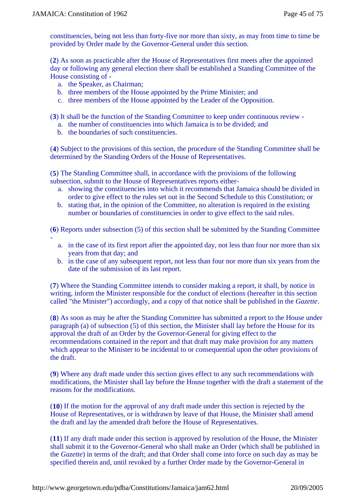-

constituencies, being not less than forty-five nor more than sixty, as may from time to time be provided by Order made by the Governor-General under this section.

(**2**) As soon as practicable after the House of Representatives first meets after the appointed day or following any general election there shall be established a Standing Committee of the House consisting of -

- a. the Speaker, as Chairman;
- b. three members of the House appointed by the Prime Minister; and
- c. three members of the House appointed by the Leader of the Opposition.

(**3**) It shall be the function of the Standing Committee to keep under continuous review -

- a. the number of constituencies into which Jamaica is to be divided; and
- b. the boundaries of such constituencies.

(**4**) Subject to the provisions of this section, the procedure of the Standing Committee shall be determined by the Standing Orders of the House of Representatives.

(**5**) The Standing Committee shall, in accordance with the provisions of the following subsection, submit to the House of Representatives reports either-

- a. showing the constituencies into which it recommends that Jamaica should be divided in order to give effect to the rules set out in the Second Schedule to this Constitution; or
- b. stating that, in the opinion of the Committee, no alteration is required in the existing number or boundaries of constituencies in order to give effect to the said rules.

(**6**) Reports under subsection (5) of this section shall be submitted by the Standing Committee

- a. in the case of its first report after the appointed day, not less than four nor more than six years from that day; and
- b. in the case of any subsequent report, not less than four nor more than six years from the date of the submission of its last report.

(**7**) Where the Standing Committee intends to consider making a report, it shall, by notice in writing, inform the Minister responsible for the conduct of elections (hereafter in this section called "the Minister") accordingly, and a copy of that notice shall be published in the *Gazette*.

(**8**) As soon as may be after the Standing Committee has submitted a report to the House under paragraph (a) of subsection (5) of this section, the Minister shall lay before the House for its approval the draft of an Order by the Governor-General for giving effect to the recommendations contained in the report and that draft may make provision for any matters which appear to the Minister to be incidental to or consequential upon the other provisions of the draft.

(**9**) Where any draft made under this section gives effect to any such recommendations with modifications, the Minister shall lay before the House together with the draft a statement of the reasons for the modifications.

(**10**) If the motion for the approval of any draft made under this section is rejected by the House of Representatives, or is withdrawn by leave of that House, the Minister shall amend the draft and lay the amended draft before the House of Representatives.

(**11**) If any draft made under this section is approved by resolution of the House, the Minister shall submit it to the Governor-General who shall make an Order (which shall be published in the *Gazette*) in terms of the draft; and that Order shall come into force on such day as may be specified therein and, until revoked by a further Order made by the Governor-General in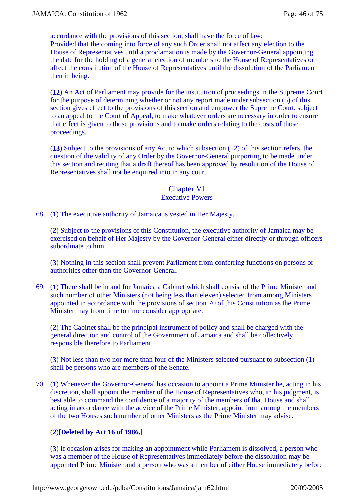accordance with the provisions of this section, shall have the force of law: Provided that the coming into force of any such Order shall not affect any election to the House of Representatives until a proclamation is made by the Governor-General appointing the date for the holding of a general election of members to the House of Representatives or affect the constitution of the House of Representatives until the dissolution of the Parliament then in being.

(**12**) An Act of Parliament may provide for the institution of proceedings in the Supreme Court for the purpose of determining whether or not any report made under subsection  $(5)$  of this section gives effect to the provisions of this section and empower the Supreme Court, subject to an appeal to the Court of Appeal, to make whatever orders are necessary in order to ensure that effect is given to those provisions and to make orders relating to the costs of those proceedings.

(**13**) Subject to the provisions of any Act to which subsection (12) of this section refers, the question of the validity of any Order by the Governor-General purporting to be made under this section and reciting that a draft thereof has been approved by resolution of the House of Representatives shall not be enquired into in any court.

# Chapter VI

### Executive Powers

68. (**1**) The executive authority of Jamaica is vested in Her Majesty.

(**2**) Subject to the provisions of this Constitution, the executive authority of Jamaica may be exercised on behalf of Her Majesty by the Governor-General either directly or through officers subordinate to him.

(**3**) Nothing in this section shall prevent Parliament from conferring functions on persons or authorities other than the Governor-General.

69. (**1**) There shall be in and for Jamaica a Cabinet which shall consist of the Prime Minister and such number of other Ministers (not being less than eleven) selected from among Ministers appointed in accordance with the provisions of section 70 of this Constitution as the Prime Minister may from time to time consider appropriate.

(**2**) The Cabinet shall be the principal instrument of policy and shall be charged with the general direction and control of the Government of Jamaica and shall be collectively responsible therefore to Parliament.

(**3**) Not less than two nor more than four of the Ministers selected pursuant to subsection (1) shall be persons who are members of the Senate.

70. (**1**) Whenever the Governor-General has occasion to appoint a Prime Minister he, acting in his discretion, shall appoint the member of the House of Representatives who, in his judgment, is best able to command the confidence of a majority of the members of that House and shall, acting in accordance with the advice of the Prime Minister, appoint from among the members of the two Houses such number of other Ministers as the Prime Minister may advise.

### (**2**)**[Deleted by Act 16 of 1986.]**

(**3**) If occasion arises for making an appointment while Parliament is dissolved, a person who was a member of the House of Representatives immediately before the dissolution may be appointed Prime Minister and a person who was a member of either House immediately before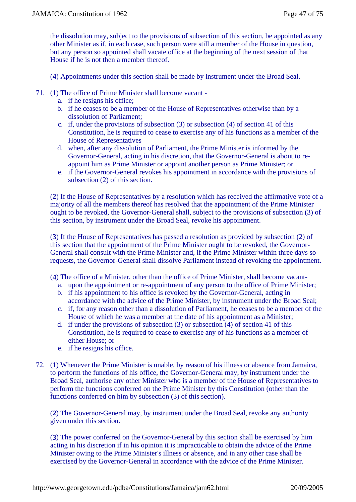the dissolution may, subject to the provisions of subsection of this section, be appointed as any other Minister as if, in each case, such person were still a member of the House in question, but any person so appointed shall vacate office at the beginning of the next session of that House if he is not then a member thereof.

- (**4**) Appointments under this section shall be made by instrument under the Broad Seal.
- 71. (**1**) The office of Prime Minister shall become vacant
	- a. if he resigns his office;
	- b. if he ceases to be a member of the House of Representatives otherwise than by a dissolution of Parliament;
	- c. if, under the provisions of subsection (3) or subsection (4) of section 41 of this Constitution, he is required to cease to exercise any of his functions as a member of the House of Representatives
	- d. when, after any dissolution of Parliament, the Prime Minister is informed by the Governor-General, acting in his discretion, that the Governor-General is about to reappoint him as Prime Minister or appoint another person as Prime Minister; or
	- e. if the Governor-General revokes his appointment in accordance with the provisions of subsection (2) of this section.

(**2**) If the House of Representatives by a resolution which has received the affirmative vote of a majority of all the members thereof has resolved that the appointment of the Prime Minister ought to be revoked, the Governor-General shall, subject to the provisions of subsection (3) of this section, by instrument under the Broad Seal, revoke his appointment.

(**3**) If the House of Representatives has passed a resolution as provided by subsection (2) of this section that the appointment of the Prime Minister ought to be revoked, the Governor-General shall consult with the Prime Minister and, if the Prime Minister within three days so requests, the Governor-General shall dissolve Parliament instead of revoking the appointment.

- (**4**) The office of a Minister, other than the office of Prime Minister, shall become vacant
	- a. upon the appointment or re-appointment of any person to the office of Prime Minister;
	- b. if his appointment to his office is revoked by the Governor-General, acting in accordance with the advice of the Prime Minister, by instrument under the Broad Seal;
	- c. if, for any reason other than a dissolution of Parliament, he ceases to be a member of the House of which he was a member at the date of his appointment as a Minister;
	- d. if under the provisions of subsection (3) or subsection (4) of section 41 of this Constitution, he is required to cease to exercise any of his functions as a member of either House; or
	- e. if he resigns his office.
- 72. (**1**) Whenever the Prime Minister is unable, by reason of his illness or absence from Jamaica, to perform the functions of his office, the Governor-General may, by instrument under the Broad Seal, authorise any other Minister who is a member of the House of Representatives to perform the functions conferred on the Prime Minister by this Constitution (other than the functions conferred on him by subsection (3) of this section).

(**2**) The Governor-General may, by instrument under the Broad Seal, revoke any authority given under this section.

(**3**) The power conferred on the Governor-General by this section shall be exercised by him acting in his discretion if in his opinion it is impracticable to obtain the advice of the Prime Minister owing to the Prime Minister's illness or absence, and in any other case shall be exercised by the Governor-General in accordance with the advice of the Prime Minister.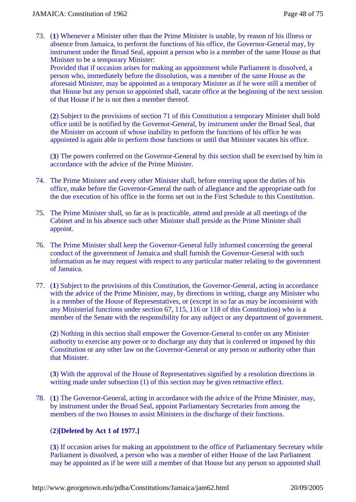73. (**1**) Whenever a Minister other than the Prime Minister is unable, by reason of his illness or absence from Jamaica, to perform the functions of his office, the Governor-General may, by instrument under the Broad Seal, appoint a person who is a member of the same House as that Minister to be a temporary Minister:

Provided that if occasion arises for making an appointment while Parliament is dissolved, a person who, immediately before the dissolution, was a member of the same House as the aforesaid Minister, may be appointed as a temporary Minister as if he were still a member of that House but any person so appointed shall, vacate office at the beginning of the next session of that House if he is not then a member thereof.

(**2**) Subject to the provisions of section 71 of this Constitution a temporary Minister shall hold office until he is notified by the Governor-General, by instrument under the Broad Seal, that the Minister on account of whose inability to perform the functions of his office he was appointed is again able to perform those functions or until that Minister vacates his office.

(**3**) The powers conferred on the Governor-General by this section shall be exercised by him in accordance with the advice of the Prime Minister.

- 74. The Prime Minister and every other Minister shall, before entering upon the duties of his office, make before the Governor-General the oath of allegiance and the appropriate oath for the due execution of his office in the forms set out in the First Schedule to this Constitution.
- 75. The Prime Minister shall, so far as is practicable, attend and preside at all meetings of the Cabinet and in his absence such other Minister shall preside as the Prime Minister shall appoint.
- 76. The Prime Minister shall keep the Governor-General fully informed concerning the general conduct of the government of Jamaica and shall furnish the Governor-General with such information as he may request with respect to any particular matter relating to the government of Jamaica.
- 77. (**1**) Subject to the provisions of this Constitution, the Governor-General, acting in accordance with the advice of the Prime Minister, may, by directions in writing, charge any Minister who is a member of the House of Representatives, or (except in so far as may be inconsistent with any Ministerial functions under section 67, 115, 116 or 118 of this Constitution) who is a member of the Senate with the responsibility for any subject or any department of government.

(**2**) Nothing in this section shall empower the Governor-General to confer on any Minister authority to exercise any power or to discharge any duty that is conferred or imposed by this Constitution or any other law on the Governor-General or any person or authority other than that Minister.

(**3**) With the approval of the House of Representatives signified by a resolution directions in writing made under subsection (1) of this section may be given retroactive effect.

78. (**1**) The Governor-General, acting in accordance with the advice of the Prime Minister, may, by instrument under the Broad Seal, appoint Parliamentary Secretaries from among the members of the two Houses to assist Ministers in the discharge of their functions.

# (**2**)**[Deleted by Act 1 of 1977.]**

(**3**) If occasion arises for making an appointment to the office of Parliamentary Secretary while Parliament is dissolved, a person who was a member of either House of the last Parliament may be appointed as if he were still a member of that House but any person so appointed shall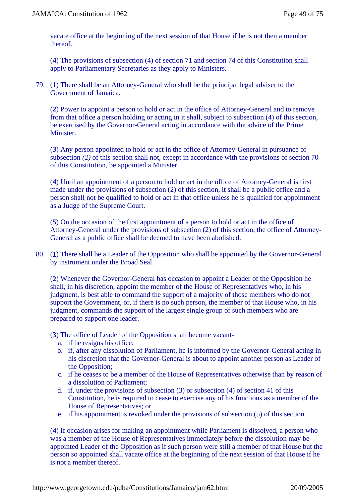vacate office at the beginning of the next session of that House if he is not then a member thereof.

(**4**) The provisions of subsection (4) of section 71 and section 74 of this Constitution shall apply to Parliamentary Secretaries as they apply to Ministers.

79. (**1**) There shall be an Attorney-General who shall be the principal legal adviser to the Government of Jamaica.

(**2**) Power to appoint a person to hold or act in the office of Attorney-General and to remove from that office a person holding or acting in it shall, subject to subsection (4) of this section, be exercised by the Governor-General acting in accordance with the advice of the Prime Minister.

(**3**) Any person appointed to hold or act in the office of Attorney-General in pursuance of subsection (2) of this section shall not, except in accordance with the provisions of section 70 of this Constitution, be appointed a Minister.

(**4**) Until an appointment of a person to hold or act in the office of Attorney-General is first made under the provisions of subsection (2) of this section, it shall be a public office and a person shall not be qualified to hold or act in that office unless he is qualified for appointment as a Judge of the Supreme Court.

(**5**) On the occasion of the first appointment of a person to hold or act in the office of Attorney-General under the provisions of subsection (2) of this section, the office of Attorney-General as a public office shall be deemed to have been abolished.

80. (**1**) There shall be a Leader of the Opposition who shall be appointed by the Governor-General by instrument under the Broad Seal.

(**2**) Whenever the Governor-General has occasion to appoint a Leader of the Opposition he shall, in his discretion, appoint the member of the House of Representatives who, in his judgment, is best able to command the support of a majority of those members who do not support the Government, or, if there is no such person, the member of that House who, in his judgment, commands the support of the largest single group of such members who are prepared to support one leader.

(**3**) The office of Leader of the Opposition shall become vacant-

- a. if he resigns his office;
- b. if, after any dissolution of Parliament, he is informed by the Governor-General acting in his discretion that the Governor-General is about to appoint another person as Leader of the Opposition;
- c. if he ceases to be a member of the House of Representatives otherwise than by reason of a dissolution of Parliament;
- d. if, under the provisions of subsection (3) or subsection (4) of section 41 of this Constitution, he is required to cease to exercise any of his functions as a member of the House of Representatives; or
- e. if his appointment is revoked under the provisions of subsection (5) of this section.

(**4**) If occasion arises for making an appointment while Parliament is dissolved, a person who was a member of the House of Representatives immediately before the dissolution may be appointed Leader of the Opposition as if such person were still a member of that House but the person so appointed shall vacate office at the beginning of the next session of that House if he is not a member thereof.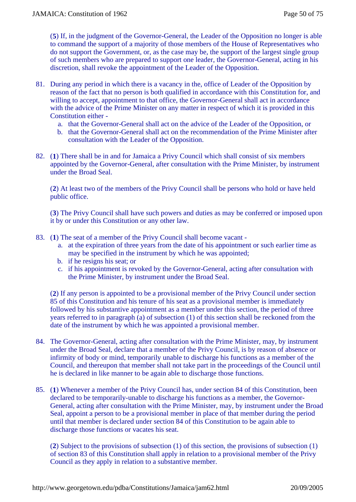(**5**) If, in the judgment of the Governor-General, the Leader of the Opposition no longer is able to command the support of a majority of those members of the House of Representatives who do not support the Government, or, as the case may be, the support of the largest single group of such members who are prepared to support one leader, the Governor-General, acting in his discretion, shall revoke the appointment of the Leader of the Opposition.

- 81. During any period in which there is a vacancy in the, office of Leader of the Opposition by reason of the fact that no person is both qualified in accordance with this Constitution for, and willing to accept, appointment to that office, the Governor-General shall act in accordance with the advice of the Prime Minister on any matter in respect of which it is provided in this Constitution either
	- a. that the Governor-General shall act on the advice of the Leader of the Opposition, or
	- b. that the Governor-General shall act on the recommendation of the Prime Minister after consultation with the Leader of the Opposition.
- 82. (**1**) There shall be in and for Jamaica a Privy Council which shall consist of six members appointed by the Governor-General, after consultation with the Prime Minister, by instrument under the Broad Seal.

(**2**) At least two of the members of the Privy Council shall be persons who hold or have held public office.

(**3**) The Privy Council shall have such powers and duties as may be conferred or imposed upon it by or under this Constitution or any other law.

- 83. (**1**) The seat of a member of the Privy Council shall become vacant
	- a. at the expiration of three years from the date of his appointment or such earlier time as may be specified in the instrument by which he was appointed;
	- b. if he resigns his seat; or
	- c. if his appointment is revoked by the Governor-General, acting after consultation with the Prime Minister, by instrument under the Broad Seal.

(**2**) If any person is appointed to be a provisional member of the Privy Council under section 85 of this Constitution and his tenure of his seat as a provisional member is immediately followed by his substantive appointment as a member under this section, the period of three years referred to in paragraph (a) of subsection (1) of this section shall be reckoned from the date of the instrument by which he was appointed a provisional member.

- 84. The Governor-General, acting after consultation with the Prime Minister, may, by instrument under the Broad Seal, declare that a member of the Privy Council, is by reason of absence or infirmity of body or mind, temporarily unable to discharge his functions as a member of the Council, and thereupon that member shall not take part in the proceedings of the Council until he is declared in like manner to be again able to discharge those functions.
- 85. (**1**) Whenever a member of the Privy Council has, under section 84 of this Constitution, been declared to be temporarily-unable to discharge his functions as a member, the Governor-General, acting after consultation with the Prime Minister, may, by instrument under the Broad Seal, appoint a person to be a provisional member in place of that member during the period until that member is declared under section 84 of this Constitution to be again able to discharge those functions or vacates his seat.

(**2**) Subject to the provisions of subsection (1) of this section, the provisions of subsection (1) of section 83 of this Constitution shall apply in relation to a provisional member of the Privy Council as they apply in relation to a substantive member.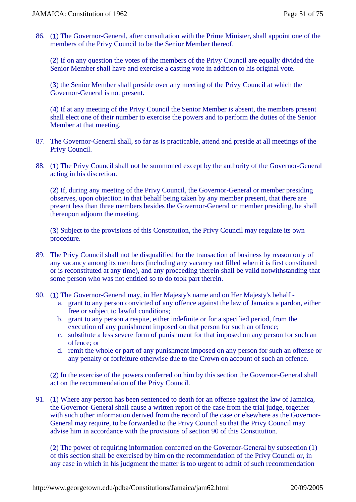86. (**1**) The Governor-General, after consultation with the Prime Minister, shall appoint one of the members of the Privy Council to be the Senior Member thereof.

(**2**) If on any question the votes of the members of the Privy Council are equally divided the Senior Member shall have and exercise a casting vote in addition to his original vote.

(**3**) the Senior Member shall preside over any meeting of the Privy Council at which the Governor-General is not present.

(**4**) If at any meeting of the Privy Council the Senior Member is absent, the members present shall elect one of their number to exercise the powers and to perform the duties of the Senior Member at that meeting.

- 87. The Governor-General shall, so far as is practicable, attend and preside at all meetings of the Privy Council.
- 88. (**1**) The Privy Council shall not be summoned except by the authority of the Governor-General acting in his discretion.

(**2**) If, during any meeting of the Privy Council, the Governor-General or member presiding observes, upon objection in that behalf being taken by any member present, that there are present less than three members besides the Governor-General or member presiding, he shall thereupon adjourn the meeting.

(**3**) Subject to the provisions of this Constitution, the Privy Council may regulate its own procedure.

- 89. The Privy Council shall not be disqualified for the transaction of business by reason only of any vacancy among its members (including any vacancy not filled when it is first constituted or is reconstituted at any time), and any proceeding therein shall be valid notwithstanding that some person who was not entitled so to do took part therein.
- 90. (**1**) The Governor-General may, in Her Majesty's name and on Her Majesty's behalf
	- a. grant to any person convicted of any offence against the law of Jamaica a pardon, either free or subject to lawful conditions;
	- b. grant to any person a respite, either indefinite or for a specified period, from the execution of any punishment imposed on that person for such an offence;
	- c. substitute a less severe form of punishment for that imposed on any person for such an offence; or
	- d. remit the whole or part of any punishment imposed on any person for such an offense or any penalty or forfeiture otherwise due to the Crown on account of such an offence.

(**2**) In the exercise of the powers conferred on him by this section the Governor-General shall act on the recommendation of the Privy Council.

91. (**1**) Where any person has been sentenced to death for an offense against the law of Jamaica, the Governor-General shall cause a written report of the case from the trial judge, together with such other information derived from the record of the case or elsewhere as the Governor-General may require, to be forwarded to the Privy Council so that the Privy Council may advise him in accordance with the provisions of section 90 of this Constitution.

(**2**) The power of requiring information conferred on the Governor-General by subsection (1) of this section shall be exercised by him on the recommendation of the Privy Council or, in any case in which in his judgment the matter is too urgent to admit of such recommendation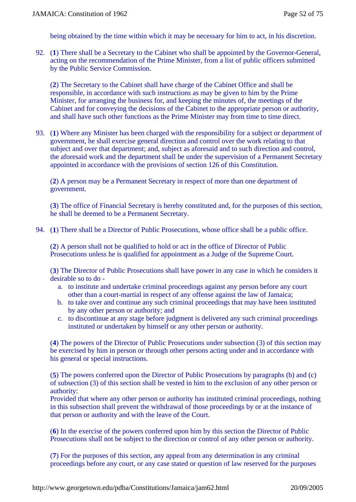being obtained by the time within which it may be necessary for him to act, in his discretion.

92. (**1**) There shall be a Secretary to the Cabinet who shall be appointed by the Governor-General, acting on the recommendation of the Prime Minister, from a list of public officers submitted by the Public Service Commission.

(**2**) The Secretary to the Cabinet shall have charge of the Cabinet Office and shall be responsible, in accordance with such instructions as may be given to him by the Prime Minister, for arranging the business for, and keeping the minutes of, the meetings of the Cabinet and for conveying the decisions of the Cabinet to the appropriate person or authority, and shall have such other functions as the Prime Minister may from time to time direct.

93. (**1**) Where any Minister has been charged with the responsibility for a subject or department of government, he shall exercise general direction and control over the work relating to that subject and over that department; and, subject as aforesaid and to such direction and control, the aforesaid work and the department shall be under the supervision of a Permanent Secretary appointed in accordance with the provisions of section 126 of this Constitution.

(**2**) A person may be a Permanent Secretary in respect of more than one department of government.

(**3**) The office of Financial Secretary is hereby constituted and, for the purposes of this section, he shall be deemed to be a Permanent Secretary.

94. (**1**) There shall be a Director of Public Prosecutions, whose office shall be a public office.

(**2**) A person shall not be qualified to hold or act in the office of Director of Public Prosecutions unless he is qualified for appointment as a Judge of the Supreme Court.

(**3**) The Director of Public Prosecutions shall have power in any case in which he considers it desirable so to do -

- a. to institute and undertake criminal proceedings against any person before any court other than a court-martial in respect of any offense against the law of Jamaica;
- b. to take over and continue any such criminal proceedings that may have been instituted by any other person or authority; and
- c. to discontinue at any stage before judgment is delivered any such criminal proceedings instituted or undertaken by himself or any other person or authority.

(**4**) The powers of the Director of Public Prosecutions under subsection (3) of this section may be exercised by him in person or through other persons acting under and in accordance with his general or special instructions.

(**5**) The powers conferred upon the Director of Public Prosecutions by paragraphs (b) and (c) of subsection (3) of this section shall be vested in him to the exclusion of any other person or authority:

Provided that where any other person or authority has instituted criminal proceedings, nothing in this subsection shall prevent the withdrawal of those proceedings by or at the instance of that person or authority and with the leave of the Court.

(**6**) In the exercise of the powers conferred upon him by this section the Director of Public Prosecutions shall not be subject to the direction or control of any other person or authority.

(**7**) For the purposes of this section, any appeal from any determination in any criminal proceedings before any court, or any case stated or question of law reserved for the purposes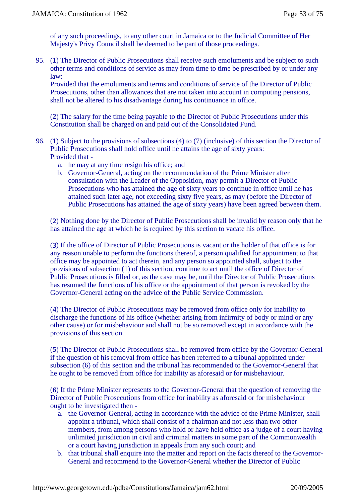of any such proceedings, to any other court in Jamaica or to the Judicial Committee of Her Majesty's Privy Council shall be deemed to be part of those proceedings.

95. (**1**) The Director of Public Prosecutions shall receive such emoluments and be subject to such other terms and conditions of service as may from time to time be prescribed by or under any law:

Provided that the emoluments and terms and conditions of service of the Director of Public Prosecutions, other than allowances that are not taken into account in computing pensions, shall not be altered to his disadvantage during his continuance in office.

(**2**) The salary for the time being payable to the Director of Public Prosecutions under this Constitution shall be charged on and paid out of the Consolidated Fund.

- 96. (**1**) Subject to the provisions of subsections (4) to (7) (inclusive) of this section the Director of Public Prosecutions shall hold office until he attains the age of sixty years: Provided that
	- a. he may at any time resign his office; and
	- b. Governor-General, acting on the recommendation of the Prime Minister after consultation with the Leader of the Opposition, may permit a Director of Public Prosecutions who has attained the age of sixty years to continue in office until he has attained such later age, not exceeding sixty five years, as may (before the Director of Public Prosecutions has attained the age of sixty years) have been agreed between them.

(**2**) Nothing done by the Director of Public Prosecutions shall be invalid by reason only that he has attained the age at which he is required by this section to vacate his office.

(**3**) If the office of Director of Public Prosecutions is vacant or the holder of that office is for any reason unable to perform the functions thereof, a person qualified for appointment to that office may be appointed to act therein, and any person so appointed shall, subject to the provisions of subsection (1) of this section, continue to act until the office of Director of Public Prosecutions is filled or, as the case may be, until the Director of Public Prosecutions has resumed the functions of his office or the appointment of that person is revoked by the Governor-General acting on the advice of the Public Service Commission.

(**4**) The Director of Public Prosecutions may be removed from office only for inability to discharge the functions of his office (whether arising from infirmity of body or mind or any other cause) or for misbehaviour and shall not be so removed except in accordance with the provisions of this section.

(**5**) The Director of Public Prosecutions shall be removed from office by the Governor-General if the question of his removal from office has been referred to a tribunal appointed under subsection (6) of this section and the tribunal has recommended to the Governor-General that he ought to be removed from office for inability as aforesaid or for misbehaviour.

(**6**) If the Prime Minister represents to the Governor-General that the question of removing the Director of Public Prosecutions from office for inability as aforesaid or for misbehaviour ought to be investigated then -

- a. the Governor-General, acting in accordance with the advice of the Prime Minister, shall appoint a tribunal, which shall consist of a chairman and not less than two other members, from among persons who hold or have held office as a judge of a court having unlimited jurisdiction in civil and criminal matters in some part of the Commonwealth or a court having jurisdiction in appeals from any such court; and
- b. that tribunal shall enquire into the matter and report on the facts thereof to the Governor-General and recommend to the Governor-General whether the Director of Public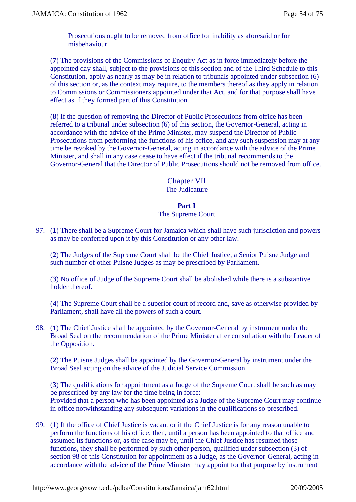Prosecutions ought to be removed from office for inability as aforesaid or for misbehaviour.

(**7**) The provisions of the Commissions of Enquiry Act as in force immediately before the appointed day shall, subject to the provisions of this section and of the Third Schedule to this Constitution, apply as nearly as may be in relation to tribunals appointed under subsection (6) of this section or, as the context may require, to the members thereof as they apply in relation to Commissions or Commissioners appointed under that Act, and for that purpose shall have effect as if they formed part of this Constitution.

(**8**) If the question of removing the Director of Public Prosecutions from office has been referred to a tribunal under subsection (6) of this section, the Governor-General, acting in accordance with the advice of the Prime Minister, may suspend the Director of Public Prosecutions from performing the functions of his office, and any such suspension may at any time be revoked by the Governor-General, acting in accordance with the advice of the Prime Minister, and shall in any case cease to have effect if the tribunal recommends to the Governor-General that the Director of Public Prosecutions should not be removed from office.

# Chapter VII

The Judicature

# **Part I**

# The Supreme Court

97. (**1**) There shall be a Supreme Court for Jamaica which shall have such jurisdiction and powers as may be conferred upon it by this Constitution or any other law.

(**2**) The Judges of the Supreme Court shall be the Chief Justice, a Senior Puisne Judge and such number of other Puisne Judges as may be prescribed by Parliament.

(**3**) No office of Judge of the Supreme Court shall be abolished while there is a substantive holder thereof.

(**4**) The Supreme Court shall be a superior court of record and, save as otherwise provided by Parliament, shall have all the powers of such a court.

98. (**1**) The Chief Justice shall be appointed by the Governor-General by instrument under the Broad Seal on the recommendation of the Prime Minister after consultation with the Leader of the Opposition.

(**2**) The Puisne Judges shall be appointed by the Governor-General by instrument under the Broad Seal acting on the advice of the Judicial Service Commission.

(**3**) The qualifications for appointment as a Judge of the Supreme Court shall be such as may be prescribed by any law for the time being in force: Provided that a person who has been appointed as a Judge of the Supreme Court may continue in office notwithstanding any subsequent variations in the qualifications so prescribed.

99. (**1**) If the office of Chief Justice is vacant or if the Chief Justice is for any reason unable to perform the functions of his office, then, until a person has been appointed to that office and assumed its functions or, as the case may be, until the Chief Justice has resumed those functions, they shall be performed by such other person, qualified under subsection (3) of section 98 of this Constitution for appointment as a Judge, as the Governor-General, acting in accordance with the advice of the Prime Minister may appoint for that purpose by instrument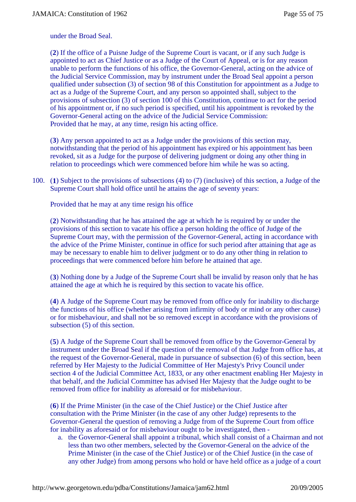under the Broad Seal.

(**2**) If the office of a Puisne Judge of the Supreme Court is vacant, or if any such Judge is appointed to act as Chief Justice or as a Judge of the Court of Appeal, or is for any reason unable to perform the functions of his office, the Governor-General, acting on the advice of the Judicial Service Commission, may by instrument under the Broad Seal appoint a person qualified under subsection (3) of section 98 of this Constitution for appointment as a Judge to act as a Judge of the Supreme Court, and any person so appointed shall, subject to the provisions of subsection (3) of section 100 of this Constitution, continue to act for the period of his appointment or, if no such period is specified, until his appointment is revoked by the Governor-General acting on the advice of the Judicial Service Commission: Provided that he may, at any time, resign his acting office.

(**3**) Any person appointed to act as a Judge under the provisions of this section may, notwithstanding that the period of his appointment has expired or his appointment has been revoked, sit as a Judge for the purpose of delivering judgment or doing any other thing in relation to proceedings which were commenced before him while he was so acting.

100. (**1**) Subject to the provisions of subsections (4) to (7) (inclusive) of this section, a Judge of the Supreme Court shall hold office until he attains the age of seventy years:

Provided that he may at any time resign his office

(**2**) Notwithstanding that he has attained the age at which he is required by or under the provisions of this section to vacate his office a person holding the office of Judge of the Supreme Court may, with the permission of the Governor-General, acting in accordance with the advice of the Prime Minister, continue in office for such period after attaining that age as may be necessary to enable him to deliver judgment or to do any other thing in relation to proceedings that were commenced before him before he attained that age.

(**3**) Nothing done by a Judge of the Supreme Court shall be invalid by reason only that he has attained the age at which he is required by this section to vacate his office.

(**4**) A Judge of the Supreme Court may be removed from office only for inability to discharge the functions of his office (whether arising from infirmity of body or mind or any other cause) or for misbehaviour, and shall not be so removed except in accordance with the provisions of subsection (5) of this section.

(**5**) A Judge of the Supreme Court shall be removed from office by the Governor-General by instrument under the Broad Seal if the question of the removal of that Judge from office has, at the request of the Governor-General, made in pursuance of subsection (6) of this section, been referred by Her Majesty to the Judicial Committee of Her Majesty's Privy Council under section 4 of the Judicial Committee Act, 1833, or any other enactment enabling Her Majesty in that behalf, and the Judicial Committee has advised Her Majesty that the Judge ought to be removed from office for inability as aforesaid or for misbehaviour.

(**6**) If the Prime Minister (in the case of the Chief Justice) or the Chief Justice after consultation with the Prime Minister (in the case of any other Judge) represents to the Governor-General the question of removing a Judge from of the Supreme Court from office for inability as aforesaid or for misbehaviour ought to be investigated, then -

a. the Governor-General shall appoint a tribunal, which shall consist of a Chairman and not less than two other members, selected by the Governor-General on the advice of the Prime Minister (in the case of the Chief Justice) or of the Chief Justice (in the case of any other Judge) from among persons who hold or have held office as a judge of a court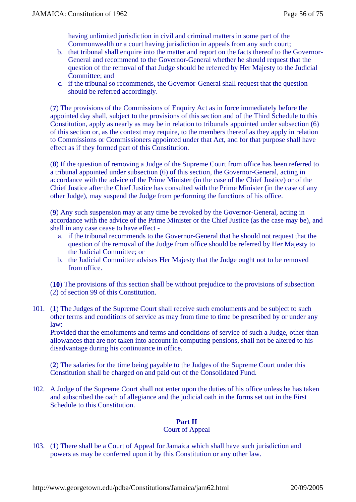having unlimited jurisdiction in civil and criminal matters in some part of the Commonwealth or a court having jurisdiction in appeals from any such court;

- b. that tribunal shall enquire into the matter and report on the facts thereof to the Governor-General and recommend to the Governor-General whether he should request that the question of the removal of that Judge should be referred by Her Majesty to the Judicial Committee; and
- c. if the tribunal so recommends, the Governor-General shall request that the question should be referred accordingly.

(**7**) The provisions of the Commissions of Enquiry Act as in force immediately before the appointed day shall, subject to the provisions of this section and of the Third Schedule to this Constitution, apply as nearly as may be in relation to tribunals appointed under subsection (6) of this section or, as the context may require, to the members thereof as they apply in relation to Commissions or Commissioners appointed under that Act, and for that purpose shall have effect as if they formed part of this Constitution.

(**8**) If the question of removing a Judge of the Supreme Court from office has been referred to a tribunal appointed under subsection (6) of this section, the Governor-General, acting in accordance with the advice of the Prime Minister (in the case of the Chief Justice) or of the Chief Justice after the Chief Justice has consulted with the Prime Minister (in the case of any other Judge), may suspend the Judge from performing the functions of his office.

(**9**) Any such suspension may at any time be revoked by the Governor-General, acting in accordance with the advice of the Prime Minister or the Chief Justice (as the case may be), and shall in any case cease to have effect -

- a. if the tribunal recommends to the Governor-General that he should not request that the question of the removal of the Judge from office should be referred by Her Majesty to the Judicial Committee; or
- b. the Judicial Committee advises Her Majesty that the Judge ought not to be removed from office.

(**10**) The provisions of this section shall be without prejudice to the provisions of subsection (2) of section 99 of this Constitution.

101. (**1**) The Judges of the Supreme Court shall receive such emoluments and be subject to such other terms and conditions of service as may from time to time be prescribed by or under any law:

Provided that the emoluments and terms and conditions of service of such a Judge, other than allowances that are not taken into account in computing pensions, shall not be altered to his disadvantage during his continuance in office.

(**2**) The salaries for the time being payable to the Judges of the Supreme Court under this Constitution shall be charged on and paid out of the Consolidated Fund.

102. A Judge of the Supreme Court shall not enter upon the duties of his office unless he has taken and subscribed the oath of allegiance and the judicial oath in the forms set out in the First Schedule to this Constitution.

# **Part II**

# Court of Appeal

103. (**1**) There shall be a Court of Appeal for Jamaica which shall have such jurisdiction and powers as may be conferred upon it by this Constitution or any other law.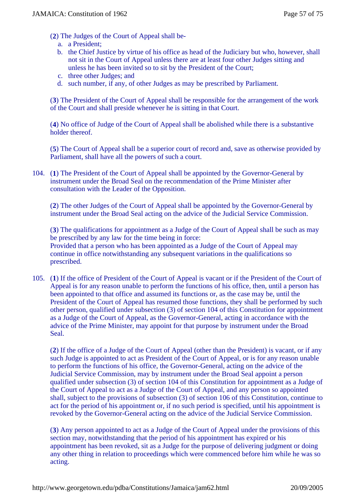- (**2**) The Judges of the Court of Appeal shall be
	- a. a President;
	- b. the Chief Justice by virtue of his office as head of the Judiciary but who, however, shall not sit in the Court of Appeal unless there are at least four other Judges sitting and unless he has been invited so to sit by the President of the Court;
	- c. three other Judges; and
	- d. such number, if any, of other Judges as may be prescribed by Parliament.

(**3**) The President of the Court of Appeal shall be responsible for the arrangement of the work of the Court and shall preside whenever he is sitting in that Court.

(**4**) No office of Judge of the Court of Appeal shall be abolished while there is a substantive holder thereof.

(**5**) The Court of Appeal shall be a superior court of record and, save as otherwise provided by Parliament, shall have all the powers of such a court.

104. (**1**) The President of the Court of Appeal shall be appointed by the Governor-General by instrument under the Broad Seal on the recommendation of the Prime Minister after consultation with the Leader of the Opposition.

(**2**) The other Judges of the Court of Appeal shall be appointed by the Governor-General by instrument under the Broad Seal acting on the advice of the Judicial Service Commission.

(**3**) The qualifications for appointment as a Judge of the Court of Appeal shall be such as may be prescribed by any law for the time being in force: Provided that a person who has been appointed as a Judge of the Court of Appeal may continue in office notwithstanding any subsequent variations in the qualifications so prescribed.

105. (**1**) If the office of President of the Court of Appeal is vacant or if the President of the Court of Appeal is for any reason unable to perform the functions of his office, then, until a person has been appointed to that office and assumed its functions or, as the case may be, until the President of the Court of Appeal has resumed those functions, they shall be performed by such other person, qualified under subsection (3) of section 104 of this Constitution for appointment as a Judge of the Court of Appeal, as the Governor-General, acting in accordance with the advice of the Prime Minister, may appoint for that purpose by instrument under the Broad Seal.

(**2**) If the office of a Judge of the Court of Appeal (other than the President) is vacant, or if any such Judge is appointed to act as President of the Court of Appeal, or is for any reason unable to perform the functions of his office, the Governor-General, acting on the advice of the Judicial Service Commission, may by instrument under the Broad Seal appoint a person qualified under subsection (3) of section 104 of this Constitution for appointment as a Judge of the Court of Appeal to act as a Judge of the Court of Appeal, and any person so appointed shall, subject to the provisions of subsection (3) of section 106 of this Constitution, continue to act for the period of his appointment or, if no such period is specified, until his appointment is revoked by the Governor-General acting on the advice of the Judicial Service Commission.

(**3**) Any person appointed to act as a Judge of the Court of Appeal under the provisions of this section may, notwithstanding that the period of his appointment has expired or his appointment has been revoked, sit as a Judge for the purpose of delivering judgment or doing any other thing in relation to proceedings which were commenced before him while he was so acting.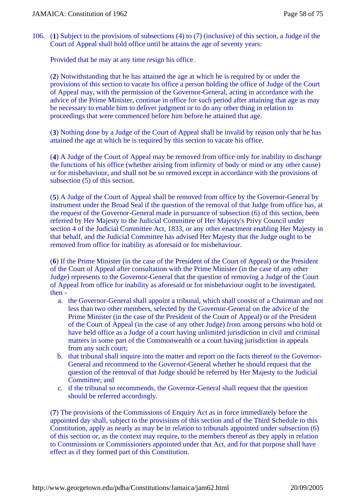106. (**1**) Subject to the provisions of subsections (4) to (7) (inclusive) of this section, a Judge of the Court of Appeal shall hold office until he attains the age of seventy years:

Provided that he may at any time resign his office.

(**2**) Notwithstanding that he has attained the age at which he is required by or under the provisions of this section to vacate his office a person holding the office of Judge of the Court of Appeal may, with the permission of the Governor-General, acting in accordance with the advice of the Prime Minister, continue in office for such period after attaining that age as may be necessary to enable him to deliver judgment or to do any other thing in relation to proceedings that were commenced before him before he attained that age.

(**3**) Nothing done by a Judge of the Court of Appeal shall be invalid by reason only that he has attained the age at which he is required by this section to vacate his office.

(**4**) A Judge of the Court of Appeal may be removed from office only for inability to discharge the functions of his office (whether arising from infirmity of body or mind or any other cause) or for misbehaviour, and shall not be so removed except in accordance with the provisions of subsection (5) of this section.

(**5**) A Judge of the Court of Appeal shall be removed from office by the Governor-General by instrument under the Broad Seal if the question of the removal of that Judge from office has, at the request of the Governor-General made in pursuance of subsection (6) of this section, been referred by Her Majesty to the Judicial Committee of Her Majesty's Privy Council under section 4 of the Judicial Committee Act, 1833, or any other enactment enabling Her Majesty in that behalf, and the Judicial Committee has advised Her Majesty that the Judge ought to be removed from office for inability as aforesaid or for misbehaviour.

(**6**) If the Prime Minister (in the case of the President of the Court of Appeal) or the President of the Court of Appeal after consultation with the Prime Minister (in the case of any other Judge) represents to the Governor-General that the question of removing a Judge of the Court of Appeal from office for inability as aforesaid or for misbehaviour ought to be investigated, then -

- a. the Governor-General shall appoint a tribunal, which shall consist of a Chairman and not less than two other members, selected by the Governor-General on the advice of the Prime Minister (in the case of the President of the Court of Appeal) or of the President of the Court of Appeal (in the case of any other Judge) from among persons who hold or have held office as a Judge of a court having unlimited jurisdiction in civil and criminal matters in some part of the Commonwealth or a court having jurisdiction in appeals from any such court;
- b. that tribunal shall inquire into the matter and report on the facts thereof to the Governor-General and recommend to the Governor-General whether he should request that the question of the removal of that Judge should be referred by Her Majesty to the Judicial Committee; and
- c. if the tribunal so recommends, the Governor-General shall request that the question should be referred accordingly.

(**7**) The provisions of the Commissions of Enquiry Act as in force immediately before the appointed day shall, subject to the provisions of this section and of the Third Schedule to this Constitution, apply as nearly as may be in relation to tribunals appointed under subsection (6) of this section or, as the context may require, to the members thereof as they apply in relation to Commissions or Commissioners appointed under that Act, and for that purpose shall have effect as if they formed part of this Constitution.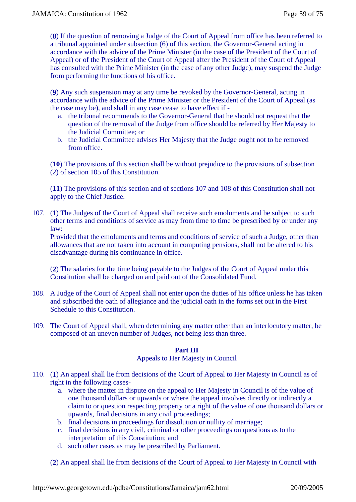(**8**) If the question of removing a Judge of the Court of Appeal from office has been referred to a tribunal appointed under subsection (6) of this section, the Governor-General acting in accordance with the advice of the Prime Minister (in the case of the President of the Court of Appeal) or of the President of the Court of Appeal after the President of the Court of Appeal has consulted with the Prime Minister (in the case of any other Judge), may suspend the Judge from performing the functions of his office.

(**9**) Any such suspension may at any time be revoked by the Governor-General, acting in accordance with the advice of the Prime Minister or the President of the Court of Appeal (as the case may be), and shall in any case cease to have effect if -

- a. the tribunal recommends to the Governor-General that he should not request that the question of the removal of the Judge from office should be referred by Her Majesty to the Judicial Committee; or
- b. the Judicial Committee advises Her Majesty that the Judge ought not to be removed from office.

(**10**) The provisions of this section shall be without prejudice to the provisions of subsection (2) of section 105 of this Constitution.

(**11**) The provisions of this section and of sections 107 and 108 of this Constitution shall not apply to the Chief Justice.

107. (**1**) The Judges of the Court of Appeal shall receive such emoluments and be subject to such other terms and conditions of service as may from time to time be prescribed by or under any law:

Provided that the emoluments and terms and conditions of service of such a Judge, other than allowances that are not taken into account in computing pensions, shall not be altered to his disadvantage during his continuance in office.

(**2**) The salaries for the time being payable to the Judges of the Court of Appeal under this Constitution shall be charged on and paid out of the Consolidated Fund.

- 108. A Judge of the Court of Appeal shall not enter upon the duties of his office unless he has taken and subscribed the oath of allegiance and the judicial oath in the forms set out in the First Schedule to this Constitution.
- 109. The Court of Appeal shall, when determining any matter other than an interlocutory matter, be composed of an uneven number of Judges, not being less than three.

### **Part III**

### Appeals to Her Majesty in Council

- 110. (**1**) An appeal shall lie from decisions of the Court of Appeal to Her Majesty in Council as of right in the following cases
	- a. where the matter in dispute on the appeal to Her Majesty in Council is of the value of one thousand dollars or upwards or where the appeal involves directly or indirectly a claim to or question respecting property or a right of the value of one thousand dollars or upwards, final decisions in any civil proceedings;
	- b. final decisions in proceedings for dissolution or nullity of marriage;
	- c. final decisions in any civil, criminal or other proceedings on questions as to the interpretation of this Constitution; and
	- d. such other cases as may be prescribed by Parliament.

(**2**) An appeal shall lie from decisions of the Court of Appeal to Her Majesty in Council with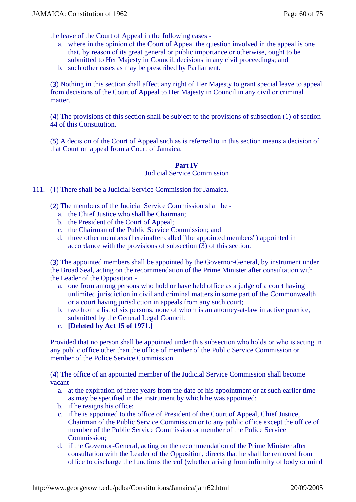the leave of the Court of Appeal in the following cases -

- a. where in the opinion of the Court of Appeal the question involved in the appeal is one that, by reason of its great general or public importance or otherwise, ought to be submitted to Her Majesty in Council, decisions in any civil proceedings; and
- b. such other cases as may be prescribed by Parliament.

(**3**) Nothing in this section shall affect any right of Her Majesty to grant special leave to appeal from decisions of the Court of Appeal to Her Majesty in Council in any civil or criminal matter.

(**4**) The provisions of this section shall be subject to the provisions of subsection (1) of section 44 of this Constitution.

(**5**) A decision of the Court of Appeal such as is referred to in this section means a decision of that Court on appeal from a Court of Jamaica.

# **Part IV**

Judicial Service Commission

- 111. (**1**) There shall be a Judicial Service Commission for Jamaica.
	- (**2**) The members of the Judicial Service Commission shall be
		- a. the Chief Justice who shall be Chairman;
		- b. the President of the Court of Appeal;
		- c. the Chairman of the Public Service Commission; and
		- d. three other members (hereinafter called "the appointed members") appointed in accordance with the provisions of subsection (3) of this section.

(**3**) The appointed members shall be appointed by the Governor-General, by instrument under the Broad Seal, acting on the recommendation of the Prime Minister after consultation with the Leader of the Opposition -

- a. one from among persons who hold or have held office as a judge of a court having unlimited jurisdiction in civil and criminal matters in some part of the Commonwealth or a court having jurisdiction in appeals from any such court;
- b. two from a list of six persons, none of whom is an attorney-at-law in active practice, submitted by the General Legal Council:
- c. **[Deleted by Act 15 of 1971.]**

Provided that no person shall be appointed under this subsection who holds or who is acting in any public office other than the office of member of the Public Service Commission or member of the Police Service Commission.

(**4**) The office of an appointed member of the Judicial Service Commission shall become vacant -

- a. at the expiration of three years from the date of his appointment or at such earlier time as may be specified in the instrument by which he was appointed;
- b. if he resigns his office;
- c. if he is appointed to the office of President of the Court of Appeal, Chief Justice, Chairman of the Public Service Commission or to any public office except the office of member of the Public Service Commission or member of the Police Service Commission;
- d. if the Governor-General, acting on the recommendation of the Prime Minister after consultation with the Leader of the Opposition, directs that he shall be removed from office to discharge the functions thereof (whether arising from infirmity of body or mind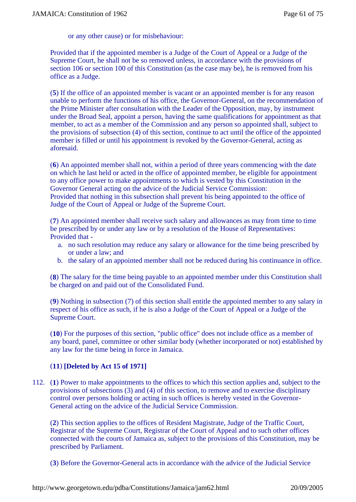or any other cause) or for misbehaviour:

Provided that if the appointed member is a Judge of the Court of Appeal or a Judge of the Supreme Court, he shall not be so removed unless, in accordance with the provisions of section 106 or section 100 of this Constitution (as the case may be), he is removed from his office as a Judge.

(**5**) If the office of an appointed member is vacant or an appointed member is for any reason unable to perform the functions of his office, the Governor-General, on the recommendation of the Prime Minister after consultation with the Leader of the Opposition, may, by instrument under the Broad Seal, appoint a person, having the same qualifications for appointment as that member, to act as a member of the Commission and any person so appointed shall, subject to the provisions of subsection (4) of this section, continue to act until the office of the appointed member is filled or until his appointment is revoked by the Governor-General, acting as aforesaid.

(**6**) An appointed member shall not, within a period of three years commencing with the date on which he last held or acted in the office of appointed member, be eligible for appointment to any office power to make appointments to which is vested by this Constitution in the Governor General acting on the advice of the Judicial Service Commission: Provided that nothing in this subsection shall prevent his being appointed to the office of Judge of the Court of Appeal or Judge of the Supreme Court.

(**7**) An appointed member shall receive such salary and allowances as may from time to time be prescribed by or under any law or by a resolution of the House of Representatives: Provided that -

- a. no such resolution may reduce any salary or allowance for the time being prescribed by or under a law; and
- b. the salary of an appointed member shall not be reduced during his continuance in office.

(**8**) The salary for the time being payable to an appointed member under this Constitution shall be charged on and paid out of the Consolidated Fund.

(**9**) Nothing in subsection (7) of this section shall entitle the appointed member to any salary in respect of his office as such, if he is also a Judge of the Court of Appeal or a Judge of the Supreme Court.

(**10**) For the purposes of this section, "public office" does not include office as a member of any board, panel, committee or other similar body (whether incorporated or not) established by any law for the time being in force in Jamaica.

### (**11**) **[Deleted by Act 15 of 1971]**

112. (**1**) Power to make appointments to the offices to which this section applies and, subject to the provisions of subsections (3) and (4) of this section, to remove and to exercise disciplinary control over persons holding or acting in such offices is hereby vested in the Governor-General acting on the advice of the Judicial Service Commission.

(**2**) This section applies to the offices of Resident Magistrate, Judge of the Traffic Court, Registrar of the Supreme Court, Registrar of the Court of Appeal and to such other offices connected with the courts of Jamaica as, subject to the provisions of this Constitution, may be prescribed by Parliament.

(**3**) Before the Governor-General acts in accordance with the advice of the Judicial Service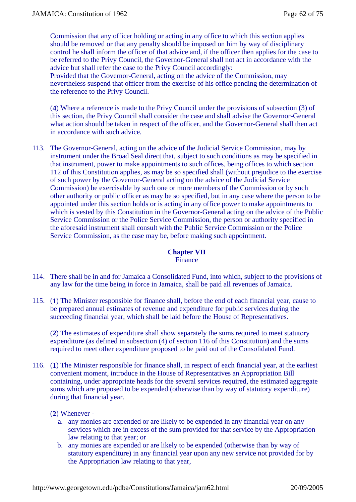Commission that any officer holding or acting in any office to which this section applies should be removed or that any penalty should be imposed on him by way of disciplinary control he shall inform the officer of that advice and, if the officer then applies for the case to be referred to the Privy Council, the Governor-General shall not act in accordance with the advice but shall refer the case to the Privy Council accordingly:

Provided that the Governor-General, acting on the advice of the Commission, may nevertheless suspend that officer from the exercise of his office pending the determination of the reference to the Privy Council.

(**4**) Where a reference is made to the Privy Council under the provisions of subsection (3) of this section, the Privy Council shall consider the case and shall advise the Governor-General what action should be taken in respect of the officer, and the Governor-General shall then act in accordance with such advice.

113. The Governor-General, acting on the advice of the Judicial Service Commission, may by instrument under the Broad Seal direct that, subject to such conditions as may be specified in that instrument, power to make appointments to such offices, being offices to which section 112 of this Constitution applies, as may be so specified shall (without prejudice to the exercise of such power by the Governor-General acting on the advice of the Judicial Service Commission) be exercisable by such one or more members of the Commission or by such other authority or public officer as may be so specified, but in any case where the person to be appointed under this section holds or is acting in any office power to make appointments to which is vested by this Constitution in the Governor-General acting on the advice of the Public Service Commission or the Police Service Commission, the person or authority specified in the aforesaid instrument shall consult with the Public Service Commission or the Police Service Commission, as the case may be, before making such appointment.

> **Chapter VII** Finance

- 114. There shall be in and for Jamaica a Consolidated Fund, into which, subject to the provisions of any law for the time being in force in Jamaica, shall be paid all revenues of Jamaica.
- 115. (**1**) The Minister responsible for finance shall, before the end of each financial year, cause to be prepared annual estimates of revenue and expenditure for public services during the succeeding financial year, which shall be laid before the House of Representatives.

(**2**) The estimates of expenditure shall show separately the sums required to meet statutory expenditure (as defined in subsection (4) of section 116 of this Constitution) and the sums required to meet other expenditure proposed to be paid out of the Consolidated Fund.

116. (**1**) The Minister responsible for finance shall, in respect of each financial year, at the earliest convenient moment, introduce in the House of Representatives an Appropriation Bill containing, under appropriate heads for the several services required, the estimated aggregate sums which are proposed to be expended (otherwise than by way of statutory expenditure) during that financial year.

(**2**) Whenever -

- a. any monies are expended or are likely to be expended in any financial year on any services which are in excess of the sum provided for that service by the Appropriation law relating to that year; or
- b. any monies are expended or are likely to be expended (otherwise than by way of statutory expenditure) in any financial year upon any new service not provided for by the Appropriation law relating to that year,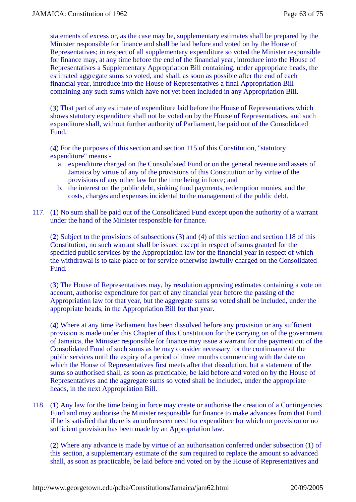statements of excess or, as the case may be, supplementary estimates shall be prepared by the Minister responsible for finance and shall be laid before and voted on by the House of Representatives; in respect of all supplementary expenditure so voted the Minister responsible for finance may, at any time before the end of the financial year, introduce into the House of Representatives a Supplementary Appropriation Bill containing, under appropriate heads, the estimated aggregate sums so voted, and shall, as soon as possible after the end of each financial year, introduce into the House of Representatives a final Appropriation Bill containing any such sums which have not yet been included in any Appropriation Bill.

(**3**) That part of any estimate of expenditure laid before the House of Representatives which shows statutory expenditure shall not be voted on by the House of Representatives, and such expenditure shall, without further authority of Parliament, be paid out of the Consolidated Fund.

(**4**) For the purposes of this section and section 115 of this Constitution, "statutory expenditure" means -

- a. expenditure charged on the Consolidated Fund or on the general revenue and assets of Jamaica by virtue of any of the provisions of this Constitution or by virtue of the provisions of any other law for the time being in force; and
- b. the interest on the public debt, sinking fund payments, redemption monies, and the costs, charges and expenses incidental to the management of the public debt.
- 117. (**1**) No sum shall be paid out of the Consolidated Fund except upon the authority of a warrant under the hand of the Minister responsible for finance.

(**2**) Subject to the provisions of subsections (3) and (4) of this section and section 118 of this Constitution, no such warrant shall be issued except in respect of sums granted for the specified public services by the Appropriation law for the financial year in respect of which the withdrawal is to take place or for service otherwise lawfully charged on the Consolidated Fund.

(**3**) The House of Representatives may, by resolution approving estimates containing a vote on account, authorise expenditure for part of any financial year before the passing of the Appropriation law for that year, but the aggregate sums so voted shall be included, under the appropriate heads, in the Appropriation Bill for that year.

(**4**) Where at any time Parliament has been dissolved before any provision or any sufficient provision is made under this Chapter of this Constitution for the carrying on of the government of Jamaica, the Minister responsible for finance may issue a warrant for the payment out of the Consolidated Fund of such sums as he may consider necessary for the continuance of the public services until the expiry of a period of three months commencing with the date on which the House of Representatives first meets after that dissolution, but a statement of the sums so authorised shall, as soon as practicable, be laid before and voted on by the House of Representatives and the aggregate sums so voted shall be included, under the appropriate heads, in the next Appropriation Bill.

118. (**1**) Any law for the time being in force may create or authorise the creation of a Contingencies Fund and may authorise the Minister responsible for finance to make advances from that Fund if he is satisfied that there is an unforeseen need for expenditure for which no provision or no sufficient provision has been made by an Appropriation law.

(**2**) Where any advance is made by virtue of an authorisation conferred under subsection (1) of this section, a supplementary estimate of the sum required to replace the amount so advanced shall, as soon as practicable, be laid before and voted on by the House of Representatives and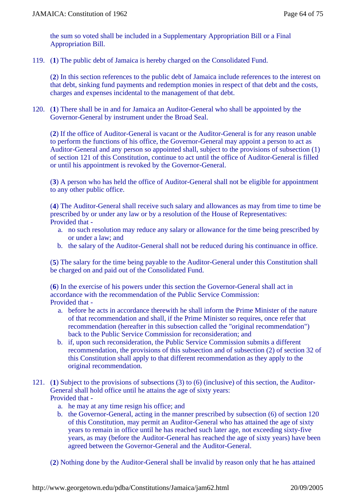the sum so voted shall be included in a Supplementary Appropriation Bill or a Final Appropriation Bill.

119. (**1**) The public debt of Jamaica is hereby charged on the Consolidated Fund.

(**2**) In this section references to the public debt of Jamaica include references to the interest on that debt, sinking fund payments and redemption monies in respect of that debt and the costs, charges and expenses incidental to the management of that debt.

120. (**1**) There shall be in and for Jamaica an Auditor-General who shall be appointed by the Governor-General by instrument under the Broad Seal.

(**2**) If the office of Auditor-General is vacant or the Auditor-General is for any reason unable to perform the functions of his office, the Governor-General may appoint a person to act as Auditor-General and any person so appointed shall, subject to the provisions of subsection (1) of section 121 of this Constitution, continue to act until the office of Auditor-General is filled or until his appointment is revoked by the Governor-General.

(**3**) A person who has held the office of Auditor-General shall not be eligible for appointment to any other public office.

(**4**) The Auditor-General shall receive such salary and allowances as may from time to time be prescribed by or under any law or by a resolution of the House of Representatives: Provided that -

- a. no such resolution may reduce any salary or allowance for the time being prescribed by or under a law; and
- b. the salary of the Auditor-General shall not be reduced during his continuance in office.

(**5**) The salary for the time being payable to the Auditor-General under this Constitution shall be charged on and paid out of the Consolidated Fund.

(**6**) In the exercise of his powers under this section the Governor-General shall act in accordance with the recommendation of the Public Service Commission: Provided that -

- a. before he acts in accordance therewith he shall inform the Prime Minister of the nature of that recommendation and shall, if the Prime Minister so requires, once refer that recommendation (hereafter in this subsection called the "original recommendation") back to the Public Service Commission for reconsideration; and
- b. if, upon such reconsideration, the Public Service Commission submits a different recommendation, the provisions of this subsection and of subsection (2) of section 32 of this Constitution shall apply to that different recommendation as they apply to the original recommendation.
- 121. (**1**) Subject to the provisions of subsections (3) to (6) (inclusive) of this section, the Auditor-General shall hold office until he attains the age of sixty years: Provided that
	- a. he may at any time resign his office; and
	- b. the Governor-General, acting in the manner prescribed by subsection (6) of section 120 of this Constitution, may permit an Auditor-General who has attained the age of sixty years to remain in office until he has reached such later age, not exceeding sixty-five years, as may (before the Auditor-General has reached the age of sixty years) have been agreed between the Governor-General and the Auditor-General.

(**2**) Nothing done by the Auditor-General shall be invalid by reason only that he has attained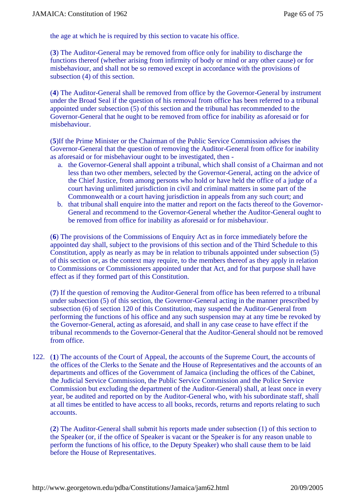the age at which he is required by this section to vacate his office.

(**3**) The Auditor-General may be removed from office only for inability to discharge the functions thereof (whether arising from infirmity of body or mind or any other cause) or for misbehaviour, and shall not be so removed except in accordance with the provisions of subsection (4) of this section.

(**4**) The Auditor-General shall be removed from office by the Governor-General by instrument under the Broad Seal if the question of his removal from office has been referred to a tribunal appointed under subsection (5) of this section and the tribunal has recommended to the Governor-General that he ought to be removed from office for inability as aforesaid or for misbehaviour.

(**5**)If the Prime Minister or the Chairman of the Public Service Commission advises the Governor-General that the question of removing the Auditor-General from office for inability as aforesaid or for misbehaviour ought to be investigated, then -

- a. the Governor-General shall appoint a tribunal, which shall consist of a Chairman and not less than two other members, selected by the Governor-General, acting on the advice of the Chief Justice, from among persons who hold or have held the office of a judge of a court having unlimited jurisdiction in civil and criminal matters in some part of the Commonwealth or a court having jurisdiction in appeals from any such court; and
- b. that tribunal shall enquire into the matter and report on the facts thereof to the Governor-General and recommend to the Governor-General whether the Auditor-General ought to be removed from office for inability as aforesaid or for misbehaviour.

(**6**) The provisions of the Commissions of Enquiry Act as in force immediately before the appointed day shall, subject to the provisions of this section and of the Third Schedule to this Constitution, apply as nearly as may be in relation to tribunals appointed under subsection (5) of this section or, as the context may require, to the members thereof as they apply in relation to Commissions or Commissioners appointed under that Act, and for that purpose shall have effect as if they formed part of this Constitution.

(**7**) If the question of removing the Auditor-General from office has been referred to a tribunal under subsection (5) of this section, the Governor-General acting in the manner prescribed by subsection (6) of section 120 of this Constitution, may suspend the Auditor-General from performing the functions of his office and any such suspension may at any time be revoked by the Governor-General, acting as aforesaid, and shall in any case cease to have effect if the tribunal recommends to the Governor-General that the Auditor-General should not be removed from office.

122. (**1**) The accounts of the Court of Appeal, the accounts of the Supreme Court, the accounts of the offices of the Clerks to the Senate and the House of Representatives and the accounts of an departments and offices of the Government of Jamaica (including the offices of the Cabinet, the Judicial Service Commission, the Public Service Commission and the Police Service Commission but excluding the department of the Auditor-General) shall, at least once in every year, be audited and reported on by the Auditor-General who, with his subordinate staff, shall at all times be entitled to have access to all books, records, returns and reports relating to such accounts.

(**2**) The Auditor-General shall submit his reports made under subsection (1) of this section to the Speaker (or, if the office of Speaker is vacant or the Speaker is for any reason unable to perform the functions of his office, to the Deputy Speaker) who shall cause them to be laid before the House of Representatives.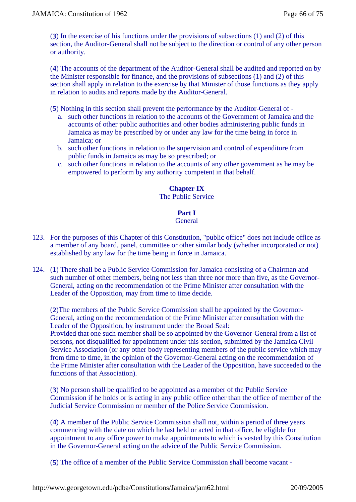(**3**) In the exercise of his functions under the provisions of subsections (1) and (2) of this section, the Auditor-General shall not be subject to the direction or control of any other person or authority.

(**4**) The accounts of the department of the Auditor-General shall be audited and reported on by the Minister responsible for finance, and the provisions of subsections (1) and (2) of this section shall apply in relation to the exercise by that Minister of those functions as they apply in relation to audits and reports made by the Auditor-General.

(**5**) Nothing in this section shall prevent the performance by the Auditor-General of -

- a. such other functions in relation to the accounts of the Government of Jamaica and the accounts of other public authorities and other bodies administering public funds in Jamaica as may be prescribed by or under any law for the time being in force in Jamaica; or
- b. such other functions in relation to the supervision and control of expenditure from public funds in Jamaica as may be so prescribed; or
- c. such other functions in relation to the accounts of any other government as he may be empowered to perform by any authority competent in that behalf.

# **Chapter IX**

The Public Service

# **Part I**

#### **General**

- 123. For the purposes of this Chapter of this Constitution, "public office" does not include office as a member of any board, panel, committee or other similar body (whether incorporated or not) established by any law for the time being in force in Jamaica.
- 124. (**1**) There shall be a Public Service Commission for Jamaica consisting of a Chairman and such number of other members, being not less than three nor more than five, as the Governor-General, acting on the recommendation of the Prime Minister after consultation with the Leader of the Opposition, may from time to time decide.

(**2**)The members of the Public Service Commission shall be appointed by the Governor-General, acting on the recommendation of the Prime Minister after consultation with the Leader of the Opposition, by instrument under the Broad Seal: Provided that one such member shall be so appointed by the Governor-General from a list of persons, not disqualified for appointment under this section, submitted by the Jamaica Civil Service Association (or any other body representing members of the public service which may from time to time, in the opinion of the Governor-General acting on the recommendation of the Prime Minister after consultation with the Leader of the Opposition, have succeeded to the functions of that Association).

(**3**) No person shall be qualified to be appointed as a member of the Public Service Commission if he holds or is acting in any public office other than the office of member of the Judicial Service Commission or member of the Police Service Commission.

(**4**) A member of the Public Service Commission shall not, within a period of three years commencing with the date on which he last held or acted in that office, be eligible for appointment to any office power to make appointments to which is vested by this Constitution in the Governor-General acting on the advice of the Public Service Commission.

(**5**) The office of a member of the Public Service Commission shall become vacant -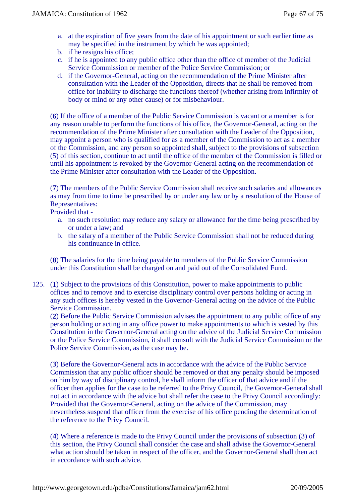- a. at the expiration of five years from the date of his appointment or such earlier time as may be specified in the instrument by which he was appointed;
- b. if he resigns his office;
- c. if he is appointed to any public office other than the office of member of the Judicial Service Commission or member of the Police Service Commission; or
- d. if the Governor-General, acting on the recommendation of the Prime Minister after consultation with the Leader of the Opposition, directs that he shall be removed from office for inability to discharge the functions thereof (whether arising from infirmity of body or mind or any other cause) or for misbehaviour.

(**6**) If the office of a member of the Public Service Commission is vacant or a member is for any reason unable to perform the functions of his office, the Governor-General, acting on the recommendation of the Prime Minister after consultation with the Leader of the Opposition, may appoint a person who is qualified for as a member of the Commission to act as a member of the Commission, and any person so appointed shall, subject to the provisions of subsection (5) of this section, continue to act until the office of the member of the Commission is filled or until his appointment is revoked by the Governor-General acting on the recommendation of the Prime Minister after consultation with the Leader of the Opposition.

(**7**) The members of the Public Service Commission shall receive such salaries and allowances as may from time to time be prescribed by or under any law or by a resolution of the House of Representatives:

Provided that -

- a. no such resolution may reduce any salary or allowance for the time being prescribed by or under a law; and
- b. the salary of a member of the Public Service Commission shall not be reduced during his continuance in office.

(**8**) The salaries for the time being payable to members of the Public Service Commission under this Constitution shall be charged on and paid out of the Consolidated Fund.

125. (**1**) Subject to the provisions of this Constitution, power to make appointments to public offices and to remove and to exercise disciplinary control over persons holding or acting in any such offices is hereby vested in the Governor-General acting on the advice of the Public Service Commission.

(**2**) Before the Public Service Commission advises the appointment to any public office of any person holding or acting in any office power to make appointments to which is vested by this Constitution in the Governor-General acting on the advice of the Judicial Service Commission or the Police Service Commission, it shall consult with the Judicial Service Commission or the Police Service Commission, as the case may be.

(**3**) Before the Governor-General acts in accordance with the advice of the Public Service Commission that any public officer should be removed or that any penalty should be imposed on him by way of disciplinary control, he shall inform the officer of that advice and if the officer then applies for the case to be referred to the Privy Council, the Governor-General shall not act in accordance with the advice but shall refer the case to the Privy Council accordingly: Provided that the Governor-General, acting on the advice of the Commission, may nevertheless suspend that officer from the exercise of his office pending the determination of the reference to the Privy Council.

(**4**) Where a reference is made to the Privy Council under the provisions of subsection (3) of this section, the Privy Council shall consider the case and shall advise the Governor-General what action should be taken in respect of the officer, and the Governor-General shall then act in accordance with such advice.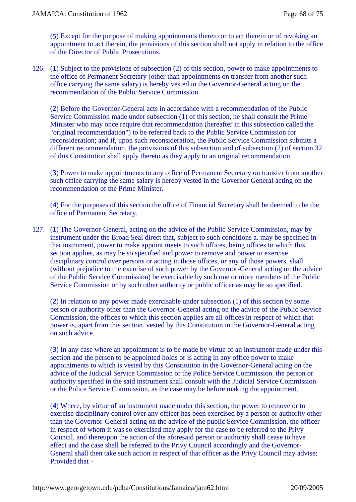(**5**) Except for the purpose of making appointments thereto or to act therein or of revoking an appointment to act therein, the provisions of this section shall not apply in relation to the office of the Director of Public Prosecutions.

126. (**1**) Subject to the provisions of subsection (2) of this section, power to make appointments to the office of Permanent Secretary (other than appointments on transfer from another such office carrying the same salary) is hereby vested in the Governor-General acting on the recommendation of the Public Service Commission.

(**2**) Before the Governor-General acts in accordance with a recommendation of the Public Service Commission made under subsection (1) of this section, he shall consult the Prime Minister who may once require that recommendation (hereafter in this subsection called the "original recommendation") to be referred back to the Public Service Commission for reconsideration; and if, upon such reconsideration, the Public Service Commission submits a different recommendation, the provisions of this subsection and of subsection (2) of section 32 of this Constitution shall apply thereto as they apply to an original recommendation.

(**3**) Power to make appointments to any office of Permanent Secretary on transfer from another such office carrying the same salary is hereby vested in the Governor General acting on the recommendation of the Prime Minister.

(**4**) For the purposes of this section the office of Financial Secretary shall be deemed to be the office of Permanent Secretary.

127. (**1**) The Governor-General, acting on the advice of the Public Service Commission, may by instrument under the Broad Seal direct that, subject to such conditions a. may be specified in that instrument, power to make appoint meets to such offices, being offices to which this section applies, as may be so specified and power to remove and power to exercise disciplinary control over persons or acting in those offices, or any of those powers, shall (without prejudice to the exercise of such power by the Governor-General acting on the advice of the Public Service Commission) be exercisable by such one or more members of the Public Service Commission or by such other authority or public officer as may be so specified.

(**2**) In relation to any power made exercisable under subsection (1) of this section by some person or authority other than the Governor-General acting on the advice of the Public Service Commission, the offices to which this section applies are all offices in respect of which that power is, apart from this section. vested by this Constitution in the Governor-General acting on such advice.

(**3**) In any case where an appointment is to be made by virtue of an instrument made under this section and the person to be appointed holds or is acting in any office power to make appointments to which is vested by this Constitution in the Governor-General acting on the advice of the Judicial Service Commission or the Police Service Commission. the person or authority specified in the said instrument shall consult with the Judicial Service Commission or the Police Service Commission, as the case may be before making the appointment.

(**4**) Where, by virtue of an instrument made under this section, the power to remove or to exercise disciplinary control over any officer has been exercised by a person or authority other than the Governor-General acting on the advice of the public Service Commission, the officer in respect of whom it was so exercised may apply for the case to be referred to the Privy Council. and thereupon the action of the aforesaid person or authority shall cease to have effect and the case shall be referred to the Privy Council accordingly and the Governor-General shall then take such action in respect of that officer as the Privy Council may advise: Provided that -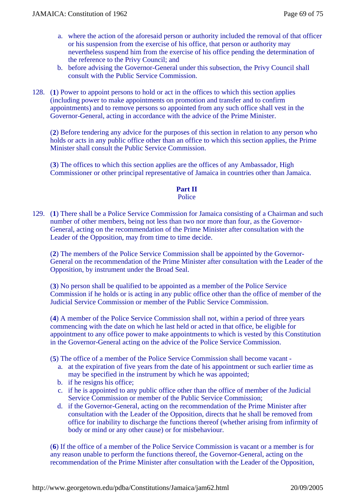- a. where the action of the aforesaid person or authority included the removal of that officer or his suspension from the exercise of his office, that person or authority may nevertheless suspend him from the exercise of his office pending the determination of the reference to the Privy Council; and
- b. before advising the Governor-General under this subsection, the Privy Council shall consult with the Public Service Commission.
- 128. (**1**) Power to appoint persons to hold or act in the offices to which this section applies (including power to make appointments on promotion and transfer and to confirm appointments) and to remove persons so appointed from any such office shall vest in the Governor-General, acting in accordance with the advice of the Prime Minister.

(**2**) Before tendering any advice for the purposes of this section in relation to any person who holds or acts in any public office other than an office to which this section applies, the Prime Minister shall consult the Public Service Commission.

(**3**) The offices to which this section applies are the offices of any Ambassador, High Commissioner or other principal representative of Jamaica in countries other than Jamaica.

# **Part II**

#### Police

129. (**1**) There shall be a Police Service Commission for Jamaica consisting of a Chairman and such number of other members, being not less than two nor more than four, as the Governor-General, acting on the recommendation of the Prime Minister after consultation with the Leader of the Opposition, may from time to time decide.

(**2**) The members of the Police Service Commission shall be appointed by the Governor-General on the recommendation of the Prime Minister after consultation with the Leader of the Opposition, by instrument under the Broad Seal.

(**3**) No person shall be qualified to be appointed as a member of the Police Service Commission if he holds or is acting in any public office other than the office of member of the Judicial Service Commission or member of the Public Service Commission.

(**4**) A member of the Police Service Commission shall not, within a period of three years commencing with the date on which he last held or acted in that office, be eligible for appointment to any office power to make appointments to which is vested by this Constitution in the Governor-General acting on the advice of the Police Service Commission.

(**5**) The office of a member of the Police Service Commission shall become vacant -

- a. at the expiration of five years from the date of his appointment or such earlier time as may be specified in the instrument by which he was appointed;
- b. if he resigns his office;
- c. if he is appointed to any public office other than the office of member of the Judicial Service Commission or member of the Public Service Commission;
- d. if the Governor-General, acting on the recommendation of the Prime Minister after consultation with the Leader of the Opposition, directs that he shall be removed from office for inability to discharge the functions thereof (whether arising from infirmity of body or mind or any other cause) or for misbehaviour.

(**6**) If the office of a member of the Police Service Commission is vacant or a member is for any reason unable to perform the functions thereof, the Governor-General, acting on the recommendation of the Prime Minister after consultation with the Leader of the Opposition,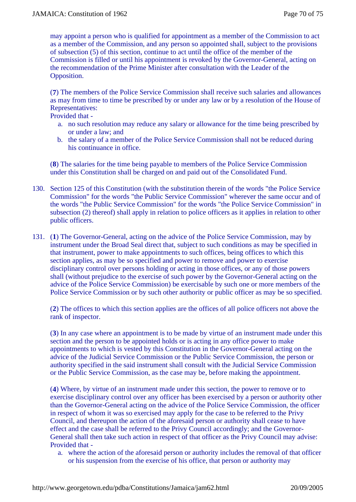may appoint a person who is qualified for appointment as a member of the Commission to act as a member of the Commission, and any person so appointed shall, subject to the provisions of subsection (5) of this section, continue to act until the office of the member of the Commission is filled or until his appointment is revoked by the Governor-General, acting on the recommendation of the Prime Minister after consultation with the Leader of the Opposition.

(**7**) The members of the Police Service Commission shall receive such salaries and allowances as may from time to time be prescribed by or under any law or by a resolution of the House of Representatives:

Provided that -

- a. no such resolution may reduce any salary or allowance for the time being prescribed by or under a law; and
- b. the salary of a member of the Police Service Commission shall not be reduced during his continuance in office.

(**8**) The salaries for the time being payable to members of the Police Service Commission under this Constitution shall be charged on and paid out of the Consolidated Fund.

- 130. Section 125 of this Constitution (with the substitution therein of the words "the Police Service Commission" for the words "the Public Service Commission" wherever the same occur and of the words "the Public Service Commission" for the words "the Police Service Commission" in subsection (2) thereof) shall apply in relation to police officers as it applies in relation to other public officers.
- 131. (**1**) The Governor-General, acting on the advice of the Police Service Commission, may by instrument under the Broad Seal direct that, subject to such conditions as may be specified in that instrument, power to make appointments to such offices, being offices to which this section applies, as may be so specified and power to remove and power to exercise disciplinary control over persons holding or acting in those offices, or any of those powers shall (without prejudice to the exercise of such power by the Governor-General acting on the advice of the Police Service Commission) be exercisable by such one or more members of the Police Service Commission or by such other authority or public officer as may be so specified.

(**2**) The offices to which this section applies are the offices of all police officers not above the rank of inspector.

(**3**) In any case where an appointment is to be made by virtue of an instrument made under this section and the person to be appointed holds or is acting in any office power to make appointments to which is vested by this Constitution in the Governor-General acting on the advice of the Judicial Service Commission or the Public Service Commission, the person or authority specified in the said instrument shall consult with the Judicial Service Commission or the Public Service Commission, as the case may be, before making the appointment.

(**4**) Where, by virtue of an instrument made under this section, the power to remove or to exercise disciplinary control over any officer has been exercised by a person or authority other than the Governor-General acting on the advice of the Police Service Commission, the officer in respect of whom it was so exercised may apply for the case to be referred to the Privy Council, and thereupon the action of the aforesaid person or authority shall cease to have effect and the case shall be referred to the Privy Council accordingly; and the Governor-General shall then take such action in respect of that officer as the Privy Council may advise: Provided that -

a. where the action of the aforesaid person or authority includes the removal of that officer or his suspension from the exercise of his office, that person or authority may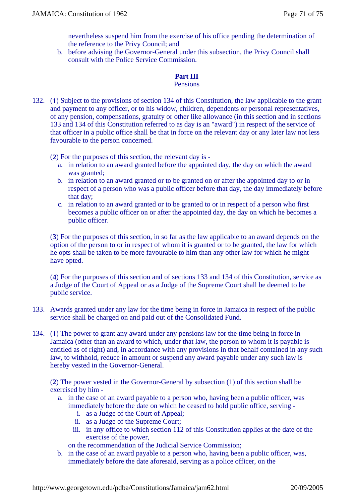nevertheless suspend him from the exercise of his office pending the determination of the reference to the Privy Council; and

b. before advising the Governor-General under this subsection, the Privy Council shall consult with the Police Service Commission.

#### **Part III Pensions**

132. (**1**) Subject to the provisions of section 134 of this Constitution, the law applicable to the grant and payment to any officer, or to his widow, children, dependents or personal representatives, of any pension, compensations, gratuity or other like allowance (in this section and in sections 133 and 134 of this Constitution referred to as day is an "award") in respect of the service of that officer in a public office shall be that in force on the relevant day or any later law not less favourable to the person concerned.

(**2**) For the purposes of this section, the relevant day is -

- a. in relation to an award granted before the appointed day, the day on which the award was granted;
- b. in relation to an award granted or to be granted on or after the appointed day to or in respect of a person who was a public officer before that day, the day immediately before that day;
- c. in relation to an award granted or to be granted to or in respect of a person who first becomes a public officer on or after the appointed day, the day on which he becomes a public officer.

(**3**) For the purposes of this section, in so far as the law applicable to an award depends on the option of the person to or in respect of whom it is granted or to be granted, the law for which he opts shall be taken to be more favourable to him than any other law for which he might have opted.

(**4**) For the purposes of this section and of sections 133 and 134 of this Constitution, service as a Judge of the Court of Appeal or as a Judge of the Supreme Court shall be deemed to be public service.

- 133. Awards granted under any law for the time being in force in Jamaica in respect of the public service shall be charged on and paid out of the Consolidated Fund.
- 134. (**1**) The power to grant any award under any pensions law for the time being in force in Jamaica (other than an award to which, under that law, the person to whom it is payable is entitled as of right) and, in accordance with any provisions in that behalf contained in any such law, to withhold, reduce in amount or suspend any award payable under any such law is hereby vested in the Governor-General.

(**2**) The power vested in the Governor-General by subsection (1) of this section shall be exercised by him -

- a. in the case of an award payable to a person who, having been a public officer, was immediately before the date on which he ceased to hold public office, serving
	- i. as a Judge of the Court of Appeal;
	- ii. as a Judge of the Supreme Court;
	- iii. in any office to which section 112 of this Constitution applies at the date of the exercise of the power,
	- on the recommendation of the Judicial Service Commission;
- b. in the case of an award payable to a person who, having been a public officer, was, immediately before the date aforesaid, serving as a police officer, on the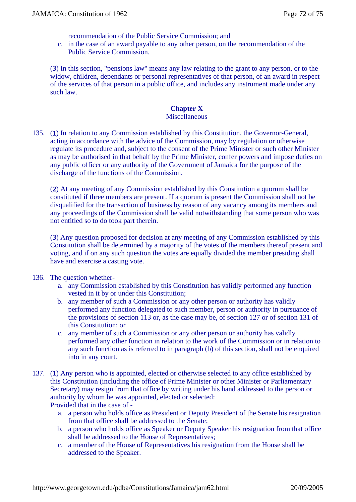recommendation of the Public Service Commission; and

c. in the case of an award payable to any other person, on the recommendation of the Public Service Commission.

(**3**) In this section, "pensions law" means any law relating to the grant to any person, or to the widow, children, dependants or personal representatives of that person, of an award in respect of the services of that person in a public office, and includes any instrument made under any such law.

# **Chapter X**

### **Miscellaneous**

135. (**1**) In relation to any Commission established by this Constitution, the Governor-General, acting in accordance with the advice of the Commission, may by regulation or otherwise regulate its procedure and, subject to the consent of the Prime Minister or such other Minister as may be authorised in that behalf by the Prime Minister, confer powers and impose duties on any public officer or any authority of the Government of Jamaica for the purpose of the discharge of the functions of the Commission.

(**2**) At any meeting of any Commission established by this Constitution a quorum shall be constituted if three members are present. If a quorum is present the Commission shall not be disqualified for the transaction of business by reason of any vacancy among its members and any proceedings of the Commission shall be valid notwithstanding that some person who was not entitled so to do took part therein.

(**3**) Any question proposed for decision at any meeting of any Commission established by this Constitution shall be determined by a majority of the votes of the members thereof present and voting, and if on any such question the votes are equally divided the member presiding shall have and exercise a casting vote.

#### 136. The question whether-

- a. any Commission established by this Constitution has validly performed any function vested in it by or under this Constitution;
- b. any member of such a Commission or any other person or authority has validly performed any function delegated to such member, person or authority in pursuance of the provisions of section 113 or, as the case may be, of section 127 or of section 131 of this Constitution; or
- c. any member of such a Commission or any other person or authority has validly performed any other function in relation to the work of the Commission or in relation to any such function as is referred to in paragraph (b) of this section, shall not be enquired into in any court.
- 137. (**1**) Any person who is appointed, elected or otherwise selected to any office established by this Constitution (including the office of Prime Minister or other Minister or Parliamentary Secretary) may resign from that office by writing under his hand addressed to the person or authority by whom he was appointed, elected or selected:

Provided that in the case of -

- a. a person who holds office as President or Deputy President of the Senate his resignation from that office shall be addressed to the Senate;
- b. a person who holds office as Speaker or Deputy Speaker his resignation from that office shall be addressed to the House of Representatives;
- c. a member of the House of Representatives his resignation from the House shall be addressed to the Speaker.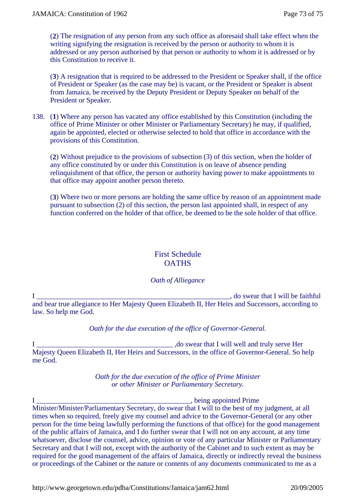(**2**) The resignation of any person from any such office as aforesaid shall take effect when the writing signifying the resignation is received by the person or authority to whom it is addressed or any person authorised by that person or authority to whom it is addressed or by this Constitution to receive it.

(**3**) A resignation that is required to be addressed to the President or Speaker shall, if the office of President or Speaker (as the case may be) is vacant, or the President or Speaker is absent from Jamaica, be received by the Deputy President or Deputy Speaker on behalf of the President or Speaker.

138. (**1**) Where any person has vacated any office established by this Constitution (including the office of Prime Minister or other Minister or Parliamentary Secretary) he may, if qualified, again be appointed, elected or otherwise selected to hold that office in accordance with the provisions of this Constitution.

(**2**) Without prejudice to the provisions of subsection (3) of this section, when the holder of any office constituted by or under this Constitution is on leave of absence pending relinquishment of that office, the person or authority having power to make appointments to that office may appoint another person thereto.

(**3**) Where two or more persons are holding the same office by reason of an appointment made pursuant to subsection (2) of this section, the person last appointed shall, in respect of any function conferred on the holder of that office, be deemed to be the sole holder of that office.

# First Schedule **OATHS**

### *Oath of Alliegance*

I \_\_\_\_\_\_\_\_\_\_\_\_\_\_\_\_\_\_\_\_\_\_\_\_\_\_\_\_\_\_\_\_\_\_\_\_\_\_\_\_\_\_\_\_\_\_\_\_\_\_\_\_\_\_, do swear that I will be faithful and bear true allegiance to Her Majesty Queen Elizabeth II, Her Heirs and Successors, according to law. So help me God.

### *Oath for the due execution of the office of Governor-General.*

I \_\_\_\_\_\_\_\_\_\_\_\_\_\_\_\_\_\_\_\_\_\_\_\_\_\_\_\_\_\_\_\_\_\_\_\_\_\_ ,do swear that I will well and truly serve Her Majesty Queen Elizabeth II, Her Heirs and Successors, in the office of Governor-General. So help me God.

> *Oath for the due execution of the office of Prime Minister or other Minister or Parliamentary Secretary.*

I \_\_\_\_\_\_\_\_\_\_\_\_\_\_\_\_\_\_\_\_\_\_\_\_\_\_\_\_\_\_\_\_\_\_\_\_\_\_\_\_\_\_\_, being appointed Prime Minister/Minister/Parliamentary Secretary, do swear that I will to the best of my judgment, at all times when so required, freely give my counsel and advice to the Governor-General (or any other person for the time being lawfully performing the functions of that office) for the good management of the public affairs of Jamaica, and I do further swear that I will not on any account, at any time whatsoever, disclose the counsel, advice, opinion or vote of any particular Minister or Parliamentary Secretary and that I will not, except with the authority of the Cabinet and to such extent as may be required for the good management of the affairs of Jamaica, directly or indirectly reveal the business or proceedings of the Cabinet or the nature or contents of any documents communicated to me as a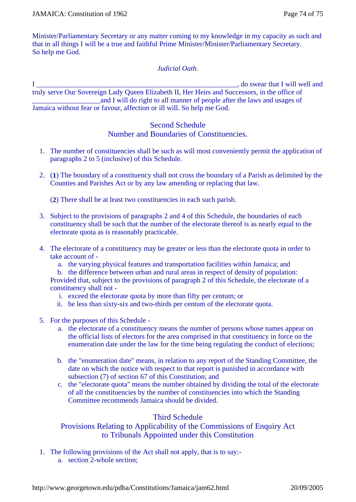Minister/Parliamentary Secretary or any matter coming to my knowledge in my capacity as such and that in all things I will be a true and faithful Prime Minister/Minister/Parliamentary Secretary. So help me God.

#### *Judicial Oath.*

I \_\_\_\_\_\_\_\_\_\_\_\_\_\_\_\_\_\_\_\_\_\_\_\_\_\_\_\_\_\_\_\_\_\_\_\_\_\_\_\_\_\_\_\_\_\_\_\_\_\_\_\_\_\_\_\_, do swear that I will well and truly serve Our Sovereign Lady Queen Elizabeth II, Her Heirs and Successors, in the office of \_\_\_\_\_\_\_\_\_\_\_\_\_\_\_\_\_\_\_and I will do right to all manner of people after the laws and usages of Jamaica without fear or favour, affection or ill will. So help me God.

#### Second Schedule Number and Boundaries of Constituencies.

- 1. The number of constituencies shall be such as will most conveniently permit the application of paragraphs 2 to 5 (inclusive) of this Schedule.
- 2. (**1**) The boundary of a constituency shall not cross the boundary of a Parish as delimited by the Counties and Parishes Act or by any law amending or replacing that law.
	- (**2**) There shall be at least two constituencies in each such parish.
- 3. Subject to the provisions of paragraphs 2 and 4 of this Schedule, the boundaries of each constituency shall be such that the number of the electorate thereof is as nearly equal to the electorate quota as is reasonably practicable.
- 4. The electorate of a constituency may be greater or less than the electorate quota in order to take account of
	- a. the varying physical features and transportation facilities within Jamaica; and
	- b. the difference between urban and rural areas in respect of density of population:
	- Provided that, subject to the provisions of paragraph 2 of this Schedule, the electorate of a constituency shall not
		- i. exceed the electorate quota by more than fifty per centum; or
		- ii. be less than sixty-six and two-thirds per centum of the electorate quota.
- 5. For the purposes of this Schedule
	- a. the electorate of a constituency means the number of persons whose names appear on the official lists of electors for the area comprised in that constituency in force on the enumeration date under the law for the time being regulating the conduct of elections;
	- b. the "enumeration date" means, in relation to any report of the Standing Committee, the date on which the notice with respect to that report is punished in accordance with subsection (7) of section 67 of this Constitution; and
	- c. the "electorate quota" means the number obtained by dividing the total of the electorate of all the constituencies by the number of constituencies into which the Standing Committee recommends Jamaica should be divided.

# Third Schedule

Provisions Relating to Applicability of the Commissions of Enquiry Act to Tribunals Appointed under this Constitution

- 1. The following provisions of the Act shall not apply, that is to say:
	- a. section 2-whole section;